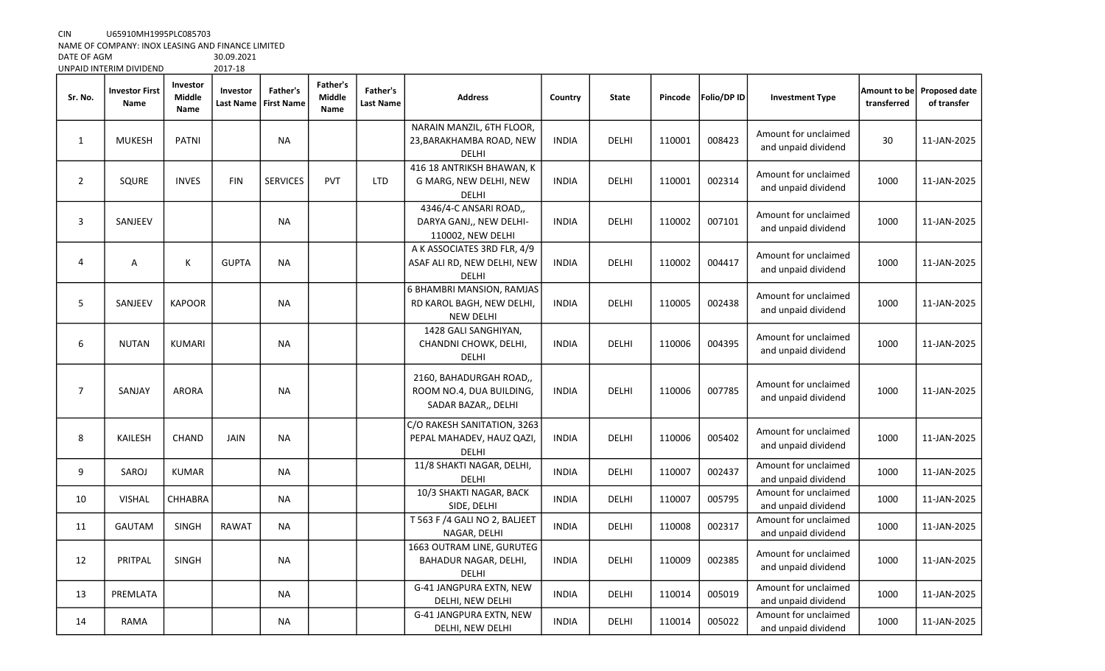CIN U65910MH1995PLC085703

NAME OF COMPANY: INOX LEASING AND FINANCE LIMITED

DATE OF AGM 30.09.2021<br>UNPAID INTERIM DIVIDEND 2017-18

|                | UNPAID INTERIM DIVIDEND       |                            | 2017-18               |                               |                                   |                              |                                                                            |              |              |         |             |                                             |                             |                                     |
|----------------|-------------------------------|----------------------------|-----------------------|-------------------------------|-----------------------------------|------------------------------|----------------------------------------------------------------------------|--------------|--------------|---------|-------------|---------------------------------------------|-----------------------------|-------------------------------------|
| Sr. No.        | <b>Investor First</b><br>Name | Investor<br>Middle<br>Name | Investor<br>Last Name | Father's<br><b>First Name</b> | <b>Father's</b><br>Middle<br>Name | Father's<br><b>Last Name</b> | <b>Address</b>                                                             | Country      | <b>State</b> | Pincode | Folio/DP ID | <b>Investment Type</b>                      | Amount to be<br>transferred | <b>Proposed date</b><br>of transfer |
| 1              | <b>MUKESH</b>                 | PATNI                      |                       | <b>NA</b>                     |                                   |                              | NARAIN MANZIL, 6TH FLOOR,<br>23, BARAKHAMBA ROAD, NEW<br>DELHI             | <b>INDIA</b> | DELHI        | 110001  | 008423      | Amount for unclaimed<br>and unpaid dividend | 30                          | 11-JAN-2025                         |
| $\overline{2}$ | SQURE                         | <b>INVES</b>               | <b>FIN</b>            | <b>SERVICES</b>               | <b>PVT</b>                        | <b>LTD</b>                   | 416 18 ANTRIKSH BHAWAN, K<br>G MARG, NEW DELHI, NEW<br><b>DELHI</b>        | <b>INDIA</b> | <b>DELHI</b> | 110001  | 002314      | Amount for unclaimed<br>and unpaid dividend | 1000                        | 11-JAN-2025                         |
| 3              | SANJEEV                       |                            |                       | <b>NA</b>                     |                                   |                              | 4346/4-C ANSARI ROAD,,<br>DARYA GANJ,, NEW DELHI-<br>110002, NEW DELHI     | <b>INDIA</b> | DELHI        | 110002  | 007101      | Amount for unclaimed<br>and unpaid dividend | 1000                        | 11-JAN-2025                         |
| 4              | Α                             | $\sf K$                    | <b>GUPTA</b>          | <b>NA</b>                     |                                   |                              | A K ASSOCIATES 3RD FLR, 4/9<br>ASAF ALI RD, NEW DELHI, NEW<br>DELHI        | <b>INDIA</b> | DELHI        | 110002  | 004417      | Amount for unclaimed<br>and unpaid dividend | 1000                        | 11-JAN-2025                         |
| 5              | SANJEEV                       | <b>KAPOOR</b>              |                       | <b>NA</b>                     |                                   |                              | 6 BHAMBRI MANSION, RAMJAS<br>RD KAROL BAGH, NEW DELHI,<br><b>NEW DELHI</b> | <b>INDIA</b> | <b>DELHI</b> | 110005  | 002438      | Amount for unclaimed<br>and unpaid dividend | 1000                        | 11-JAN-2025                         |
| 6              | <b>NUTAN</b>                  | <b>KUMARI</b>              |                       | <b>NA</b>                     |                                   |                              | 1428 GALI SANGHIYAN,<br>CHANDNI CHOWK, DELHI,<br><b>DELHI</b>              | <b>INDIA</b> | DELHI        | 110006  | 004395      | Amount for unclaimed<br>and unpaid dividend | 1000                        | 11-JAN-2025                         |
| $\overline{7}$ | SANJAY                        | <b>ARORA</b>               |                       | <b>NA</b>                     |                                   |                              | 2160, BAHADURGAH ROAD,,<br>ROOM NO.4, DUA BUILDING,<br>SADAR BAZAR,, DELHI | <b>INDIA</b> | <b>DELHI</b> | 110006  | 007785      | Amount for unclaimed<br>and unpaid dividend | 1000                        | 11-JAN-2025                         |
| 8              | KAILESH                       | <b>CHAND</b>               | <b>JAIN</b>           | <b>NA</b>                     |                                   |                              | C/O RAKESH SANITATION, 3263<br>PEPAL MAHADEV, HAUZ QAZI,<br><b>DELHI</b>   | <b>INDIA</b> | <b>DELHI</b> | 110006  | 005402      | Amount for unclaimed<br>and unpaid dividend | 1000                        | 11-JAN-2025                         |
| 9              | SAROJ                         | <b>KUMAR</b>               |                       | NA                            |                                   |                              | 11/8 SHAKTI NAGAR, DELHI,<br>DELHI                                         | <b>INDIA</b> | DELHI        | 110007  | 002437      | Amount for unclaimed<br>and unpaid dividend | 1000                        | 11-JAN-2025                         |
| 10             | <b>VISHAL</b>                 | CHHABRA                    |                       | <b>NA</b>                     |                                   |                              | 10/3 SHAKTI NAGAR, BACK<br>SIDE, DELHI                                     | <b>INDIA</b> | DELHI        | 110007  | 005795      | Amount for unclaimed<br>and unpaid dividend | 1000                        | 11-JAN-2025                         |
| 11             | <b>GAUTAM</b>                 | <b>SINGH</b>               | <b>RAWAT</b>          | <b>NA</b>                     |                                   |                              | T 563 F /4 GALI NO 2, BALJEET<br>NAGAR, DELHI                              | <b>INDIA</b> | DELHI        | 110008  | 002317      | Amount for unclaimed<br>and unpaid dividend | 1000                        | 11-JAN-2025                         |
| 12             | PRITPAL                       | <b>SINGH</b>               |                       | <b>NA</b>                     |                                   |                              | 1663 OUTRAM LINE, GURUTEG<br>BAHADUR NAGAR, DELHI,<br>DELHI                | <b>INDIA</b> | <b>DELHI</b> | 110009  | 002385      | Amount for unclaimed<br>and unpaid dividend | 1000                        | 11-JAN-2025                         |
| 13             | PREMLATA                      |                            |                       | NA                            |                                   |                              | G-41 JANGPURA EXTN, NEW<br>DELHI, NEW DELHI                                | <b>INDIA</b> | DELHI        | 110014  | 005019      | Amount for unclaimed<br>and unpaid dividend | 1000                        | 11-JAN-2025                         |
| 14             | RAMA                          |                            |                       | NA                            |                                   |                              | G-41 JANGPURA EXTN, NEW<br>DELHI, NEW DELHI                                | <b>INDIA</b> | DELHI        | 110014  | 005022      | Amount for unclaimed<br>and unpaid dividend | 1000                        | 11-JAN-2025                         |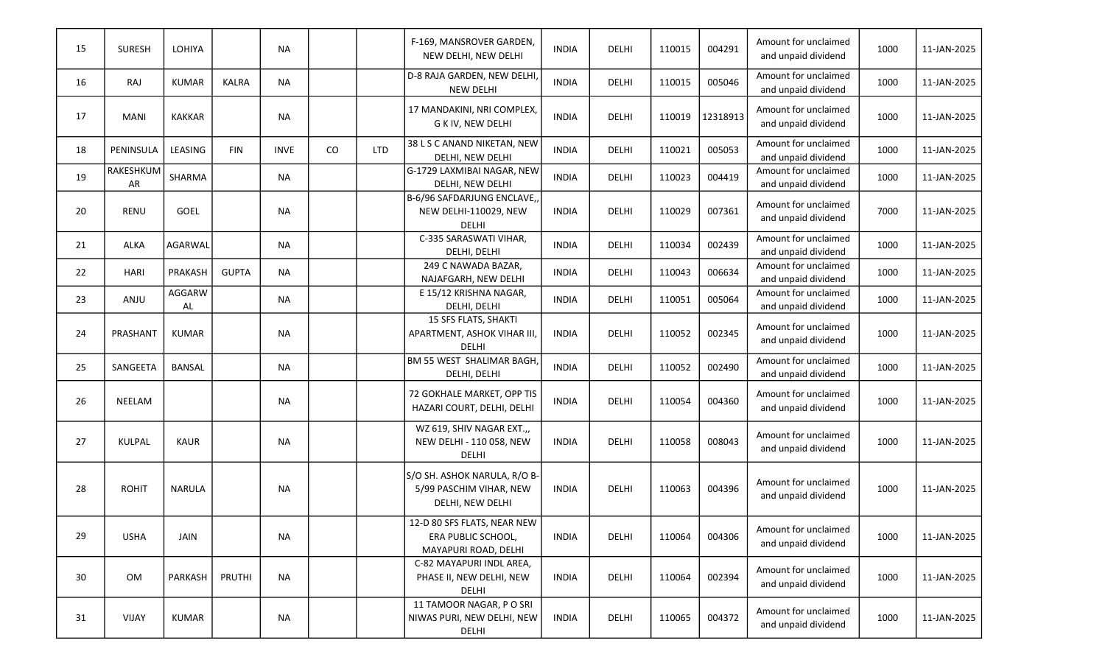| 15 | <b>SURESH</b>          | LOHIYA         |              | <b>NA</b>   |          |            | F-169, MANSROVER GARDEN,<br>NEW DELHI, NEW DELHI                            | <b>INDIA</b> | DELHI | 110015 | 004291   | Amount for unclaimed<br>and unpaid dividend | 1000 | 11-JAN-2025 |
|----|------------------------|----------------|--------------|-------------|----------|------------|-----------------------------------------------------------------------------|--------------|-------|--------|----------|---------------------------------------------|------|-------------|
| 16 | RAJ                    | <b>KUMAR</b>   | <b>KALRA</b> | <b>NA</b>   |          |            | D-8 RAJA GARDEN, NEW DELHI,<br><b>NEW DELHI</b>                             | <b>INDIA</b> | DELHI | 110015 | 005046   | Amount for unclaimed<br>and unpaid dividend | 1000 | 11-JAN-2025 |
| 17 | <b>MANI</b>            | <b>KAKKAR</b>  |              | <b>NA</b>   |          |            | 17 MANDAKINI, NRI COMPLEX,<br><b>G K IV, NEW DELHI</b>                      | <b>INDIA</b> | DELHI | 110019 | 12318913 | Amount for unclaimed<br>and unpaid dividend | 1000 | 11-JAN-2025 |
| 18 | PENINSULA              | LEASING        | <b>FIN</b>   | <b>INVE</b> | $\rm CO$ | <b>LTD</b> | 38 L S C ANAND NIKETAN, NEW<br>DELHI, NEW DELHI                             | <b>INDIA</b> | DELHI | 110021 | 005053   | Amount for unclaimed<br>and unpaid dividend | 1000 | 11-JAN-2025 |
| 19 | <b>RAKESHKUM</b><br>AR | SHARMA         |              | <b>NA</b>   |          |            | G-1729 LAXMIBAI NAGAR, NEW<br>DELHI, NEW DELHI                              | <b>INDIA</b> | DELHI | 110023 | 004419   | Amount for unclaimed<br>and unpaid dividend | 1000 | 11-JAN-2025 |
| 20 | <b>RENU</b>            | GOEL           |              | <b>NA</b>   |          |            | B-6/96 SAFDARJUNG ENCLAVE,,<br>NEW DELHI-110029, NEW<br><b>DELHI</b>        | <b>INDIA</b> | DELHI | 110029 | 007361   | Amount for unclaimed<br>and unpaid dividend | 7000 | 11-JAN-2025 |
| 21 | <b>ALKA</b>            | AGARWAL        |              | <b>NA</b>   |          |            | C-335 SARASWATI VIHAR,<br>DELHI, DELHI                                      | <b>INDIA</b> | DELHI | 110034 | 002439   | Amount for unclaimed<br>and unpaid dividend | 1000 | 11-JAN-2025 |
| 22 | <b>HARI</b>            | PRAKASH        | <b>GUPTA</b> | <b>NA</b>   |          |            | 249 C NAWADA BAZAR,<br>NAJAFGARH, NEW DELHI                                 | <b>INDIA</b> | DELHI | 110043 | 006634   | Amount for unclaimed<br>and unpaid dividend | 1000 | 11-JAN-2025 |
| 23 | ANJU                   | AGGARW<br>AL   |              | <b>NA</b>   |          |            | E 15/12 KRISHNA NAGAR,<br>DELHI, DELHI                                      | <b>INDIA</b> | DELHI | 110051 | 005064   | Amount for unclaimed<br>and unpaid dividend | 1000 | 11-JAN-2025 |
| 24 | PRASHANT               | <b>KUMAR</b>   |              | <b>NA</b>   |          |            | 15 SFS FLATS, SHAKTI<br>APARTMENT, ASHOK VIHAR III<br><b>DELHI</b>          | <b>INDIA</b> | DELHI | 110052 | 002345   | Amount for unclaimed<br>and unpaid dividend | 1000 | 11-JAN-2025 |
| 25 | SANGEETA               | <b>BANSAL</b>  |              | <b>NA</b>   |          |            | BM 55 WEST SHALIMAR BAGH,<br>DELHI, DELHI                                   | <b>INDIA</b> | DELHI | 110052 | 002490   | Amount for unclaimed<br>and unpaid dividend | 1000 | 11-JAN-2025 |
| 26 | <b>NEELAM</b>          |                |              | <b>NA</b>   |          |            | 72 GOKHALE MARKET, OPP TIS<br>HAZARI COURT, DELHI, DELHI                    | <b>INDIA</b> | DELHI | 110054 | 004360   | Amount for unclaimed<br>and unpaid dividend | 1000 | 11-JAN-2025 |
| 27 | KULPAL                 | <b>KAUR</b>    |              | <b>NA</b>   |          |            | WZ 619, SHIV NAGAR EXT.,<br>NEW DELHI - 110 058, NEW<br><b>DELHI</b>        | <b>INDIA</b> | DELHI | 110058 | 008043   | Amount for unclaimed<br>and unpaid dividend | 1000 | 11-JAN-2025 |
| 28 | <b>ROHIT</b>           | <b>NARULA</b>  |              | <b>NA</b>   |          |            | S/O SH. ASHOK NARULA, R/O B-<br>5/99 PASCHIM VIHAR, NEW<br>DELHI, NEW DELHI | <b>INDIA</b> | DELHI | 110063 | 004396   | Amount for unclaimed<br>and unpaid dividend | 1000 | 11-JAN-2025 |
| 29 | <b>USHA</b>            | JAIN           |              | <b>NA</b>   |          |            | 12-D 80 SFS FLATS, NEAR NEW<br>ERA PUBLIC SCHOOL,<br>MAYAPURI ROAD, DELHI   | <b>INDIA</b> | DELHI | 110064 | 004306   | Amount for unclaimed<br>and unpaid dividend | 1000 | 11-JAN-2025 |
| 30 | OM                     | <b>PARKASH</b> | PRUTHI       | <b>NA</b>   |          |            | C-82 MAYAPURI INDL AREA.<br>PHASE II, NEW DELHI, NEW<br>DELHI               | <b>INDIA</b> | DELHI | 110064 | 002394   | Amount for unclaimed<br>and unpaid dividend | 1000 | 11-JAN-2025 |
| 31 | VIJAY                  | <b>KUMAR</b>   |              | <b>NA</b>   |          |            | 11 TAMOOR NAGAR, P O SRI<br>NIWAS PURI, NEW DELHI, NEW<br>DELHI             | <b>INDIA</b> | DELHI | 110065 | 004372   | Amount for unclaimed<br>and unpaid dividend | 1000 | 11-JAN-2025 |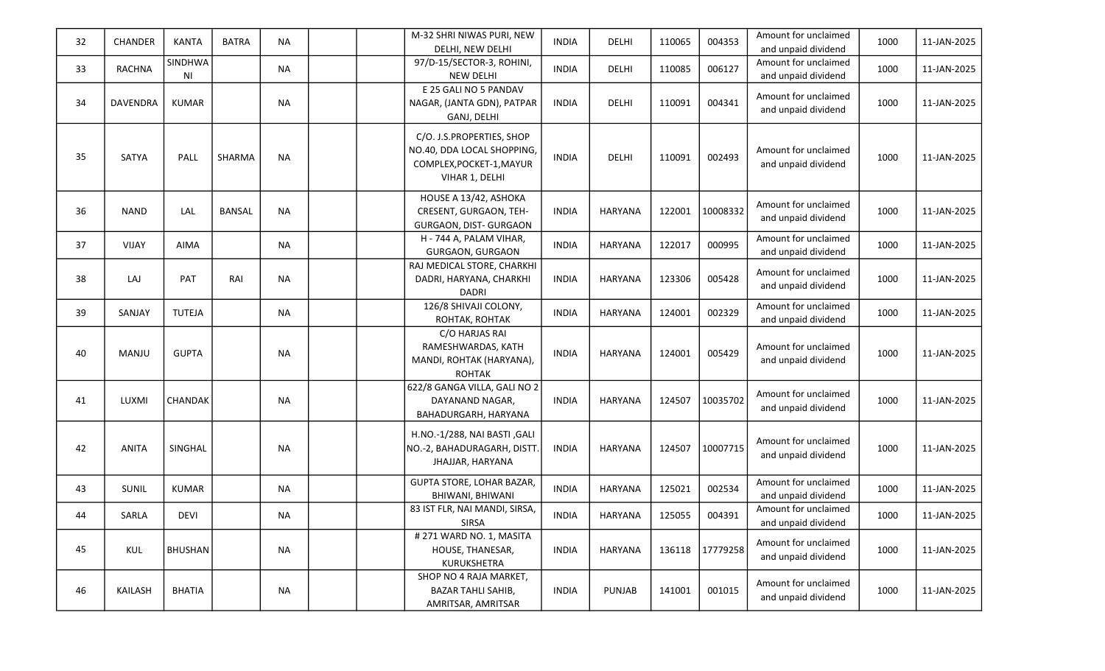| 32 | CHANDER         | <b>KANTA</b>   | <b>BATRA</b>  | <b>NA</b> | M-32 SHRI NIWAS PURI, NEW<br>DELHI, NEW DELHI                                                         | <b>INDIA</b> | DELHI          | 110065 | 004353   | Amount for unclaimed<br>and unpaid dividend | 1000 | 11-JAN-2025 |
|----|-----------------|----------------|---------------|-----------|-------------------------------------------------------------------------------------------------------|--------------|----------------|--------|----------|---------------------------------------------|------|-------------|
| 33 | <b>RACHNA</b>   | SINDHWA<br>ΝI  |               | <b>NA</b> | 97/D-15/SECTOR-3, ROHINI,<br><b>NEW DELHI</b>                                                         | <b>INDIA</b> | DELHI          | 110085 | 006127   | Amount for unclaimed<br>and unpaid dividend | 1000 | 11-JAN-2025 |
| 34 | <b>DAVENDRA</b> | <b>KUMAR</b>   |               | <b>NA</b> | E 25 GALI NO 5 PANDAV<br>NAGAR, (JANTA GDN), PATPAR<br>GANJ, DELHI                                    | <b>INDIA</b> | DELHI          | 110091 | 004341   | Amount for unclaimed<br>and unpaid dividend | 1000 | 11-JAN-2025 |
| 35 | SATYA           | PALL           | SHARMA        | <b>NA</b> | C/O. J.S.PROPERTIES, SHOP<br>NO.40, DDA LOCAL SHOPPING,<br>COMPLEX, POCKET-1, MAYUR<br>VIHAR 1, DELHI | <b>INDIA</b> | DELHI          | 110091 | 002493   | Amount for unclaimed<br>and unpaid dividend | 1000 | 11-JAN-2025 |
| 36 | <b>NAND</b>     | LAL            | <b>BANSAL</b> | <b>NA</b> | HOUSE A 13/42, ASHOKA<br>CRESENT, GURGAON, TEH-<br>GURGAON, DIST- GURGAON                             | <b>INDIA</b> | <b>HARYANA</b> | 122001 | 10008332 | Amount for unclaimed<br>and unpaid dividend | 1000 | 11-JAN-2025 |
| 37 | <b>VIJAY</b>    | AIMA           |               | <b>NA</b> | H - 744 A, PALAM VIHAR,<br>GURGAON, GURGAON                                                           | <b>INDIA</b> | <b>HARYANA</b> | 122017 | 000995   | Amount for unclaimed<br>and unpaid dividend | 1000 | 11-JAN-2025 |
| 38 | LAJ             | PAT            | RAI           | <b>NA</b> | RAJ MEDICAL STORE, CHARKHI<br>DADRI, HARYANA, CHARKHI<br><b>DADRI</b>                                 | <b>INDIA</b> | <b>HARYANA</b> | 123306 | 005428   | Amount for unclaimed<br>and unpaid dividend | 1000 | 11-JAN-2025 |
| 39 | SANJAY          | <b>TUTEJA</b>  |               | NA        | 126/8 SHIVAJI COLONY,<br>ROHTAK, ROHTAK                                                               | <b>INDIA</b> | <b>HARYANA</b> | 124001 | 002329   | Amount for unclaimed<br>and unpaid dividend | 1000 | 11-JAN-2025 |
| 40 | MANJU           | <b>GUPTA</b>   |               | <b>NA</b> | C/O HARJAS RAI<br>RAMESHWARDAS, KATH<br>MANDI, ROHTAK (HARYANA),<br><b>ROHTAK</b>                     | <b>INDIA</b> | <b>HARYANA</b> | 124001 | 005429   | Amount for unclaimed<br>and unpaid dividend | 1000 | 11-JAN-2025 |
| 41 | LUXMI           | CHANDAK        |               | <b>NA</b> | 622/8 GANGA VILLA, GALI NO 2<br>DAYANAND NAGAR,<br>BAHADURGARH, HARYANA                               | <b>INDIA</b> | <b>HARYANA</b> | 124507 | 10035702 | Amount for unclaimed<br>and unpaid dividend | 1000 | 11-JAN-2025 |
| 42 | <b>ANITA</b>    | SINGHAL        |               | <b>NA</b> | H.NO.-1/288, NAI BASTI, GALI<br>NO.-2, BAHADURAGARH, DISTT.<br>JHAJJAR, HARYANA                       | <b>INDIA</b> | <b>HARYANA</b> | 124507 | 10007715 | Amount for unclaimed<br>and unpaid dividend | 1000 | 11-JAN-2025 |
| 43 | SUNIL           | <b>KUMAR</b>   |               | <b>NA</b> | GUPTA STORE, LOHAR BAZAR,<br>BHIWANI, BHIWANI                                                         | <b>INDIA</b> | <b>HARYANA</b> | 125021 | 002534   | Amount for unclaimed<br>and unpaid dividend | 1000 | 11-JAN-2025 |
| 44 | SARLA           | DEVI           |               | <b>NA</b> | 83 IST FLR, NAI MANDI, SIRSA,<br><b>SIRSA</b>                                                         | <b>INDIA</b> | HARYANA        | 125055 | 004391   | Amount for unclaimed<br>and unpaid dividend | 1000 | 11-JAN-2025 |
| 45 | <b>KUL</b>      | <b>BHUSHAN</b> |               | <b>NA</b> | # 271 WARD NO. 1, MASITA<br>HOUSE, THANESAR,<br>KURUKSHETRA                                           | <b>INDIA</b> | <b>HARYANA</b> | 136118 | 17779258 | Amount for unclaimed<br>and unpaid dividend | 1000 | 11-JAN-2025 |
| 46 | <b>KAILASH</b>  | <b>BHATIA</b>  |               | NA        | SHOP NO 4 RAJA MARKET,<br><b>BAZAR TAHLI SAHIB,</b><br>AMRITSAR, AMRITSAR                             | <b>INDIA</b> | <b>PUNJAB</b>  | 141001 | 001015   | Amount for unclaimed<br>and unpaid dividend | 1000 | 11-JAN-2025 |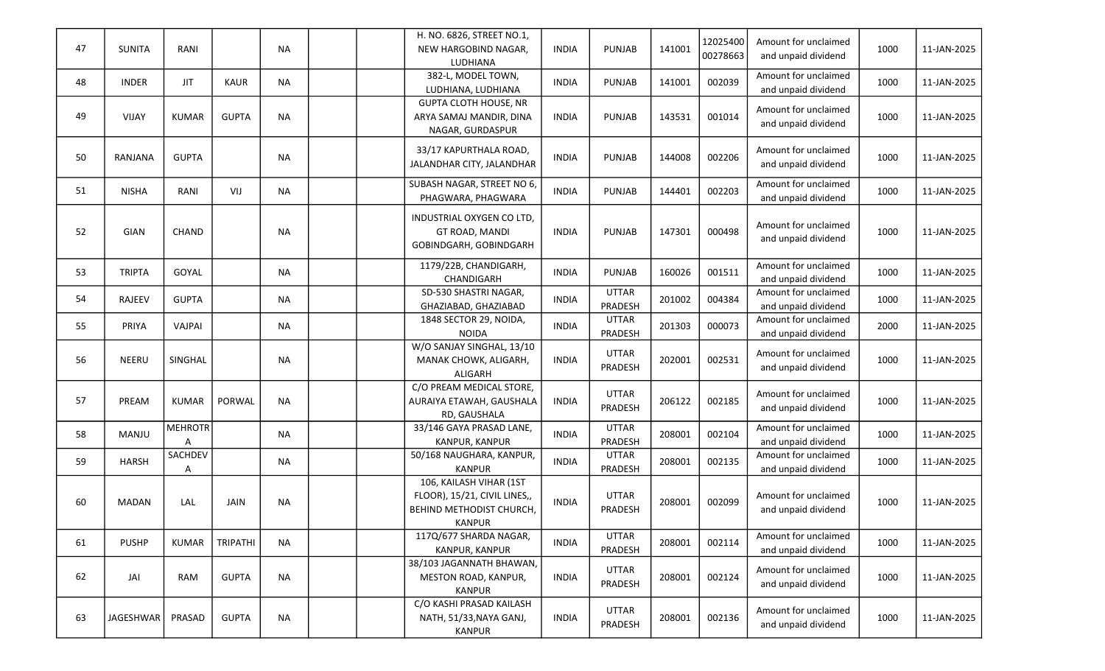| 47 | <b>SUNITA</b>    | RANI           |              | <b>NA</b> | H. NO. 6826, STREET NO.1,<br>NEW HARGOBIND NAGAR,<br><b>LUDHIANA</b>                          | <b>INDIA</b> | PUNJAB                  | 141001 | 12025400<br>00278663 | Amount for unclaimed<br>and unpaid dividend | 1000 | 11-JAN-2025 |
|----|------------------|----------------|--------------|-----------|-----------------------------------------------------------------------------------------------|--------------|-------------------------|--------|----------------------|---------------------------------------------|------|-------------|
| 48 | <b>INDER</b>     | <b>JIT</b>     | KAUR         | <b>NA</b> | 382-L, MODEL TOWN,<br>LUDHIANA, LUDHIANA                                                      | <b>INDIA</b> | <b>PUNJAB</b>           | 141001 | 002039               | Amount for unclaimed<br>and unpaid dividend | 1000 | 11-JAN-2025 |
| 49 | VIJAY            | <b>KUMAR</b>   | <b>GUPTA</b> | <b>NA</b> | <b>GUPTA CLOTH HOUSE, NR</b><br>ARYA SAMAJ MANDIR, DINA<br>NAGAR, GURDASPUR                   | <b>INDIA</b> | <b>PUNJAB</b>           | 143531 | 001014               | Amount for unclaimed<br>and unpaid dividend | 1000 | 11-JAN-2025 |
| 50 | RANJANA          | <b>GUPTA</b>   |              | <b>NA</b> | 33/17 KAPURTHALA ROAD,<br>JALANDHAR CITY, JALANDHAR                                           | <b>INDIA</b> | <b>PUNJAB</b>           | 144008 | 002206               | Amount for unclaimed<br>and unpaid dividend | 1000 | 11-JAN-2025 |
| 51 | <b>NISHA</b>     | RANI           | VIJ          | <b>NA</b> | SUBASH NAGAR, STREET NO 6,<br>PHAGWARA, PHAGWARA                                              | <b>INDIA</b> | <b>PUNJAB</b>           | 144401 | 002203               | Amount for unclaimed<br>and unpaid dividend | 1000 | 11-JAN-2025 |
| 52 | GIAN             | CHAND          |              | <b>NA</b> | INDUSTRIAL OXYGEN CO LTD,<br>GT ROAD, MANDI<br>GOBINDGARH, GOBINDGARH                         | <b>INDIA</b> | <b>PUNJAB</b>           | 147301 | 000498               | Amount for unclaimed<br>and unpaid dividend | 1000 | 11-JAN-2025 |
| 53 | <b>TRIPTA</b>    | GOYAL          |              | <b>NA</b> | 1179/22B, CHANDIGARH,<br>CHANDIGARH                                                           | <b>INDIA</b> | <b>PUNJAB</b>           | 160026 | 001511               | Amount for unclaimed<br>and unpaid dividend | 1000 | 11-JAN-2025 |
| 54 | RAJEEV           | <b>GUPTA</b>   |              | <b>NA</b> | SD-530 SHASTRI NAGAR,<br>GHAZIABAD, GHAZIABAD                                                 | <b>INDIA</b> | <b>UTTAR</b><br>PRADESH | 201002 | 004384               | Amount for unclaimed<br>and unpaid dividend | 1000 | 11-JAN-2025 |
| 55 | PRIYA            | VAJPAI         |              | <b>NA</b> | 1848 SECTOR 29, NOIDA,<br><b>NOIDA</b>                                                        | <b>INDIA</b> | <b>UTTAR</b><br>PRADESH | 201303 | 000073               | Amount for unclaimed<br>and unpaid dividend | 2000 | 11-JAN-2025 |
| 56 | <b>NEERU</b>     | SINGHAL        |              | <b>NA</b> | W/O SANJAY SINGHAL, 13/10<br>MANAK CHOWK, ALIGARH,<br>ALIGARH                                 | <b>INDIA</b> | <b>UTTAR</b><br>PRADESH | 202001 | 002531               | Amount for unclaimed<br>and unpaid dividend | 1000 | 11-JAN-2025 |
| 57 | PREAM            | <b>KUMAR</b>   | PORWAL       | <b>NA</b> | C/O PREAM MEDICAL STORE,<br>AURAIYA ETAWAH, GAUSHALA<br>RD, GAUSHALA                          | <b>INDIA</b> | <b>UTTAR</b><br>PRADESH | 206122 | 002185               | Amount for unclaimed<br>and unpaid dividend | 1000 | 11-JAN-2025 |
| 58 | MANJU            | <b>MEHROTR</b> |              | <b>NA</b> | 33/146 GAYA PRASAD LANE,<br>KANPUR, KANPUR                                                    | <b>INDIA</b> | <b>UTTAR</b><br>PRADESH | 208001 | 002104               | Amount for unclaimed<br>and unpaid dividend | 1000 | 11-JAN-2025 |
| 59 | <b>HARSH</b>     | SACHDEV<br>Α   |              | <b>NA</b> | 50/168 NAUGHARA, KANPUR,<br><b>KANPUR</b>                                                     | <b>INDIA</b> | <b>UTTAR</b><br>PRADESH | 208001 | 002135               | Amount for unclaimed<br>and unpaid dividend | 1000 | 11-JAN-2025 |
| 60 | <b>MADAN</b>     | LAL            | JAIN         | <b>NA</b> | 106, KAILASH VIHAR (1ST<br>FLOOR), 15/21, CIVIL LINES,,<br>BEHIND METHODIST CHURCH,<br>KANPUR | <b>INDIA</b> | <b>UTTAR</b><br>PRADESH | 208001 | 002099               | Amount for unclaimed<br>and unpaid dividend | 1000 | 11-JAN-2025 |
| 61 | <b>PUSHP</b>     | <b>KUMAR</b>   | TRIPATHI     | <b>NA</b> | 117Q/677 SHARDA NAGAR,<br>KANPUR, KANPUR                                                      | INDIA        | <b>UTTAR</b><br>PRADESH | 208001 | 002114               | Amount for unclaimed<br>and unpaid dividend | 1000 | 11-JAN-2025 |
| 62 | JAI              | RAM            | <b>GUPTA</b> | <b>NA</b> | 38/103 JAGANNATH BHAWAN,<br>MESTON ROAD, KANPUR,<br><b>KANPUR</b>                             | <b>INDIA</b> | <b>UTTAR</b><br>PRADESH | 208001 | 002124               | Amount for unclaimed<br>and unpaid dividend | 1000 | 11-JAN-2025 |
| 63 | <b>JAGESHWAR</b> | PRASAD         | <b>GUPTA</b> | <b>NA</b> | C/O KASHI PRASAD KAILASH<br>NATH, 51/33, NAYA GANJ,<br><b>KANPUR</b>                          | <b>INDIA</b> | <b>UTTAR</b><br>PRADESH | 208001 | 002136               | Amount for unclaimed<br>and unpaid dividend | 1000 | 11-JAN-2025 |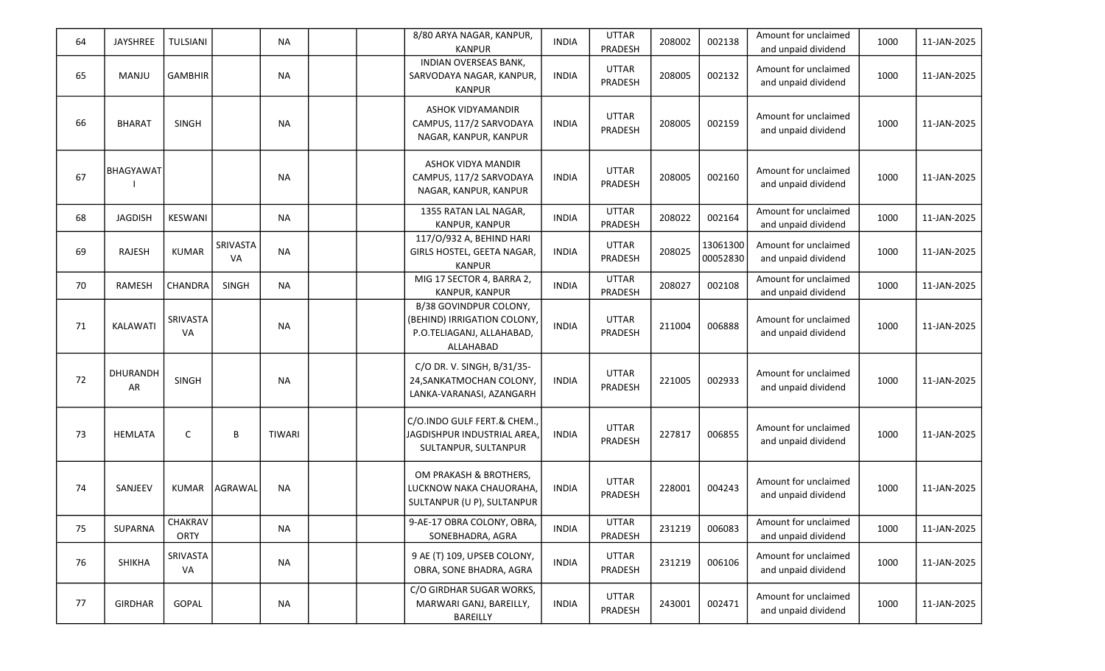| 64 | JAYSHREE       | TULSIANI        |                       | <b>NA</b>     |  | 8/80 ARYA NAGAR, KANPUR,<br><b>KANPUR</b>                                                       | <b>INDIA</b> | <b>UTTAR</b><br>PRADESH | 208002 | 002138               | Amount for unclaimed<br>and unpaid dividend | 1000 | 11-JAN-2025 |
|----|----------------|-----------------|-----------------------|---------------|--|-------------------------------------------------------------------------------------------------|--------------|-------------------------|--------|----------------------|---------------------------------------------|------|-------------|
| 65 | MANJU          | <b>GAMBHIR</b>  |                       | <b>NA</b>     |  | INDIAN OVERSEAS BANK,<br>SARVODAYA NAGAR, KANPUR,<br><b>KANPUR</b>                              | <b>INDIA</b> | <b>UTTAR</b><br>PRADESH | 208005 | 002132               | Amount for unclaimed<br>and unpaid dividend | 1000 | 11-JAN-2025 |
| 66 | <b>BHARAT</b>  | <b>SINGH</b>    |                       | <b>NA</b>     |  | ASHOK VIDYAMANDIR<br>CAMPUS, 117/2 SARVODAYA<br>NAGAR, KANPUR, KANPUR                           | <b>INDIA</b> | <b>UTTAR</b><br>PRADESH | 208005 | 002159               | Amount for unclaimed<br>and unpaid dividend | 1000 | 11-JAN-2025 |
| 67 | BHAGYAWAT      |                 |                       | <b>NA</b>     |  | ASHOK VIDYA MANDIR<br>CAMPUS, 117/2 SARVODAYA<br>NAGAR, KANPUR, KANPUR                          | <b>INDIA</b> | <b>UTTAR</b><br>PRADESH | 208005 | 002160               | Amount for unclaimed<br>and unpaid dividend | 1000 | 11-JAN-2025 |
| 68 | <b>JAGDISH</b> | KESWANI         |                       | <b>NA</b>     |  | 1355 RATAN LAL NAGAR,<br>KANPUR, KANPUR                                                         | <b>INDIA</b> | <b>UTTAR</b><br>PRADESH | 208022 | 002164               | Amount for unclaimed<br>and unpaid dividend | 1000 | 11-JAN-2025 |
| 69 | RAJESH         | <b>KUMAR</b>    | SRIVASTA<br><b>VA</b> | <b>NA</b>     |  | 117/0/932 A, BEHIND HARI<br>GIRLS HOSTEL, GEETA NAGAR,<br><b>KANPUR</b>                         | <b>INDIA</b> | <b>UTTAR</b><br>PRADESH | 208025 | 13061300<br>00052830 | Amount for unclaimed<br>and unpaid dividend | 1000 | 11-JAN-2025 |
| 70 | <b>RAMESH</b>  | CHANDRA         | <b>SINGH</b>          | <b>NA</b>     |  | MIG 17 SECTOR 4, BARRA 2,<br>KANPUR, KANPUR                                                     | <b>INDIA</b> | <b>UTTAR</b><br>PRADESH | 208027 | 002108               | Amount for unclaimed<br>and unpaid dividend | 1000 | 11-JAN-2025 |
| 71 | KALAWATI       | SRIVASTA<br>VA  |                       | <b>NA</b>     |  | B/38 GOVINDPUR COLONY,<br>(BEHIND) IRRIGATION COLONY,<br>P.O.TELIAGANJ, ALLAHABAD,<br>ALLAHABAD | <b>INDIA</b> | <b>UTTAR</b><br>PRADESH | 211004 | 006888               | Amount for unclaimed<br>and unpaid dividend | 1000 | 11-JAN-2025 |
| 72 | DHURANDH<br>AR | <b>SINGH</b>    |                       | <b>NA</b>     |  | C/O DR. V. SINGH, B/31/35-<br>24, SANKATMOCHAN COLONY,<br>LANKA-VARANASI, AZANGARH              | <b>INDIA</b> | <b>UTTAR</b><br>PRADESH | 221005 | 002933               | Amount for unclaimed<br>and unpaid dividend | 1000 | 11-JAN-2025 |
| 73 | <b>HEMLATA</b> | C               | B                     | <b>TIWARI</b> |  | C/O.INDO GULF FERT.& CHEM.<br>JAGDISHPUR INDUSTRIAL AREA,<br>SULTANPUR, SULTANPUR               | <b>INDIA</b> | <b>UTTAR</b><br>PRADESH | 227817 | 006855               | Amount for unclaimed<br>and unpaid dividend | 1000 | 11-JAN-2025 |
| 74 | SANJEEV        | <b>KUMAR</b>    | AGRAWAL               | <b>NA</b>     |  | OM PRAKASH & BROTHERS,<br>LUCKNOW NAKA CHAUORAHA,<br>SULTANPUR (U P), SULTANPUR                 | <b>INDIA</b> | <b>UTTAR</b><br>PRADESH | 228001 | 004243               | Amount for unclaimed<br>and unpaid dividend | 1000 | 11-JAN-2025 |
| 75 | SUPARNA        | CHAKRAV<br>ORTY |                       | <b>NA</b>     |  | 9-AE-17 OBRA COLONY, OBRA,<br>SONEBHADRA, AGRA                                                  | <b>INDIA</b> | <b>UTTAR</b><br>PRADESH | 231219 | 006083               | Amount for unclaimed<br>and unpaid dividend | 1000 | 11-JAN-2025 |
| 76 | SHIKHA         | SRIVASTA<br>VA  |                       | NA            |  | 9 AE (T) 109, UPSEB COLONY,<br>OBRA, SONE BHADRA, AGRA                                          | <b>INDIA</b> | <b>UTTAR</b><br>PRADESH | 231219 | 006106               | Amount for unclaimed<br>and unpaid dividend | 1000 | 11-JAN-2025 |
| 77 | <b>GIRDHAR</b> | GOPAL           |                       | NA            |  | C/O GIRDHAR SUGAR WORKS,<br>MARWARI GANJ, BAREILLY,<br>BAREILLY                                 | <b>INDIA</b> | <b>UTTAR</b><br>PRADESH | 243001 | 002471               | Amount for unclaimed<br>and unpaid dividend | 1000 | 11-JAN-2025 |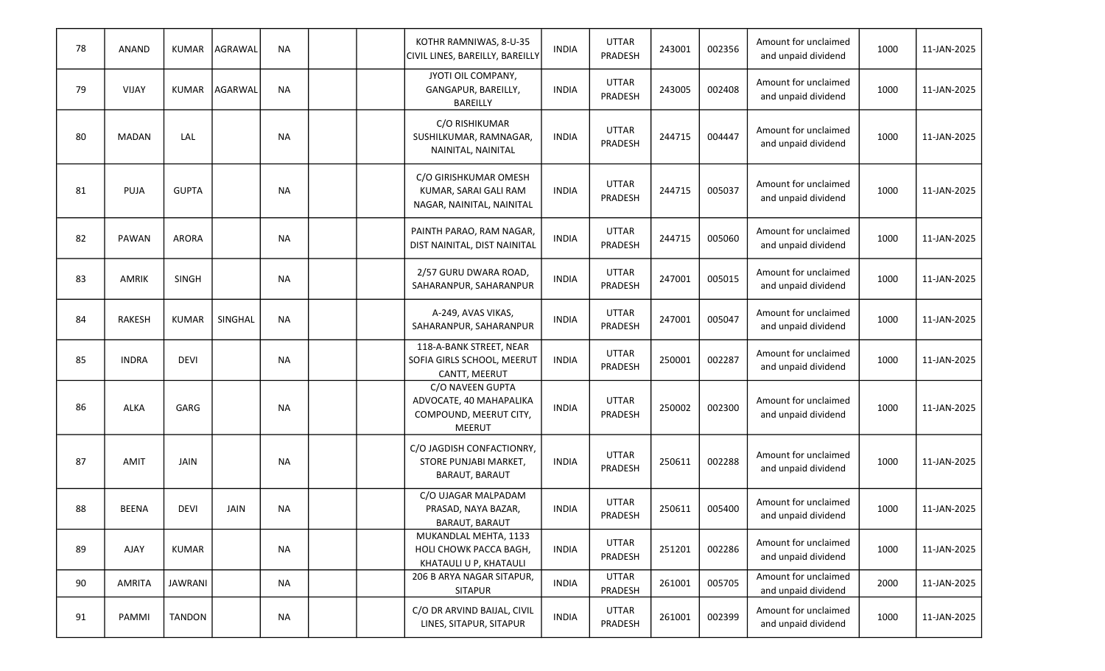| 78 | <b>ANAND</b>  | <b>KUMAR</b>   | AGRAWAL        | <b>NA</b> |  | KOTHR RAMNIWAS, 8-U-35<br>CIVIL LINES, BAREILLY, BAREILLY                              | <b>INDIA</b> | <b>UTTAR</b><br>PRADESH | 243001 | 002356 | Amount for unclaimed<br>and unpaid dividend | 1000 | 11-JAN-2025 |
|----|---------------|----------------|----------------|-----------|--|----------------------------------------------------------------------------------------|--------------|-------------------------|--------|--------|---------------------------------------------|------|-------------|
| 79 | VIJAY         | <b>KUMAR</b>   | <b>AGARWAL</b> | <b>NA</b> |  | JYOTI OIL COMPANY,<br>GANGAPUR, BAREILLY,<br><b>BAREILLY</b>                           | <b>INDIA</b> | <b>UTTAR</b><br>PRADESH | 243005 | 002408 | Amount for unclaimed<br>and unpaid dividend | 1000 | 11-JAN-2025 |
| 80 | <b>MADAN</b>  | LAL            |                | <b>NA</b> |  | C/O RISHIKUMAR<br>SUSHILKUMAR, RAMNAGAR,<br>NAINITAL, NAINITAL                         | <b>INDIA</b> | <b>UTTAR</b><br>PRADESH | 244715 | 004447 | Amount for unclaimed<br>and unpaid dividend | 1000 | 11-JAN-2025 |
| 81 | <b>PUJA</b>   | <b>GUPTA</b>   |                | <b>NA</b> |  | C/O GIRISHKUMAR OMESH<br>KUMAR, SARAI GALI RAM<br>NAGAR, NAINITAL, NAINITAL            | <b>INDIA</b> | <b>UTTAR</b><br>PRADESH | 244715 | 005037 | Amount for unclaimed<br>and unpaid dividend | 1000 | 11-JAN-2025 |
| 82 | PAWAN         | <b>ARORA</b>   |                | <b>NA</b> |  | PAINTH PARAO, RAM NAGAR,<br>DIST NAINITAL, DIST NAINITAL                               | <b>INDIA</b> | <b>UTTAR</b><br>PRADESH | 244715 | 005060 | Amount for unclaimed<br>and unpaid dividend | 1000 | 11-JAN-2025 |
| 83 | AMRIK         | <b>SINGH</b>   |                | <b>NA</b> |  | 2/57 GURU DWARA ROAD,<br>SAHARANPUR, SAHARANPUR                                        | <b>INDIA</b> | <b>UTTAR</b><br>PRADESH | 247001 | 005015 | Amount for unclaimed<br>and unpaid dividend | 1000 | 11-JAN-2025 |
| 84 | <b>RAKESH</b> | <b>KUMAR</b>   | SINGHAL        | <b>NA</b> |  | A-249, AVAS VIKAS,<br>SAHARANPUR, SAHARANPUR                                           | <b>INDIA</b> | <b>UTTAR</b><br>PRADESH | 247001 | 005047 | Amount for unclaimed<br>and unpaid dividend | 1000 | 11-JAN-2025 |
| 85 | <b>INDRA</b>  | <b>DEVI</b>    |                | <b>NA</b> |  | 118-A-BANK STREET, NEAR<br>SOFIA GIRLS SCHOOL, MEERUT<br>CANTT, MEERUT                 | <b>INDIA</b> | <b>UTTAR</b><br>PRADESH | 250001 | 002287 | Amount for unclaimed<br>and unpaid dividend | 1000 | 11-JAN-2025 |
| 86 | <b>ALKA</b>   | GARG           |                | <b>NA</b> |  | C/O NAVEEN GUPTA<br>ADVOCATE, 40 MAHAPALIKA<br>COMPOUND, MEERUT CITY,<br><b>MEERUT</b> | <b>INDIA</b> | <b>UTTAR</b><br>PRADESH | 250002 | 002300 | Amount for unclaimed<br>and unpaid dividend | 1000 | 11-JAN-2025 |
| 87 | <b>AMIT</b>   | JAIN           |                | <b>NA</b> |  | C/O JAGDISH CONFACTIONRY,<br>STORE PUNJABI MARKET,<br>BARAUT, BARAUT                   | <b>INDIA</b> | <b>UTTAR</b><br>PRADESH | 250611 | 002288 | Amount for unclaimed<br>and unpaid dividend | 1000 | 11-JAN-2025 |
| 88 | <b>BEENA</b>  | <b>DEVI</b>    | JAIN           | <b>NA</b> |  | C/O UJAGAR MALPADAM<br>PRASAD, NAYA BAZAR,<br>BARAUT, BARAUT                           | <b>INDIA</b> | <b>UTTAR</b><br>PRADESH | 250611 | 005400 | Amount for unclaimed<br>and unpaid dividend | 1000 | 11-JAN-2025 |
| 89 | AJAY          | <b>KUMAR</b>   |                | <b>NA</b> |  | MUKANDLAL MEHTA, 1133<br>HOLI CHOWK PACCA BAGH,<br>KHATAULI U P, KHATAULI              | <b>INDIA</b> | <b>UTTAR</b><br>PRADESH | 251201 | 002286 | Amount for unclaimed<br>and unpaid dividend | 1000 | 11-JAN-2025 |
| 90 | <b>AMRITA</b> | <b>JAWRANI</b> |                | <b>NA</b> |  | 206 B ARYA NAGAR SITAPUR,<br><b>SITAPUR</b>                                            | <b>INDIA</b> | <b>UTTAR</b><br>PRADESH | 261001 | 005705 | Amount for unclaimed<br>and unpaid dividend | 2000 | 11-JAN-2025 |
| 91 | PAMMI         | <b>TANDON</b>  |                | <b>NA</b> |  | C/O DR ARVIND BAIJAL, CIVIL<br>LINES, SITAPUR, SITAPUR                                 | <b>INDIA</b> | <b>UTTAR</b><br>PRADESH | 261001 | 002399 | Amount for unclaimed<br>and unpaid dividend | 1000 | 11-JAN-2025 |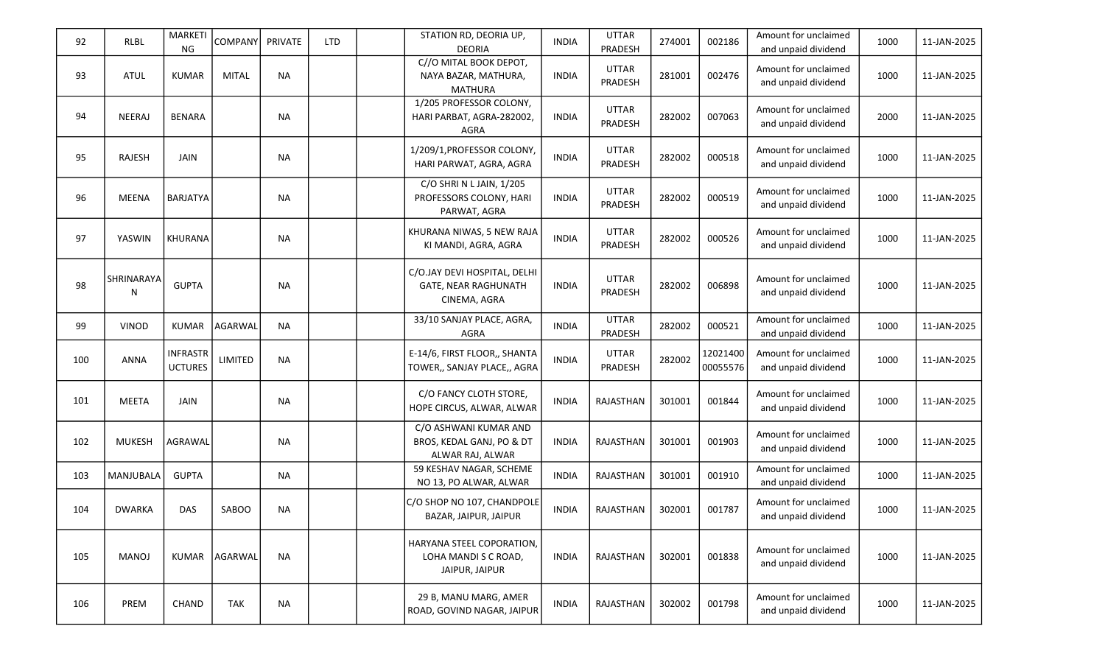| 92  | <b>RLBL</b>      | MARKETI<br><b>NG</b>              | COMPANY PRIVATE |           | <b>LTD</b> | STATION RD, DEORIA UP,<br><b>DEORIA</b>                                | <b>INDIA</b> | <b>UTTAR</b><br>PRADESH        | 274001 | 002186               | Amount for unclaimed<br>and unpaid dividend | 1000 | 11-JAN-2025 |
|-----|------------------|-----------------------------------|-----------------|-----------|------------|------------------------------------------------------------------------|--------------|--------------------------------|--------|----------------------|---------------------------------------------|------|-------------|
| 93  | <b>ATUL</b>      | <b>KUMAR</b>                      | <b>MITAL</b>    | <b>NA</b> |            | C//O MITAL BOOK DEPOT,<br>NAYA BAZAR, MATHURA,<br><b>MATHURA</b>       | <b>INDIA</b> | <b>UTTAR</b><br><b>PRADESH</b> | 281001 | 002476               | Amount for unclaimed<br>and unpaid dividend | 1000 | 11-JAN-2025 |
| 94  | NEERAJ           | <b>BENARA</b>                     |                 | <b>NA</b> |            | 1/205 PROFESSOR COLONY,<br>HARI PARBAT, AGRA-282002,<br>AGRA           | <b>INDIA</b> | <b>UTTAR</b><br>PRADESH        | 282002 | 007063               | Amount for unclaimed<br>and unpaid dividend | 2000 | 11-JAN-2025 |
| 95  | RAJESH           | <b>JAIN</b>                       |                 | <b>NA</b> |            | 1/209/1, PROFESSOR COLONY,<br>HARI PARWAT, AGRA, AGRA                  | <b>INDIA</b> | <b>UTTAR</b><br>PRADESH        | 282002 | 000518               | Amount for unclaimed<br>and unpaid dividend | 1000 | 11-JAN-2025 |
| 96  | <b>MEENA</b>     | <b>BARJATYA</b>                   |                 | <b>NA</b> |            | C/O SHRI N L JAIN, 1/205<br>PROFESSORS COLONY, HARI<br>PARWAT, AGRA    | <b>INDIA</b> | <b>UTTAR</b><br>PRADESH        | 282002 | 000519               | Amount for unclaimed<br>and unpaid dividend | 1000 | 11-JAN-2025 |
| 97  | YASWIN           | KHURANA                           |                 | <b>NA</b> |            | KHURANA NIWAS, 5 NEW RAJA<br>KI MANDI, AGRA, AGRA                      | <b>INDIA</b> | <b>UTTAR</b><br>PRADESH        | 282002 | 000526               | Amount for unclaimed<br>and unpaid dividend | 1000 | 11-JAN-2025 |
| 98  | SHRINARAYA<br>N  | <b>GUPTA</b>                      |                 | <b>NA</b> |            | C/O.JAY DEVI HOSPITAL, DELHI<br>GATE, NEAR RAGHUNATH<br>CINEMA, AGRA   | <b>INDIA</b> | <b>UTTAR</b><br>PRADESH        | 282002 | 006898               | Amount for unclaimed<br>and unpaid dividend | 1000 | 11-JAN-2025 |
| 99  | <b>VINOD</b>     | <b>KUMAR</b>                      | AGARWAL         | <b>NA</b> |            | 33/10 SANJAY PLACE, AGRA,<br>AGRA                                      | <b>INDIA</b> | <b>UTTAR</b><br>PRADESH        | 282002 | 000521               | Amount for unclaimed<br>and unpaid dividend | 1000 | 11-JAN-2025 |
| 100 | <b>ANNA</b>      | <b>INFRASTR</b><br><b>UCTURES</b> | LIMITED         | <b>NA</b> |            | E-14/6, FIRST FLOOR,, SHANTA<br>TOWER,, SANJAY PLACE,, AGRA            | <b>INDIA</b> | <b>UTTAR</b><br>PRADESH        | 282002 | 12021400<br>00055576 | Amount for unclaimed<br>and unpaid dividend | 1000 | 11-JAN-2025 |
| 101 | <b>MEETA</b>     | <b>JAIN</b>                       |                 | <b>NA</b> |            | C/O FANCY CLOTH STORE,<br>HOPE CIRCUS, ALWAR, ALWAR                    | <b>INDIA</b> | RAJASTHAN                      | 301001 | 001844               | Amount for unclaimed<br>and unpaid dividend | 1000 | 11-JAN-2025 |
| 102 | <b>MUKESH</b>    | AGRAWAL                           |                 | <b>NA</b> |            | C/O ASHWANI KUMAR AND<br>BROS, KEDAL GANJ, PO & DT<br>ALWAR RAJ, ALWAR | <b>INDIA</b> | RAJASTHAN                      | 301001 | 001903               | Amount for unclaimed<br>and unpaid dividend | 1000 | 11-JAN-2025 |
| 103 | <b>MANJUBALA</b> | <b>GUPTA</b>                      |                 | <b>NA</b> |            | 59 KESHAV NAGAR, SCHEME<br>NO 13, PO ALWAR, ALWAR                      | <b>INDIA</b> | RAJASTHAN                      | 301001 | 001910               | Amount for unclaimed<br>and unpaid dividend | 1000 | 11-JAN-2025 |
| 104 | <b>DWARKA</b>    | DAS                               | SABOO           | <b>NA</b> |            | C/O SHOP NO 107, CHANDPOLE<br>BAZAR, JAIPUR, JAIPUR                    | <b>INDIA</b> | RAJASTHAN                      | 302001 | 001787               | Amount for unclaimed<br>and unpaid dividend | 1000 | 11-JAN-2025 |
| 105 | <b>MANOJ</b>     | KUMAR                             | AGARWAL         | <b>NA</b> |            | HARYANA STEEL COPORATION,<br>LOHA MANDI S C ROAD,<br>JAIPUR, JAIPUR    | <b>INDIA</b> | RAJASTHAN                      | 302001 | 001838               | Amount for unclaimed<br>and unpaid dividend | 1000 | 11-JAN-2025 |
| 106 | PREM             | CHAND                             | TAK             | <b>NA</b> |            | 29 B, MANU MARG, AMER<br>ROAD, GOVIND NAGAR, JAIPUR                    | <b>INDIA</b> | RAJASTHAN                      | 302002 | 001798               | Amount for unclaimed<br>and unpaid dividend | 1000 | 11-JAN-2025 |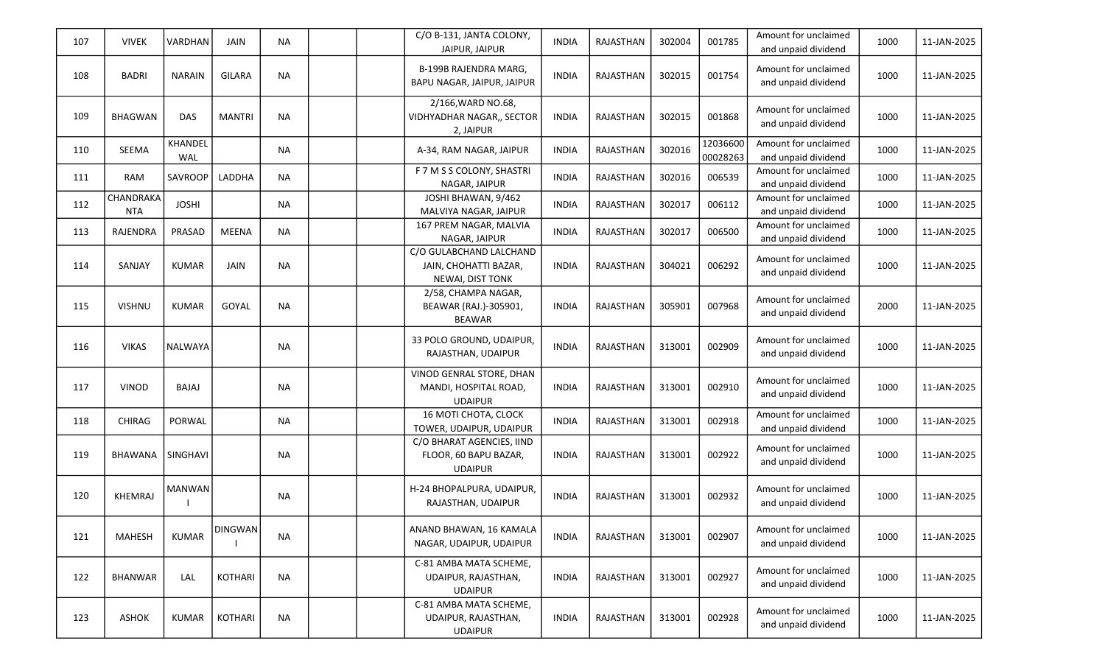| 107 | <b>VIVEK</b>            | VARDHAN        | JAIN           | <b>NA</b> |  | C/O B-131, JANTA COLONY,<br>JAIPUR, JAIPUR                           | <b>INDIA</b> | RAJASTHAN        | 302004 | 001785               | Amount for unclaimed<br>and unpaid dividend | 1000 | 11-JAN-2025 |
|-----|-------------------------|----------------|----------------|-----------|--|----------------------------------------------------------------------|--------------|------------------|--------|----------------------|---------------------------------------------|------|-------------|
| 108 | <b>BADRI</b>            | <b>NARAIN</b>  | <b>GILARA</b>  | <b>NA</b> |  | <b>B-199B RAJENDRA MARG,</b><br>BAPU NAGAR, JAIPUR, JAIPUR           | <b>INDIA</b> | RAJASTHAN        | 302015 | 001754               | Amount for unclaimed<br>and unpaid dividend | 1000 | 11-JAN-2025 |
| 109 | <b>BHAGWAN</b>          | DAS            | <b>MANTRI</b>  | <b>NA</b> |  | 2/166, WARD NO.68,<br>VIDHYADHAR NAGAR,, SECTOR<br>2, JAIPUR         | <b>INDIA</b> | RAJASTHAN        | 302015 | 001868               | Amount for unclaimed<br>and unpaid dividend | 1000 | 11-JAN-2025 |
| 110 | SEEMA                   | KHANDEL<br>WAL |                | <b>NA</b> |  | A-34, RAM NAGAR, JAIPUR                                              | <b>INDIA</b> | <b>RAJASTHAN</b> | 302016 | 12036600<br>00028263 | Amount for unclaimed<br>and unpaid dividend | 1000 | 11-JAN-2025 |
| 111 | <b>RAM</b>              | SAVROOP        | LADDHA         | <b>NA</b> |  | F 7 M S S COLONY, SHASTRI<br>NAGAR, JAIPUR                           | <b>INDIA</b> | RAJASTHAN        | 302016 | 006539               | Amount for unclaimed<br>and unpaid dividend | 1000 | 11-JAN-2025 |
| 112 | CHANDRAKA<br><b>NTA</b> | <b>JOSHI</b>   |                | <b>NA</b> |  | JOSHI BHAWAN, 9/462<br>MALVIYA NAGAR, JAIPUR                         | <b>INDIA</b> | RAJASTHAN        | 302017 | 006112               | Amount for unclaimed<br>and unpaid dividend | 1000 | 11-JAN-2025 |
| 113 | RAJENDRA                | PRASAD         | MEENA          | <b>NA</b> |  | 167 PREM NAGAR, MALVIA<br>NAGAR, JAIPUR                              | <b>INDIA</b> | RAJASTHAN        | 302017 | 006500               | Amount for unclaimed<br>and unpaid dividend | 1000 | 11-JAN-2025 |
| 114 | SANJAY                  | <b>KUMAR</b>   | <b>JAIN</b>    | <b>NA</b> |  | C/O GULABCHAND LALCHAND<br>JAIN, CHOHATTI BAZAR,<br>NEWAI, DIST TONK | <b>INDIA</b> | RAJASTHAN        | 304021 | 006292               | Amount for unclaimed<br>and unpaid dividend | 1000 | 11-JAN-2025 |
| 115 | <b>VISHNU</b>           | <b>KUMAR</b>   | GOYAL          | <b>NA</b> |  | 2/58, CHAMPA NAGAR,<br>BEAWAR (RAJ.)-305901,<br><b>BEAWAR</b>        | <b>INDIA</b> | RAJASTHAN        | 305901 | 007968               | Amount for unclaimed<br>and unpaid dividend | 2000 | 11-JAN-2025 |
| 116 | <b>VIKAS</b>            | <b>NALWAYA</b> |                | <b>NA</b> |  | 33 POLO GROUND, UDAIPUR,<br>RAJASTHAN, UDAIPUR                       | <b>INDIA</b> | RAJASTHAN        | 313001 | 002909               | Amount for unclaimed<br>and unpaid dividend | 1000 | 11-JAN-2025 |
| 117 | <b>VINOD</b>            | BAJAJ          |                | <b>NA</b> |  | VINOD GENRAL STORE, DHAN<br>MANDI, HOSPITAL ROAD,<br><b>UDAIPUR</b>  | <b>INDIA</b> | RAJASTHAN        | 313001 | 002910               | Amount for unclaimed<br>and unpaid dividend | 1000 | 11-JAN-2025 |
| 118 | <b>CHIRAG</b>           | PORWAL         |                | <b>NA</b> |  | 16 MOTI CHOTA, CLOCK<br>TOWER, UDAIPUR, UDAIPUR                      | <b>INDIA</b> | RAJASTHAN        | 313001 | 002918               | Amount for unclaimed<br>and unpaid dividend | 1000 | 11-JAN-2025 |
| 119 | <b>BHAWANA</b>          | SINGHAVI       |                | <b>NA</b> |  | C/O BHARAT AGENCIES, IIND<br>FLOOR, 60 BAPU BAZAR,<br><b>UDAIPUR</b> | <b>INDIA</b> | RAJASTHAN        | 313001 | 002922               | Amount for unclaimed<br>and unpaid dividend | 1000 | 11-JAN-2025 |
| 120 | KHEMRAJ                 | <b>MANWAN</b>  |                | <b>NA</b> |  | H-24 BHOPALPURA, UDAIPUR,<br>RAJASTHAN, UDAIPUR                      | <b>INDIA</b> | RAJASTHAN        | 313001 | 002932               | Amount for unclaimed<br>and unpaid dividend | 1000 | 11-JAN-2025 |
| 121 | <b>MAHESH</b>           | <b>KUMAR</b>   | <b>DINGWAN</b> | <b>NA</b> |  | ANAND BHAWAN, 16 KAMALA<br>NAGAR, UDAIPUR, UDAIPUR                   | <b>INDIA</b> | RAJASTHAN        | 313001 | 002907               | Amount for unclaimed<br>and unpaid dividend | 1000 | 11-JAN-2025 |
| 122 | <b>BHANWAR</b>          | LAL            | <b>KOTHARI</b> | <b>NA</b> |  | C-81 AMBA MATA SCHEME,<br>UDAIPUR, RAJASTHAN,<br><b>UDAIPUR</b>      | <b>INDIA</b> | RAJASTHAN        | 313001 | 002927               | Amount for unclaimed<br>and unpaid dividend | 1000 | 11-JAN-2025 |
| 123 | ASHOK                   | <b>KUMAR</b>   | KOTHARI        | <b>NA</b> |  | C-81 AMBA MATA SCHEME,<br>UDAIPUR, RAJASTHAN,<br><b>UDAIPUR</b>      | <b>INDIA</b> | <b>RAJASTHAN</b> | 313001 | 002928               | Amount for unclaimed<br>and unpaid dividend | 1000 | 11-JAN-2025 |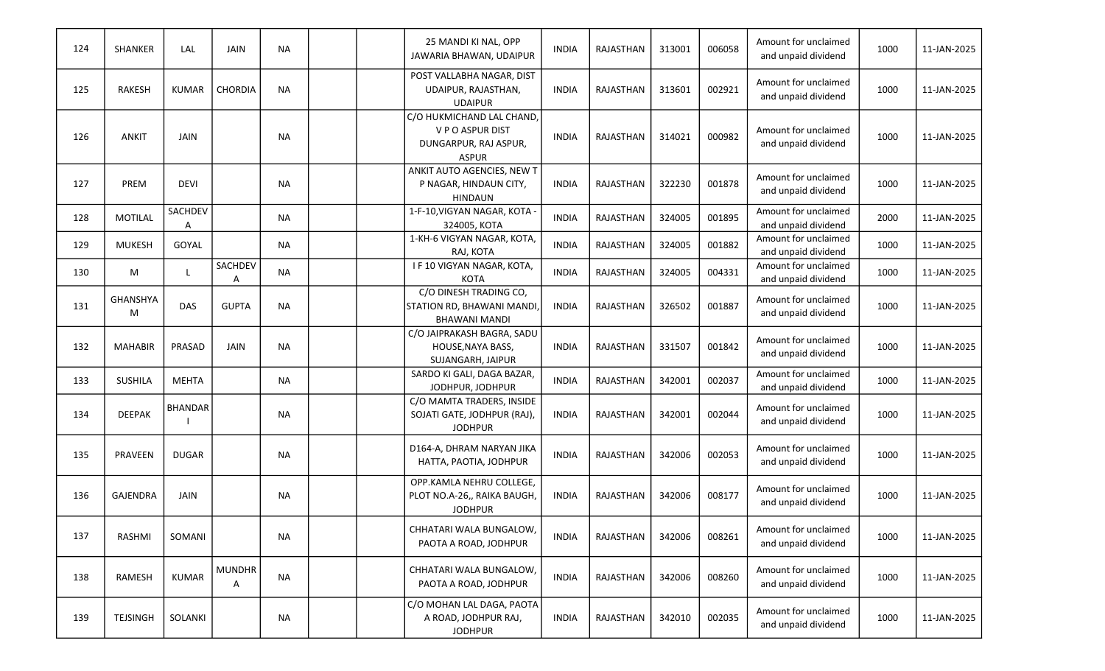| 124 | <b>SHANKER</b>       | LAL            | <b>JAIN</b>        | <b>NA</b> |  | 25 MANDI KI NAL, OPP<br>JAWARIA BHAWAN, UDAIPUR                                       | <b>INDIA</b> | <b>RAJASTHAN</b> | 313001 | 006058 | Amount for unclaimed<br>and unpaid dividend | 1000 | 11-JAN-2025 |
|-----|----------------------|----------------|--------------------|-----------|--|---------------------------------------------------------------------------------------|--------------|------------------|--------|--------|---------------------------------------------|------|-------------|
| 125 | <b>RAKESH</b>        | <b>KUMAR</b>   | <b>CHORDIA</b>     | <b>NA</b> |  | POST VALLABHA NAGAR, DIST<br>UDAIPUR, RAJASTHAN,<br><b>UDAIPUR</b>                    | <b>INDIA</b> | RAJASTHAN        | 313601 | 002921 | Amount for unclaimed<br>and unpaid dividend | 1000 | 11-JAN-2025 |
| 126 | <b>ANKIT</b>         | <b>JAIN</b>    |                    | <b>NA</b> |  | C/O HUKMICHAND LAL CHAND<br>V P O ASPUR DIST<br>DUNGARPUR, RAJ ASPUR,<br><b>ASPUR</b> | <b>INDIA</b> | <b>RAJASTHAN</b> | 314021 | 000982 | Amount for unclaimed<br>and unpaid dividend | 1000 | 11-JAN-2025 |
| 127 | <b>PREM</b>          | <b>DEVI</b>    |                    | <b>NA</b> |  | ANKIT AUTO AGENCIES, NEW T<br>P NAGAR, HINDAUN CITY,<br><b>HINDAUN</b>                | <b>INDIA</b> | RAJASTHAN        | 322230 | 001878 | Amount for unclaimed<br>and unpaid dividend | 1000 | 11-JAN-2025 |
| 128 | <b>MOTILAL</b>       | SACHDEV<br>A   |                    | <b>NA</b> |  | 1-F-10, VIGYAN NAGAR, KOTA<br>324005, KOTA                                            | <b>INDIA</b> | RAJASTHAN        | 324005 | 001895 | Amount for unclaimed<br>and unpaid dividend | 2000 | 11-JAN-2025 |
| 129 | <b>MUKESH</b>        | GOYAL          |                    | <b>NA</b> |  | 1-KH-6 VIGYAN NAGAR, KOTA,<br>RAJ, KOTA                                               | <b>INDIA</b> | <b>RAJASTHAN</b> | 324005 | 001882 | Amount for unclaimed<br>and unpaid dividend | 1000 | 11-JAN-2025 |
| 130 | M                    |                | SACHDEV<br>А       | <b>NA</b> |  | I F 10 VIGYAN NAGAR, KOTA,<br>KOTA                                                    | <b>INDIA</b> | RAJASTHAN        | 324005 | 004331 | Amount for unclaimed<br>and unpaid dividend | 1000 | 11-JAN-2025 |
| 131 | <b>GHANSHYA</b><br>M | DAS            | <b>GUPTA</b>       | <b>NA</b> |  | C/O DINESH TRADING CO,<br>STATION RD, BHAWANI MANDI<br><b>BHAWANI MANDI</b>           | <b>INDIA</b> | RAJASTHAN        | 326502 | 001887 | Amount for unclaimed<br>and unpaid dividend | 1000 | 11-JAN-2025 |
| 132 | <b>MAHABIR</b>       | PRASAD         | <b>JAIN</b>        | <b>NA</b> |  | C/O JAIPRAKASH BAGRA, SADU<br>HOUSE, NAYA BASS,<br>SUJANGARH, JAIPUR                  | <b>INDIA</b> | RAJASTHAN        | 331507 | 001842 | Amount for unclaimed<br>and unpaid dividend | 1000 | 11-JAN-2025 |
| 133 | <b>SUSHILA</b>       | <b>MEHTA</b>   |                    | <b>NA</b> |  | SARDO KI GALI, DAGA BAZAR,<br>JODHPUR, JODHPUR                                        | <b>INDIA</b> | RAJASTHAN        | 342001 | 002037 | Amount for unclaimed<br>and unpaid dividend | 1000 | 11-JAN-2025 |
| 134 | <b>DEEPAK</b>        | <b>BHANDAR</b> |                    | <b>NA</b> |  | C/O MAMTA TRADERS, INSIDE<br>SOJATI GATE, JODHPUR (RAJ),<br><b>JODHPUR</b>            | <b>INDIA</b> | <b>RAJASTHAN</b> | 342001 | 002044 | Amount for unclaimed<br>and unpaid dividend | 1000 | 11-JAN-2025 |
| 135 | PRAVEEN              | <b>DUGAR</b>   |                    | <b>NA</b> |  | D164-A, DHRAM NARYAN JIKA<br>HATTA, PAOTIA, JODHPUR                                   | <b>INDIA</b> | <b>RAJASTHAN</b> | 342006 | 002053 | Amount for unclaimed<br>and unpaid dividend | 1000 | 11-JAN-2025 |
| 136 | <b>GAJENDRA</b>      | JAIN           |                    | <b>NA</b> |  | OPP.KAMLA NEHRU COLLEGE,<br>PLOT NO.A-26,, RAIKA BAUGH,<br><b>JODHPUR</b>             | <b>INDIA</b> | <b>RAJASTHAN</b> | 342006 | 008177 | Amount for unclaimed<br>and unpaid dividend | 1000 | 11-JAN-2025 |
| 137 | RASHMI               | SOMANI         |                    | <b>NA</b> |  | CHHATARI WALA BUNGALOW,<br>PAOTA A ROAD, JODHPUR                                      | <b>INDIA</b> | RAJASTHAN        | 342006 | 008261 | Amount for unclaimed<br>and unpaid dividend | 1000 | 11-JAN-2025 |
| 138 | RAMESH               | <b>KUMAR</b>   | <b>MUNDHR</b><br>Α | <b>NA</b> |  | CHHATARI WALA BUNGALOW<br>PAOTA A ROAD, JODHPUR                                       | <b>INDIA</b> | RAJASTHAN        | 342006 | 008260 | Amount for unclaimed<br>and unpaid dividend | 1000 | 11-JAN-2025 |
| 139 | <b>TEJSINGH</b>      | SOLANKI        |                    | <b>NA</b> |  | C/O MOHAN LAL DAGA, PAOTA<br>A ROAD, JODHPUR RAJ,<br><b>JODHPUR</b>                   | <b>INDIA</b> | RAJASTHAN        | 342010 | 002035 | Amount for unclaimed<br>and unpaid dividend | 1000 | 11-JAN-2025 |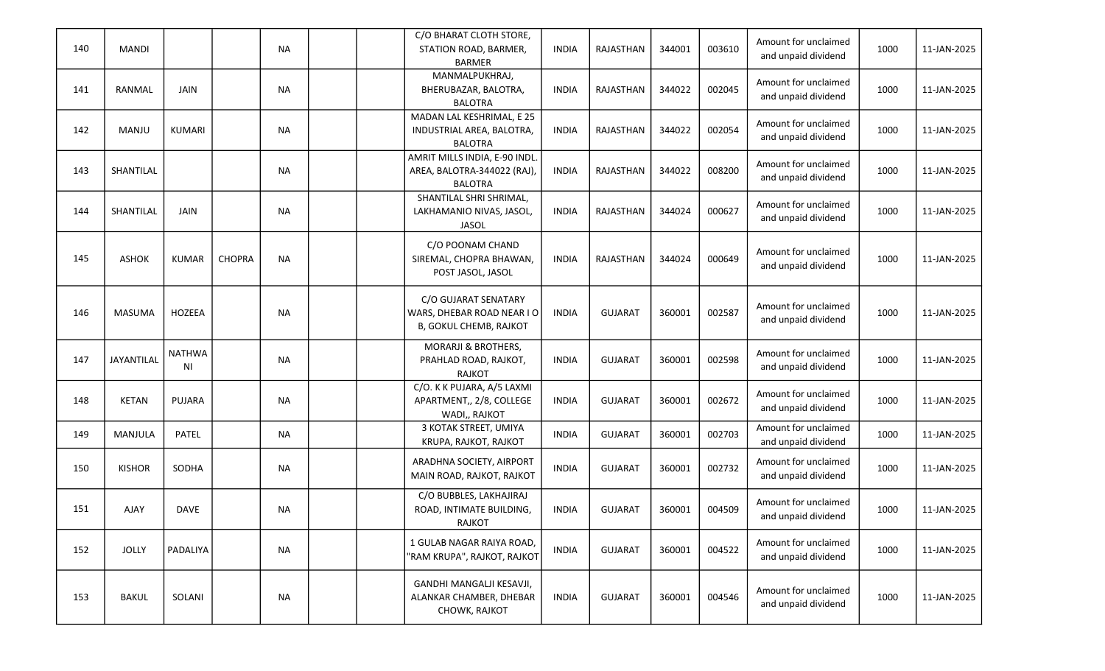| 140 | <b>MANDI</b>  |                     |               | <b>NA</b> |  | C/O BHARAT CLOTH STORE,<br>STATION ROAD, BARMER,<br><b>BARMER</b>             | <b>INDIA</b> | RAJASTHAN        | 344001 | 003610 | Amount for unclaimed<br>and unpaid dividend | 1000 | 11-JAN-2025 |
|-----|---------------|---------------------|---------------|-----------|--|-------------------------------------------------------------------------------|--------------|------------------|--------|--------|---------------------------------------------|------|-------------|
| 141 | RANMAL        | <b>JAIN</b>         |               | <b>NA</b> |  | MANMALPUKHRAJ,<br>BHERUBAZAR, BALOTRA,<br><b>BALOTRA</b>                      | <b>INDIA</b> | <b>RAJASTHAN</b> | 344022 | 002045 | Amount for unclaimed<br>and unpaid dividend | 1000 | 11-JAN-2025 |
| 142 | MANJU         | <b>KUMARI</b>       |               | <b>NA</b> |  | MADAN LAL KESHRIMAL, E 25<br>INDUSTRIAL AREA, BALOTRA,<br><b>BALOTRA</b>      | <b>INDIA</b> | RAJASTHAN        | 344022 | 002054 | Amount for unclaimed<br>and unpaid dividend | 1000 | 11-JAN-2025 |
| 143 | SHANTILAL     |                     |               | <b>NA</b> |  | AMRIT MILLS INDIA, E-90 INDL<br>AREA, BALOTRA-344022 (RAJ),<br><b>BALOTRA</b> | <b>INDIA</b> | RAJASTHAN        | 344022 | 008200 | Amount for unclaimed<br>and unpaid dividend | 1000 | 11-JAN-2025 |
| 144 | SHANTILAL     | <b>JAIN</b>         |               | <b>NA</b> |  | SHANTILAL SHRI SHRIMAL,<br>LAKHAMANIO NIVAS, JASOL,<br><b>JASOL</b>           | INDIA        | RAJASTHAN        | 344024 | 000627 | Amount for unclaimed<br>and unpaid dividend | 1000 | 11-JAN-2025 |
| 145 | <b>ASHOK</b>  | <b>KUMAR</b>        | <b>CHOPRA</b> | <b>NA</b> |  | C/O POONAM CHAND<br>SIREMAL, CHOPRA BHAWAN,<br>POST JASOL, JASOL              | <b>INDIA</b> | RAJASTHAN        | 344024 | 000649 | Amount for unclaimed<br>and unpaid dividend | 1000 | 11-JAN-2025 |
| 146 | <b>MASUMA</b> | HOZEEA              |               | <b>NA</b> |  | C/O GUJARAT SENATARY<br>WARS, DHEBAR ROAD NEAR I O<br>B, GOKUL CHEMB, RAJKOT  | <b>INDIA</b> | <b>GUJARAT</b>   | 360001 | 002587 | Amount for unclaimed<br>and unpaid dividend | 1000 | 11-JAN-2025 |
| 147 | JAYANTILAL    | <b>NATHWA</b><br>ΝI |               | <b>NA</b> |  | <b>MORARJI &amp; BROTHERS,</b><br>PRAHLAD ROAD, RAJKOT,<br><b>RAJKOT</b>      | <b>INDIA</b> | <b>GUJARAT</b>   | 360001 | 002598 | Amount for unclaimed<br>and unpaid dividend | 1000 | 11-JAN-2025 |
| 148 | <b>KETAN</b>  | PUJARA              |               | <b>NA</b> |  | C/O. K K PUJARA, A/5 LAXMI<br>APARTMENT,, 2/8, COLLEGE<br>WADI,, RAJKOT       | <b>INDIA</b> | <b>GUJARAT</b>   | 360001 | 002672 | Amount for unclaimed<br>and unpaid dividend | 1000 | 11-JAN-2025 |
| 149 | MANJULA       | <b>PATEL</b>        |               | <b>NA</b> |  | 3 KOTAK STREET, UMIYA<br>KRUPA, RAJKOT, RAJKOT                                | <b>INDIA</b> | <b>GUJARAT</b>   | 360001 | 002703 | Amount for unclaimed<br>and unpaid dividend | 1000 | 11-JAN-2025 |
| 150 | <b>KISHOR</b> | SODHA               |               | <b>NA</b> |  | ARADHNA SOCIETY, AIRPORT<br>MAIN ROAD, RAJKOT, RAJKOT                         | <b>INDIA</b> | <b>GUJARAT</b>   | 360001 | 002732 | Amount for unclaimed<br>and unpaid dividend | 1000 | 11-JAN-2025 |
| 151 | <b>AJAY</b>   | <b>DAVE</b>         |               | <b>NA</b> |  | C/O BUBBLES, LAKHAJIRAJ<br>ROAD, INTIMATE BUILDING,<br>RAJKOT                 | <b>INDIA</b> | <b>GUJARAT</b>   | 360001 | 004509 | Amount for unclaimed<br>and unpaid dividend | 1000 | 11-JAN-2025 |
| 152 | <b>JOLLY</b>  | PADALIYA            |               | NA        |  | 1 GULAB NAGAR RAIYA ROAD,<br>"RAM KRUPA", RAJKOT, RAJKOT                      | <b>INDIA</b> | <b>GUJARAT</b>   | 360001 | 004522 | Amount for unclaimed<br>and unpaid dividend | 1000 | 11-JAN-2025 |
| 153 | <b>BAKUL</b>  | SOLANI              |               | <b>NA</b> |  | GANDHI MANGALJI KESAVJI,<br>ALANKAR CHAMBER, DHEBAR<br>CHOWK, RAJKOT          | <b>INDIA</b> | <b>GUJARAT</b>   | 360001 | 004546 | Amount for unclaimed<br>and unpaid dividend | 1000 | 11-JAN-2025 |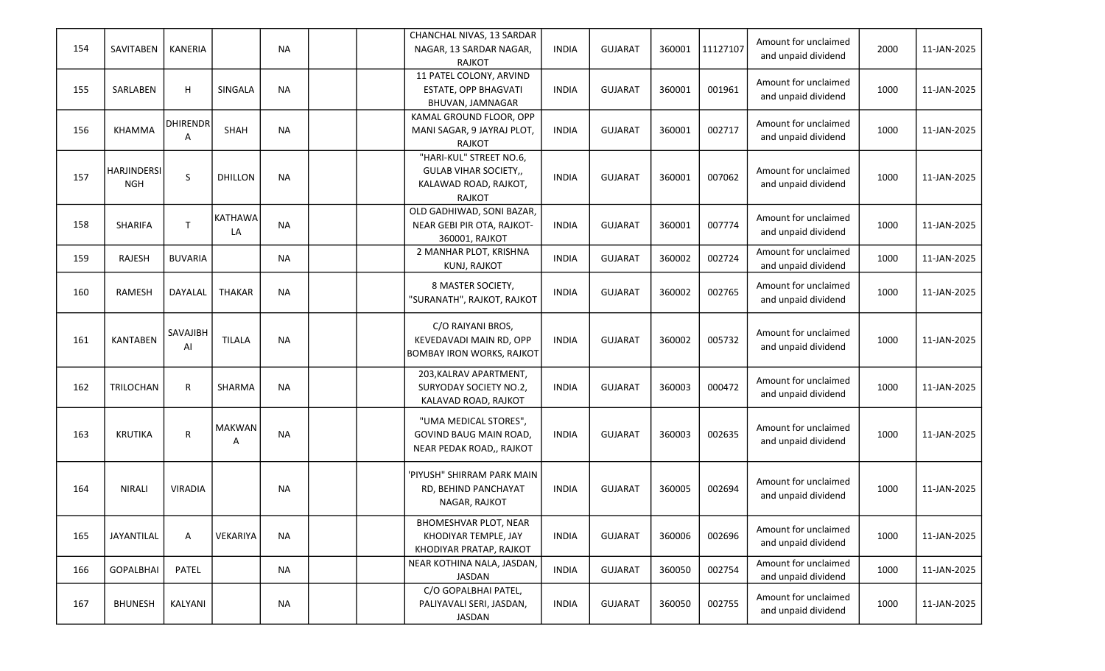|     |                    |                 |                |           |  | CHANCHAL NIVAS, 13 SARDAR        |              |                |        |          | Amount for unclaimed |      |             |
|-----|--------------------|-----------------|----------------|-----------|--|----------------------------------|--------------|----------------|--------|----------|----------------------|------|-------------|
| 154 | SAVITABEN          | <b>KANERIA</b>  |                | <b>NA</b> |  | NAGAR, 13 SARDAR NAGAR,          | <b>INDIA</b> | <b>GUJARAT</b> | 360001 | 11127107 | and unpaid dividend  | 2000 | 11-JAN-2025 |
|     |                    |                 |                |           |  | <b>RAJKOT</b>                    |              |                |        |          |                      |      |             |
|     |                    |                 |                |           |  | 11 PATEL COLONY, ARVIND          |              |                |        |          | Amount for unclaimed |      |             |
| 155 | SARLABEN           | H               | SINGALA        | <b>NA</b> |  | ESTATE, OPP BHAGVATI             | <b>INDIA</b> | <b>GUJARAT</b> | 360001 | 001961   | and unpaid dividend  | 1000 | 11-JAN-2025 |
|     |                    |                 |                |           |  | BHUVAN, JAMNAGAR                 |              |                |        |          |                      |      |             |
|     |                    | <b>DHIRENDR</b> |                |           |  | KAMAL GROUND FLOOR, OPP          |              |                |        |          | Amount for unclaimed |      |             |
| 156 | <b>KHAMMA</b>      | Α               | SHAH           | <b>NA</b> |  | MANI SAGAR, 9 JAYRAJ PLOT,       | <b>INDIA</b> | <b>GUJARAT</b> | 360001 | 002717   | and unpaid dividend  | 1000 | 11-JAN-2025 |
|     |                    |                 |                |           |  | <b>RAJKOT</b>                    |              |                |        |          |                      |      |             |
|     |                    |                 |                |           |  | "HARI-KUL" STREET NO.6,          |              |                |        |          |                      |      |             |
| 157 | <b>HARJINDERSI</b> | S               | <b>DHILLON</b> | <b>NA</b> |  | <b>GULAB VIHAR SOCIETY,,</b>     | <b>INDIA</b> | <b>GUJARAT</b> | 360001 | 007062   | Amount for unclaimed | 1000 | 11-JAN-2025 |
|     | <b>NGH</b>         |                 |                |           |  | KALAWAD ROAD, RAJKOT,            |              |                |        |          | and unpaid dividend  |      |             |
|     |                    |                 |                |           |  | <b>RAJKOT</b>                    |              |                |        |          |                      |      |             |
|     |                    |                 | <b>KATHAWA</b> |           |  | OLD GADHIWAD, SONI BAZAR,        |              |                |        |          | Amount for unclaimed |      |             |
| 158 | SHARIFA            | $\mathsf{T}$    | LA             | <b>NA</b> |  | NEAR GEBI PIR OTA, RAJKOT-       | <b>INDIA</b> | <b>GUJARAT</b> | 360001 | 007774   | and unpaid dividend  | 1000 | 11-JAN-2025 |
|     |                    |                 |                |           |  | 360001, RAJKOT                   |              |                |        |          |                      |      |             |
| 159 | RAJESH             | <b>BUVARIA</b>  |                | <b>NA</b> |  | 2 MANHAR PLOT, KRISHNA           | <b>INDIA</b> | <b>GUJARAT</b> | 360002 | 002724   | Amount for unclaimed | 1000 | 11-JAN-2025 |
|     |                    |                 |                |           |  | KUNJ, RAJKOT                     |              |                |        |          | and unpaid dividend  |      |             |
|     |                    |                 |                |           |  | 8 MASTER SOCIETY,                |              |                |        |          | Amount for unclaimed |      |             |
| 160 | <b>RAMESH</b>      | DAYALAL         | <b>THAKAR</b>  | <b>NA</b> |  | "SURANATH", RAJKOT, RAJKOT       | <b>INDIA</b> | <b>GUJARAT</b> | 360002 | 002765   | and unpaid dividend  | 1000 | 11-JAN-2025 |
|     |                    |                 |                |           |  |                                  |              |                |        |          |                      |      |             |
|     |                    |                 |                |           |  | C/O RAIYANI BROS,                |              |                |        |          |                      |      |             |
| 161 | <b>KANTABEN</b>    | SAVAJIBH        | <b>TILALA</b>  | <b>NA</b> |  | KEVEDAVADI MAIN RD, OPP          | <b>INDIA</b> | <b>GUJARAT</b> | 360002 | 005732   | Amount for unclaimed | 1000 | 11-JAN-2025 |
|     |                    | Al              |                |           |  | <b>BOMBAY IRON WORKS, RAJKOT</b> |              |                |        |          | and unpaid dividend  |      |             |
|     |                    |                 |                |           |  |                                  |              |                |        |          |                      |      |             |
| 162 |                    |                 |                |           |  | 203, KALRAV APARTMENT,           |              |                |        |          | Amount for unclaimed |      |             |
|     | TRILOCHAN          | R               | SHARMA         | <b>NA</b> |  | SURYODAY SOCIETY NO.2,           | <b>INDIA</b> | <b>GUJARAT</b> | 360003 | 000472   | and unpaid dividend  | 1000 | 11-JAN-2025 |
|     |                    |                 |                |           |  | KALAVAD ROAD, RAJKOT             |              |                |        |          |                      |      |             |
|     |                    |                 | <b>MAKWAN</b>  |           |  | "UMA MEDICAL STORES",            |              |                |        |          | Amount for unclaimed |      |             |
| 163 | <b>KRUTIKA</b>     | R               |                | <b>NA</b> |  | <b>GOVIND BAUG MAIN ROAD,</b>    | <b>INDIA</b> | <b>GUJARAT</b> | 360003 | 002635   | and unpaid dividend  | 1000 | 11-JAN-2025 |
|     |                    |                 | Α              |           |  | NEAR PEDAK ROAD,, RAJKOT         |              |                |        |          |                      |      |             |
|     |                    |                 |                |           |  |                                  |              |                |        |          |                      |      |             |
|     |                    |                 |                |           |  | 'PIYUSH" SHIRRAM PARK MAIN       |              |                |        |          | Amount for unclaimed |      |             |
| 164 | <b>NIRALI</b>      | <b>VIRADIA</b>  |                | <b>NA</b> |  | RD, BEHIND PANCHAYAT             | <b>INDIA</b> | <b>GUJARAT</b> | 360005 | 002694   | and unpaid dividend  | 1000 | 11-JAN-2025 |
|     |                    |                 |                |           |  | NAGAR, RAJKOT                    |              |                |        |          |                      |      |             |
|     |                    |                 |                |           |  | <b>BHOMESHVAR PLOT, NEAR</b>     |              |                |        |          |                      |      |             |
| 165 | JAYANTILAL         | A               | VEKARIYA       | <b>NA</b> |  | KHODIYAR TEMPLE, JAY             | <b>INDIA</b> | <b>GUJARAT</b> | 360006 | 002696   | Amount for unclaimed | 1000 | 11-JAN-2025 |
|     |                    |                 |                |           |  | KHODIYAR PRATAP, RAJKOT          |              |                |        |          | and unpaid dividend  |      |             |
|     |                    |                 |                |           |  | NEAR KOTHINA NALA, JASDAN,       |              |                |        |          | Amount for unclaimed |      |             |
| 166 | <b>GOPALBHAI</b>   | PATEL           |                | <b>NA</b> |  | JASDAN                           | <b>INDIA</b> | <b>GUJARAT</b> | 360050 | 002754   | and unpaid dividend  | 1000 | 11-JAN-2025 |
|     |                    |                 |                |           |  | C/O GOPALBHAI PATEL,             |              |                |        |          |                      |      |             |
| 167 | <b>BHUNESH</b>     | KALYANI         |                | <b>NA</b> |  | PALIYAVALI SERI, JASDAN,         | <b>INDIA</b> | <b>GUJARAT</b> | 360050 | 002755   | Amount for unclaimed | 1000 | 11-JAN-2025 |
|     |                    |                 |                |           |  | <b>JASDAN</b>                    |              |                |        |          | and unpaid dividend  |      |             |
|     |                    |                 |                |           |  |                                  |              |                |        |          |                      |      |             |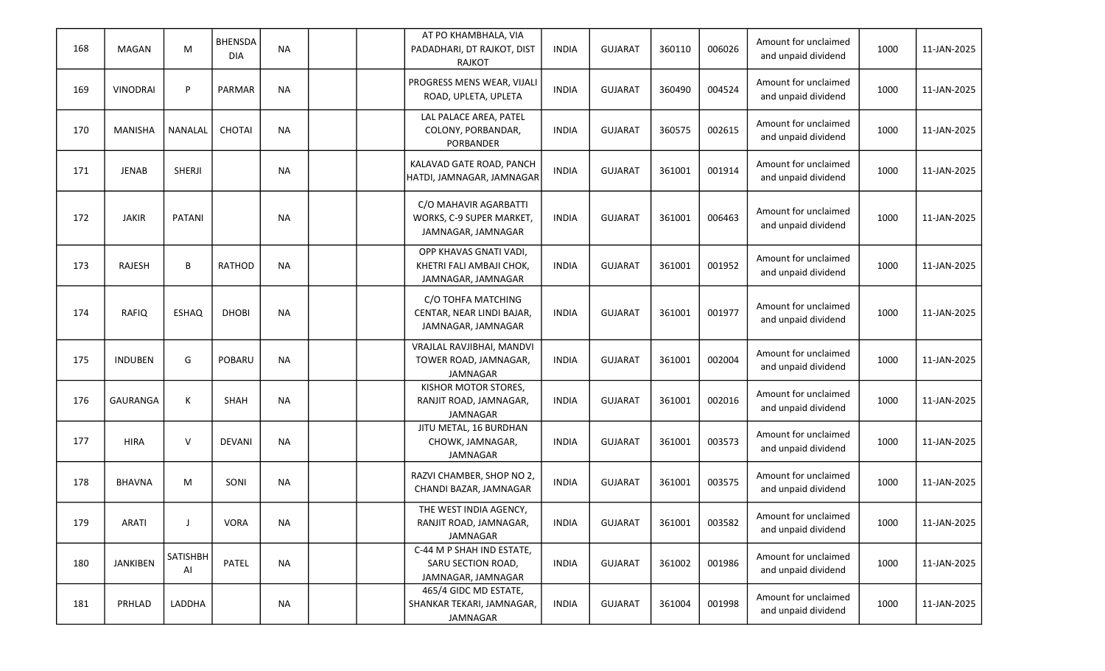| 168 | <b>MAGAN</b>    | M              | <b>BHENSDA</b><br><b>DIA</b> | <b>NA</b> |  | AT PO KHAMBHALA, VIA<br>PADADHARI, DT RAJKOT, DIST<br><b>RAJKOT</b>      | <b>INDIA</b> | <b>GUJARAT</b> | 360110 | 006026 | Amount for unclaimed<br>and unpaid dividend | 1000 | 11-JAN-2025 |
|-----|-----------------|----------------|------------------------------|-----------|--|--------------------------------------------------------------------------|--------------|----------------|--------|--------|---------------------------------------------|------|-------------|
| 169 | VINODRAI        | P              | PARMAR                       | <b>NA</b> |  | PROGRESS MENS WEAR, VIJALI<br>ROAD, UPLETA, UPLETA                       | <b>INDIA</b> | <b>GUJARAT</b> | 360490 | 004524 | Amount for unclaimed<br>and unpaid dividend | 1000 | 11-JAN-2025 |
| 170 | <b>MANISHA</b>  | <b>NANALAL</b> | CHOTAI                       | <b>NA</b> |  | LAL PALACE AREA, PATEL<br>COLONY, PORBANDAR,<br>PORBANDER                | <b>INDIA</b> | <b>GUJARAT</b> | 360575 | 002615 | Amount for unclaimed<br>and unpaid dividend | 1000 | 11-JAN-2025 |
| 171 | <b>JENAB</b>    | <b>SHERJI</b>  |                              | <b>NA</b> |  | KALAVAD GATE ROAD, PANCH<br>HATDI, JAMNAGAR, JAMNAGAR                    | <b>INDIA</b> | <b>GUJARAT</b> | 361001 | 001914 | Amount for unclaimed<br>and unpaid dividend | 1000 | 11-JAN-2025 |
| 172 | <b>JAKIR</b>    | PATANI         |                              | <b>NA</b> |  | C/O MAHAVIR AGARBATTI<br>WORKS, C-9 SUPER MARKET,<br>JAMNAGAR, JAMNAGAR  | <b>INDIA</b> | <b>GUJARAT</b> | 361001 | 006463 | Amount for unclaimed<br>and unpaid dividend | 1000 | 11-JAN-2025 |
| 173 | <b>RAJESH</b>   | B              | <b>RATHOD</b>                | <b>NA</b> |  | OPP KHAVAS GNATI VADI,<br>KHETRI FALI AMBAJI CHOK,<br>JAMNAGAR, JAMNAGAR | <b>INDIA</b> | <b>GUJARAT</b> | 361001 | 001952 | Amount for unclaimed<br>and unpaid dividend | 1000 | 11-JAN-2025 |
| 174 | RAFIQ           | ESHAQ          | <b>DHOBI</b>                 | <b>NA</b> |  | C/O TOHFA MATCHING<br>CENTAR, NEAR LINDI BAJAR,<br>JAMNAGAR, JAMNAGAR    | <b>INDIA</b> | <b>GUJARAT</b> | 361001 | 001977 | Amount for unclaimed<br>and unpaid dividend | 1000 | 11-JAN-2025 |
| 175 | <b>INDUBEN</b>  | G              | <b>POBARU</b>                | <b>NA</b> |  | VRAJLAL RAVJIBHAI, MANDVI<br>TOWER ROAD, JAMNAGAR,<br>JAMNAGAR           | <b>INDIA</b> | <b>GUJARAT</b> | 361001 | 002004 | Amount for unclaimed<br>and unpaid dividend | 1000 | 11-JAN-2025 |
| 176 | GAURANGA        | К              | <b>SHAH</b>                  | <b>NA</b> |  | KISHOR MOTOR STORES,<br>RANJIT ROAD, JAMNAGAR,<br>JAMNAGAR               | <b>INDIA</b> | <b>GUJARAT</b> | 361001 | 002016 | Amount for unclaimed<br>and unpaid dividend | 1000 | 11-JAN-2025 |
| 177 | <b>HIRA</b>     | V              | <b>DEVANI</b>                | <b>NA</b> |  | JITU METAL, 16 BURDHAN<br>CHOWK, JAMNAGAR,<br><b>JAMNAGAR</b>            | <b>INDIA</b> | <b>GUJARAT</b> | 361001 | 003573 | Amount for unclaimed<br>and unpaid dividend | 1000 | 11-JAN-2025 |
| 178 | <b>BHAVNA</b>   | M              | SONI                         | <b>NA</b> |  | RAZVI CHAMBER, SHOP NO 2<br>CHANDI BAZAR, JAMNAGAR                       | <b>INDIA</b> | <b>GUJARAT</b> | 361001 | 003575 | Amount for unclaimed<br>and unpaid dividend | 1000 | 11-JAN-2025 |
| 179 | ARATI           |                | VORA                         | ΝA        |  | THE WEST INDIA AGENCY,<br>RANJIT ROAD, JAMNAGAR,<br>JAMNAGAR             | INDIA        | <b>GUJARAT</b> | 361001 | 003582 | Amount for unclaimed<br>and unpaid dividend | 1000 | 11-JAN-2025 |
| 180 | <b>JANKIBEN</b> | SATISHBH<br>Al | PATEL                        | <b>NA</b> |  | C-44 M P SHAH IND ESTATE,<br>SARU SECTION ROAD,<br>JAMNAGAR, JAMNAGAR    | <b>INDIA</b> | <b>GUJARAT</b> | 361002 | 001986 | Amount for unclaimed<br>and unpaid dividend | 1000 | 11-JAN-2025 |
| 181 | PRHLAD          | LADDHA         |                              | <b>NA</b> |  | 465/4 GIDC MD ESTATE,<br>SHANKAR TEKARI, JAMNAGAR,<br>JAMNAGAR           | INDIA        | <b>GUJARAT</b> | 361004 | 001998 | Amount for unclaimed<br>and unpaid dividend | 1000 | 11-JAN-2025 |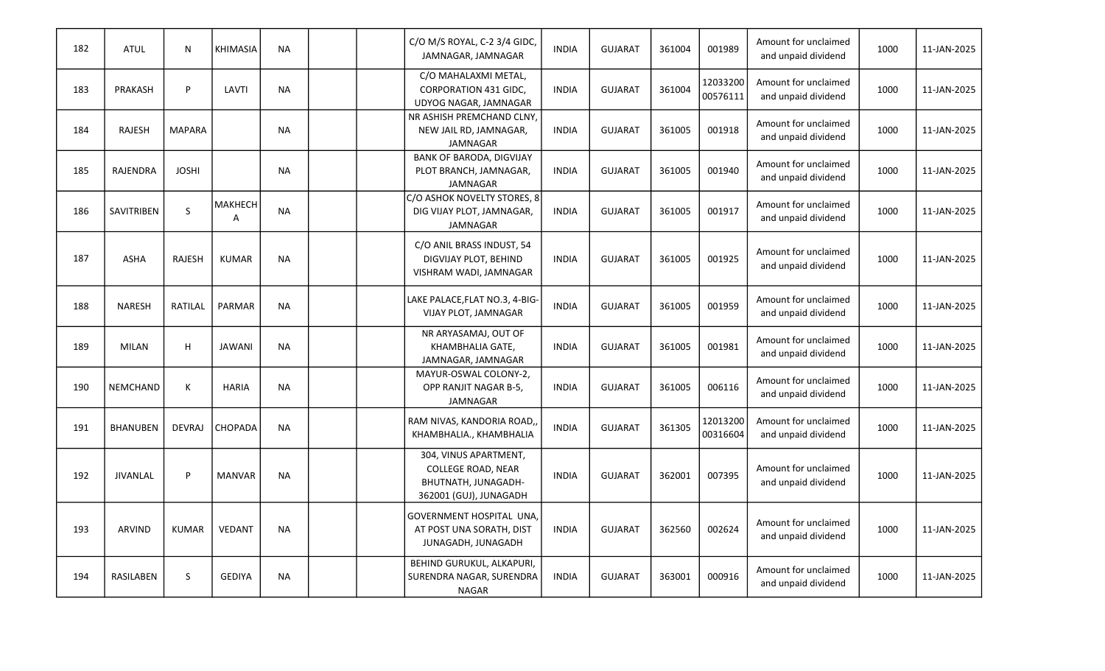| 182 | <b>ATUL</b>       | N             | <b>KHIMASIA</b>           | <b>NA</b> | C/O M/S ROYAL, C-2 3/4 GIDC,<br>JAMNAGAR, JAMNAGAR                                                  | <b>INDIA</b> | <b>GUJARAT</b> | 361004 | 001989               | Amount for unclaimed<br>and unpaid dividend | 1000 | 11-JAN-2025 |
|-----|-------------------|---------------|---------------------------|-----------|-----------------------------------------------------------------------------------------------------|--------------|----------------|--------|----------------------|---------------------------------------------|------|-------------|
| 183 | PRAKASH           | P             | LAVTI                     | <b>NA</b> | C/O MAHALAXMI METAL,<br><b>CORPORATION 431 GIDC,</b><br>UDYOG NAGAR, JAMNAGAR                       | <b>INDIA</b> | <b>GUJARAT</b> | 361004 | 12033200<br>00576111 | Amount for unclaimed<br>and unpaid dividend | 1000 | 11-JAN-2025 |
| 184 | <b>RAJESH</b>     | <b>MAPARA</b> |                           | <b>NA</b> | NR ASHISH PREMCHAND CLNY,<br>NEW JAIL RD, JAMNAGAR,<br>JAMNAGAR                                     | <b>INDIA</b> | <b>GUJARAT</b> | 361005 | 001918               | Amount for unclaimed<br>and unpaid dividend | 1000 | 11-JAN-2025 |
| 185 | RAJENDRA          | <b>JOSHI</b>  |                           | <b>NA</b> | <b>BANK OF BARODA, DIGVIJAY</b><br>PLOT BRANCH, JAMNAGAR,<br><b>JAMNAGAR</b>                        | <b>INDIA</b> | <b>GUJARAT</b> | 361005 | 001940               | Amount for unclaimed<br>and unpaid dividend | 1000 | 11-JAN-2025 |
| 186 | <b>SAVITRIBEN</b> | $\sf S$       | MAKHECH<br>$\overline{A}$ | <b>NA</b> | C/O ASHOK NOVELTY STORES, 8<br>DIG VIJAY PLOT, JAMNAGAR,<br><b>JAMNAGAR</b>                         | <b>INDIA</b> | <b>GUJARAT</b> | 361005 | 001917               | Amount for unclaimed<br>and unpaid dividend | 1000 | 11-JAN-2025 |
| 187 | <b>ASHA</b>       | <b>RAJESH</b> | <b>KUMAR</b>              | <b>NA</b> | C/O ANIL BRASS INDUST, 54<br>DIGVIJAY PLOT, BEHIND<br>VISHRAM WADI, JAMNAGAR                        | <b>INDIA</b> | <b>GUJARAT</b> | 361005 | 001925               | Amount for unclaimed<br>and unpaid dividend | 1000 | 11-JAN-2025 |
| 188 | <b>NARESH</b>     | RATILAL       | <b>PARMAR</b>             | <b>NA</b> | LAKE PALACE, FLAT NO.3, 4-BIG-<br><b>VIJAY PLOT, JAMNAGAR</b>                                       | <b>INDIA</b> | <b>GUJARAT</b> | 361005 | 001959               | Amount for unclaimed<br>and unpaid dividend | 1000 | 11-JAN-2025 |
| 189 | <b>MILAN</b>      | H             | <b>JAWANI</b>             | <b>NA</b> | NR ARYASAMAJ, OUT OF<br>KHAMBHALIA GATE,<br>JAMNAGAR, JAMNAGAR                                      | <b>INDIA</b> | <b>GUJARAT</b> | 361005 | 001981               | Amount for unclaimed<br>and unpaid dividend | 1000 | 11-JAN-2025 |
| 190 | NEMCHAND          | K             | <b>HARIA</b>              | <b>NA</b> | MAYUR-OSWAL COLONY-2,<br>OPP RANJIT NAGAR B-5,<br><b>JAMNAGAR</b>                                   | <b>INDIA</b> | <b>GUJARAT</b> | 361005 | 006116               | Amount for unclaimed<br>and unpaid dividend | 1000 | 11-JAN-2025 |
| 191 | <b>BHANUBEN</b>   | <b>DEVRAJ</b> | <b>CHOPADA</b>            | <b>NA</b> | RAM NIVAS, KANDORIA ROAD,<br>KHAMBHALIA., KHAMBHALIA                                                | <b>INDIA</b> | <b>GUJARAT</b> | 361305 | 12013200<br>00316604 | Amount for unclaimed<br>and unpaid dividend | 1000 | 11-JAN-2025 |
| 192 | <b>JIVANLAL</b>   | P             | <b>MANVAR</b>             | <b>NA</b> | 304, VINUS APARTMENT,<br><b>COLLEGE ROAD, NEAR</b><br>BHUTNATH, JUNAGADH-<br>362001 (GUJ), JUNAGADH | <b>INDIA</b> | <b>GUJARAT</b> | 362001 | 007395               | Amount for unclaimed<br>and unpaid dividend | 1000 | 11-JAN-2025 |
| 193 | <b>ARVIND</b>     | <b>KUMAR</b>  | <b>VEDANT</b>             | <b>NA</b> | GOVERNMENT HOSPITAL UNA,<br>AT POST UNA SORATH, DIST<br>JUNAGADH, JUNAGADH                          | <b>INDIA</b> | <b>GUJARAT</b> | 362560 | 002624               | Amount for unclaimed<br>and unpaid dividend | 1000 | 11-JAN-2025 |
| 194 | RASILABEN         | S             | <b>GEDIYA</b>             | <b>NA</b> | BEHIND GURUKUL, ALKAPURI,<br>SURENDRA NAGAR, SURENDRA<br><b>NAGAR</b>                               | <b>INDIA</b> | <b>GUJARAT</b> | 363001 | 000916               | Amount for unclaimed<br>and unpaid dividend | 1000 | 11-JAN-2025 |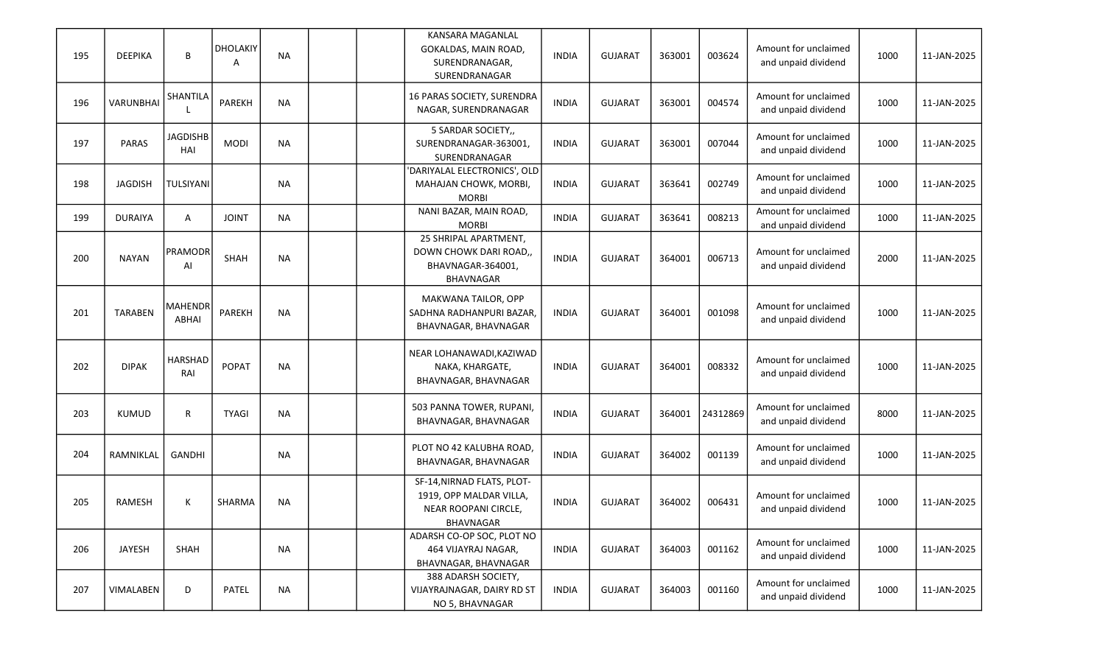| 195 | <b>DEEPIKA</b>   | B                              | <b>DHOLAKIY</b><br>A | <b>NA</b> |  | <b>KANSARA MAGANLAL</b><br>GOKALDAS, MAIN ROAD,<br>SURENDRANAGAR,<br>SURENDRANAGAR         | <b>INDIA</b> | <b>GUJARAT</b> | 363001 | 003624   | Amount for unclaimed<br>and unpaid dividend | 1000 | 11-JAN-2025 |
|-----|------------------|--------------------------------|----------------------|-----------|--|--------------------------------------------------------------------------------------------|--------------|----------------|--------|----------|---------------------------------------------|------|-------------|
| 196 | <b>VARUNBHAI</b> | SHANTILA                       | PAREKH               | <b>NA</b> |  | 16 PARAS SOCIETY, SURENDRA<br>NAGAR, SURENDRANAGAR                                         | <b>INDIA</b> | <b>GUJARAT</b> | 363001 | 004574   | Amount for unclaimed<br>and unpaid dividend | 1000 | 11-JAN-2025 |
| 197 | <b>PARAS</b>     | <b>JAGDISHB</b><br>HAI         | <b>MODI</b>          | <b>NA</b> |  | 5 SARDAR SOCIETY,,<br>SURENDRANAGAR-363001,<br>SURENDRANAGAR                               | <b>INDIA</b> | <b>GUJARAT</b> | 363001 | 007044   | Amount for unclaimed<br>and unpaid dividend | 1000 | 11-JAN-2025 |
| 198 | <b>JAGDISH</b>   | <b>TULSIYANI</b>               |                      | <b>NA</b> |  | 'DARIYALAL ELECTRONICS', OLD<br>MAHAJAN CHOWK, MORBI,<br><b>MORBI</b>                      | <b>INDIA</b> | <b>GUJARAT</b> | 363641 | 002749   | Amount for unclaimed<br>and unpaid dividend | 1000 | 11-JAN-2025 |
| 199 | <b>DURAIYA</b>   | A                              | <b>JOINT</b>         | <b>NA</b> |  | NANI BAZAR, MAIN ROAD,<br><b>MORBI</b>                                                     | <b>INDIA</b> | <b>GUJARAT</b> | 363641 | 008213   | Amount for unclaimed<br>and unpaid dividend | 1000 | 11-JAN-2025 |
| 200 | <b>NAYAN</b>     | <b>PRAMODR</b><br>Al           | SHAH                 | <b>NA</b> |  | 25 SHRIPAL APARTMENT,<br>DOWN CHOWK DARI ROAD,<br>BHAVNAGAR-364001,<br>BHAVNAGAR           | <b>INDIA</b> | <b>GUJARAT</b> | 364001 | 006713   | Amount for unclaimed<br>and unpaid dividend | 2000 | 11-JAN-2025 |
| 201 | <b>TARABEN</b>   | <b>MAHENDR</b><br><b>ABHAI</b> | PAREKH               | <b>NA</b> |  | MAKWANA TAILOR, OPP<br>SADHNA RADHANPURI BAZAR,<br>BHAVNAGAR, BHAVNAGAR                    | <b>INDIA</b> | <b>GUJARAT</b> | 364001 | 001098   | Amount for unclaimed<br>and unpaid dividend | 1000 | 11-JAN-2025 |
| 202 | <b>DIPAK</b>     | HARSHAD<br>RAI                 | <b>POPAT</b>         | <b>NA</b> |  | NEAR LOHANAWADI, KAZIWAD<br>NAKA, KHARGATE,<br>BHAVNAGAR, BHAVNAGAR                        | <b>INDIA</b> | <b>GUJARAT</b> | 364001 | 008332   | Amount for unclaimed<br>and unpaid dividend | 1000 | 11-JAN-2025 |
| 203 | <b>KUMUD</b>     | R                              | <b>TYAGI</b>         | <b>NA</b> |  | 503 PANNA TOWER, RUPANI,<br>BHAVNAGAR, BHAVNAGAR                                           | <b>INDIA</b> | <b>GUJARAT</b> | 364001 | 24312869 | Amount for unclaimed<br>and unpaid dividend | 8000 | 11-JAN-2025 |
| 204 | RAMNIKLAL        | <b>GANDHI</b>                  |                      | <b>NA</b> |  | PLOT NO 42 KALUBHA ROAD,<br>BHAVNAGAR, BHAVNAGAR                                           | <b>INDIA</b> | <b>GUJARAT</b> | 364002 | 001139   | Amount for unclaimed<br>and unpaid dividend | 1000 | 11-JAN-2025 |
| 205 | <b>RAMESH</b>    | К                              | SHARMA               | <b>NA</b> |  | SF-14, NIRNAD FLATS, PLOT-<br>1919, OPP MALDAR VILLA,<br>NEAR ROOPANI CIRCLE,<br>BHAVNAGAR | <b>INDIA</b> | <b>GUJARAT</b> | 364002 | 006431   | Amount for unclaimed<br>and unpaid dividend | 1000 | 11-JAN-2025 |
| 206 | JAYESH           | SHAH                           |                      | <b>NA</b> |  | ADARSH CO-OP SOC, PLOT NO<br>464 VIJAYRAJ NAGAR,<br>BHAVNAGAR, BHAVNAGAR                   | <b>INDIA</b> | <b>GUJARAT</b> | 364003 | 001162   | Amount for unclaimed<br>and unpaid dividend | 1000 | 11-JAN-2025 |
| 207 | VIMALABEN        | D                              | PATEL                | <b>NA</b> |  | 388 ADARSH SOCIETY,<br>VIJAYRAJNAGAR, DAIRY RD ST<br>NO 5, BHAVNAGAR                       | <b>INDIA</b> | <b>GUJARAT</b> | 364003 | 001160   | Amount for unclaimed<br>and unpaid dividend | 1000 | 11-JAN-2025 |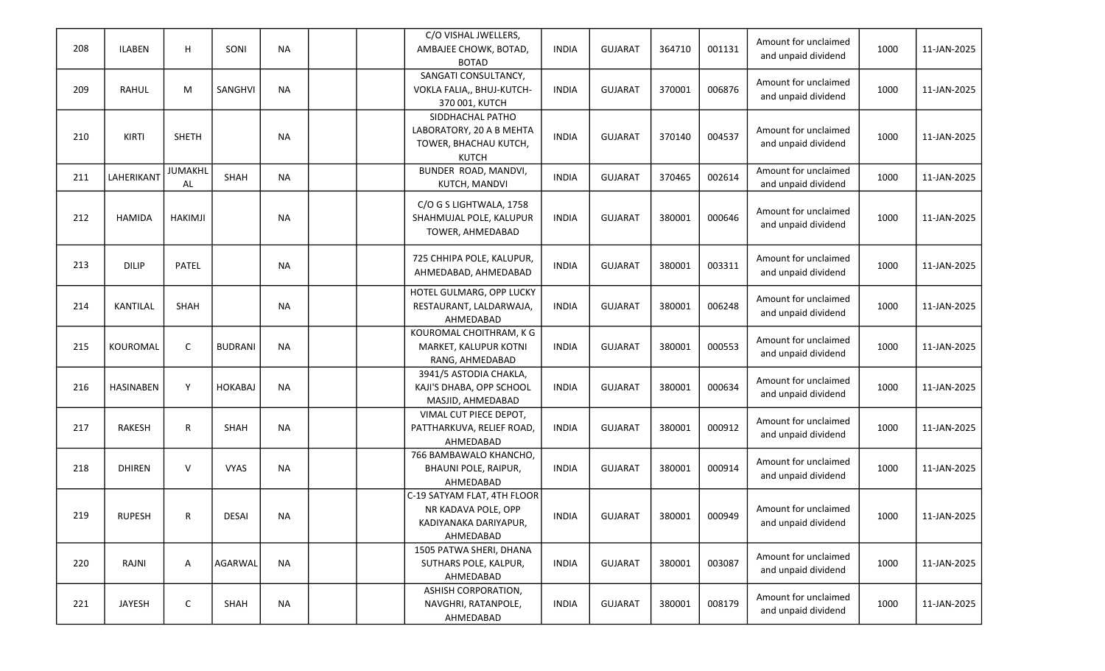| 208 | <b>ILABEN</b>    | H                    | SONI           | <b>NA</b> | C/O VISHAL JWELLERS,<br>AMBAJEE CHOWK, BOTAD,<br><b>BOTAD</b>                            | <b>INDIA</b> | <b>GUJARAT</b> | 364710 | 001131 | Amount for unclaimed<br>and unpaid dividend | 1000 | 11-JAN-2025 |
|-----|------------------|----------------------|----------------|-----------|------------------------------------------------------------------------------------------|--------------|----------------|--------|--------|---------------------------------------------|------|-------------|
| 209 | RAHUL            | М                    | SANGHVI        | <b>NA</b> | SANGATI CONSULTANCY,<br>VOKLA FALIA,, BHUJ-KUTCH-<br>370 001, KUTCH                      | <b>INDIA</b> | <b>GUJARAT</b> | 370001 | 006876 | Amount for unclaimed<br>and unpaid dividend | 1000 | 11-JAN-2025 |
| 210 | KIRTI            | <b>SHETH</b>         |                | <b>NA</b> | SIDDHACHAL PATHO<br>LABORATORY, 20 A B MEHTA<br>TOWER, BHACHAU KUTCH,<br><b>KUTCH</b>    | <b>INDIA</b> | <b>GUJARAT</b> | 370140 | 004537 | Amount for unclaimed<br>and unpaid dividend | 1000 | 11-JAN-2025 |
| 211 | LAHERIKANT       | <b>JUMAKHL</b><br>AL | SHAH           | <b>NA</b> | BUNDER ROAD, MANDVI,<br>KUTCH, MANDVI                                                    | <b>INDIA</b> | <b>GUJARAT</b> | 370465 | 002614 | Amount for unclaimed<br>and unpaid dividend | 1000 | 11-JAN-2025 |
| 212 | <b>HAMIDA</b>    | HAKIMJI              |                | <b>NA</b> | C/O G S LIGHTWALA, 1758<br>SHAHMUJAL POLE, KALUPUR<br>TOWER, AHMEDABAD                   | <b>INDIA</b> | <b>GUJARAT</b> | 380001 | 000646 | Amount for unclaimed<br>and unpaid dividend | 1000 | 11-JAN-2025 |
| 213 | <b>DILIP</b>     | <b>PATEL</b>         |                | <b>NA</b> | 725 CHHIPA POLE, KALUPUR,<br>AHMEDABAD, AHMEDABAD                                        | <b>INDIA</b> | <b>GUJARAT</b> | 380001 | 003311 | Amount for unclaimed<br>and unpaid dividend | 1000 | 11-JAN-2025 |
| 214 | <b>KANTILAL</b>  | SHAH                 |                | <b>NA</b> | HOTEL GULMARG, OPP LUCKY<br>RESTAURANT, LALDARWAJA,<br>AHMEDABAD                         | <b>INDIA</b> | <b>GUJARAT</b> | 380001 | 006248 | Amount for unclaimed<br>and unpaid dividend | 1000 | 11-JAN-2025 |
| 215 | KOUROMAL         | C                    | <b>BUDRANI</b> | <b>NA</b> | KOUROMAL CHOITHRAM, K G<br>MARKET, KALUPUR KOTNI<br>RANG, AHMEDABAD                      | <b>INDIA</b> | <b>GUJARAT</b> | 380001 | 000553 | Amount for unclaimed<br>and unpaid dividend | 1000 | 11-JAN-2025 |
| 216 | <b>HASINABEN</b> | Y                    | <b>HOKABAJ</b> | <b>NA</b> | 3941/5 ASTODIA CHAKLA,<br>KAJI'S DHABA, OPP SCHOOL<br>MASJID, AHMEDABAD                  | <b>INDIA</b> | <b>GUJARAT</b> | 380001 | 000634 | Amount for unclaimed<br>and unpaid dividend | 1000 | 11-JAN-2025 |
| 217 | <b>RAKESH</b>    | R                    | SHAH           | <b>NA</b> | VIMAL CUT PIECE DEPOT,<br>PATTHARKUVA, RELIEF ROAD,<br>AHMEDABAD                         | <b>INDIA</b> | <b>GUJARAT</b> | 380001 | 000912 | Amount for unclaimed<br>and unpaid dividend | 1000 | 11-JAN-2025 |
| 218 | <b>DHIREN</b>    | V                    | <b>VYAS</b>    | <b>NA</b> | 766 BAMBAWALO KHANCHO,<br>BHAUNI POLE, RAIPUR,<br>AHMEDABAD                              | <b>INDIA</b> | <b>GUJARAT</b> | 380001 | 000914 | Amount for unclaimed<br>and unpaid dividend | 1000 | 11-JAN-2025 |
| 219 | <b>RUPESH</b>    | R                    | <b>DESAI</b>   | <b>NA</b> | C-19 SATYAM FLAT, 4TH FLOOR<br>NR KADAVA POLE, OPP<br>KADIYANAKA DARIYAPUR,<br>AHMEDABAD | <b>INDIA</b> | <b>GUJARAT</b> | 380001 | 000949 | Amount for unclaimed<br>and unpaid dividend | 1000 | 11-JAN-2025 |
| 220 | RAJNI            | Α                    | AGARWAL        | <b>NA</b> | 1505 PATWA SHERI, DHANA<br>SUTHARS POLE, KALPUR,<br>AHMEDABAD                            | <b>INDIA</b> | <b>GUJARAT</b> | 380001 | 003087 | Amount for unclaimed<br>and unpaid dividend | 1000 | 11-JAN-2025 |
| 221 | <b>JAYESH</b>    | C                    | SHAH           | <b>NA</b> | ASHISH CORPORATION,<br>NAVGHRI, RATANPOLE,<br>AHMEDABAD                                  | <b>INDIA</b> | <b>GUJARAT</b> | 380001 | 008179 | Amount for unclaimed<br>and unpaid dividend | 1000 | 11-JAN-2025 |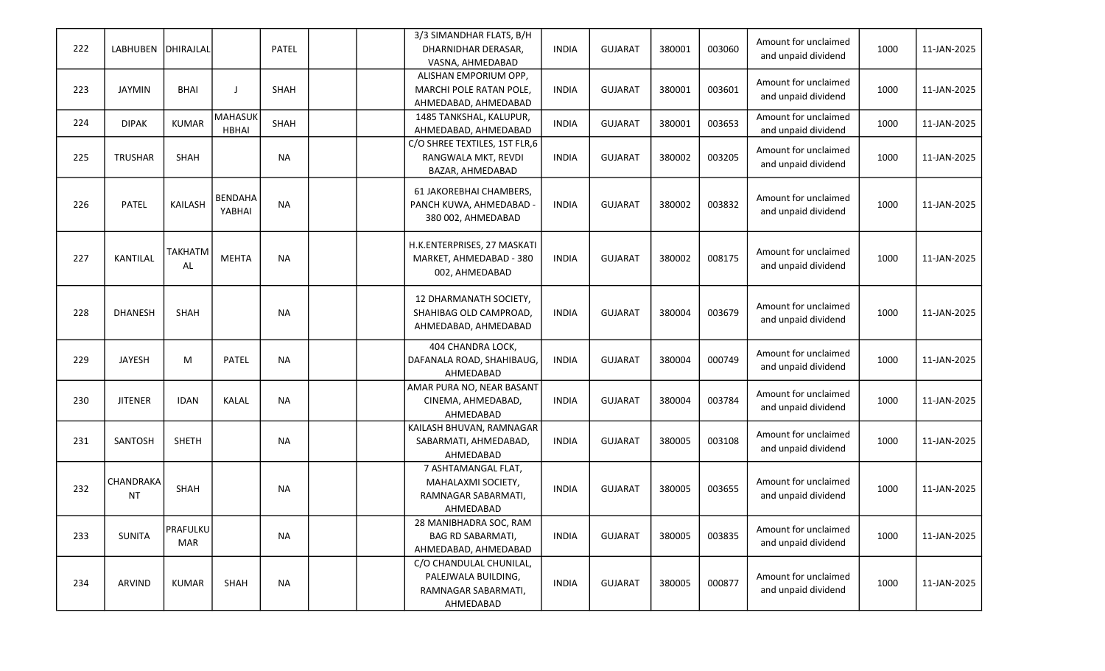|     |                 |                 |                |           |  | 3/3 SIMANDHAR FLATS, B/H                               |              |                |        |        | Amount for unclaimed |      |             |
|-----|-----------------|-----------------|----------------|-----------|--|--------------------------------------------------------|--------------|----------------|--------|--------|----------------------|------|-------------|
| 222 | <b>LABHUBEN</b> | DHIRAJLAL       |                | PATEL     |  | DHARNIDHAR DERASAR,                                    | <b>INDIA</b> | <b>GUJARAT</b> | 380001 | 003060 | and unpaid dividend  | 1000 | 11-JAN-2025 |
|     |                 |                 |                |           |  | VASNA, AHMEDABAD<br>ALISHAN EMPORIUM OPP,              |              |                |        |        |                      |      |             |
| 223 | <b>JAYMIN</b>   | <b>BHAI</b>     | - 1            | SHAH      |  | MARCHI POLE RATAN POLE,                                | <b>INDIA</b> | <b>GUJARAT</b> | 380001 | 003601 | Amount for unclaimed | 1000 | 11-JAN-2025 |
|     |                 |                 |                |           |  | AHMEDABAD, AHMEDABAD                                   |              |                |        |        | and unpaid dividend  |      |             |
| 224 | <b>DIPAK</b>    | <b>KUMAR</b>    | <b>MAHASUK</b> | SHAH      |  | 1485 TANKSHAL, KALUPUR,                                | <b>INDIA</b> | <b>GUJARAT</b> | 380001 | 003653 | Amount for unclaimed | 1000 | 11-JAN-2025 |
|     |                 |                 | <b>HBHAI</b>   |           |  | AHMEDABAD, AHMEDABAD                                   |              |                |        |        | and unpaid dividend  |      |             |
|     |                 |                 |                |           |  | C/O SHREE TEXTILES, 1ST FLR,6                          |              |                |        |        | Amount for unclaimed |      |             |
| 225 | <b>TRUSHAR</b>  | <b>SHAH</b>     |                | <b>NA</b> |  | RANGWALA MKT, REVDI                                    | <b>INDIA</b> | <b>GUJARAT</b> | 380002 | 003205 | and unpaid dividend  | 1000 | 11-JAN-2025 |
|     |                 |                 |                |           |  | BAZAR, AHMEDABAD                                       |              |                |        |        |                      |      |             |
|     |                 |                 | <b>BENDAHA</b> |           |  | 61 JAKOREBHAI CHAMBERS,                                |              |                |        |        | Amount for unclaimed |      |             |
| 226 | PATEL           | KAILASH         | YABHAI         | <b>NA</b> |  | PANCH KUWA, AHMEDABAD -                                | <b>INDIA</b> | <b>GUJARAT</b> | 380002 | 003832 | and unpaid dividend  | 1000 | 11-JAN-2025 |
|     |                 |                 |                |           |  | 380 002, AHMEDABAD                                     |              |                |        |        |                      |      |             |
|     |                 |                 |                |           |  |                                                        |              |                |        |        |                      |      |             |
| 227 | <b>KANTILAL</b> | TAKHATM         | <b>MEHTA</b>   | <b>NA</b> |  | H.K.ENTERPRISES, 27 MASKATI<br>MARKET, AHMEDABAD - 380 | <b>INDIA</b> | <b>GUJARAT</b> | 380002 | 008175 | Amount for unclaimed | 1000 | 11-JAN-2025 |
|     |                 | AL              |                |           |  | 002, AHMEDABAD                                         |              |                |        |        | and unpaid dividend  |      |             |
|     |                 |                 |                |           |  |                                                        |              |                |        |        |                      |      |             |
|     |                 |                 |                |           |  | 12 DHARMANATH SOCIETY,                                 |              |                |        |        |                      |      |             |
| 228 | <b>DHANESH</b>  | SHAH            |                | <b>NA</b> |  | SHAHIBAG OLD CAMPROAD,                                 | <b>INDIA</b> | <b>GUJARAT</b> | 380004 | 003679 | Amount for unclaimed | 1000 | 11-JAN-2025 |
|     |                 |                 |                |           |  | AHMEDABAD, AHMEDABAD                                   |              |                |        |        | and unpaid dividend  |      |             |
|     |                 |                 |                |           |  | 404 CHANDRA LOCK,                                      |              |                |        |        |                      |      |             |
| 229 | JAYESH          | M               | PATEL          | <b>NA</b> |  | DAFANALA ROAD, SHAHIBAUG,                              | <b>INDIA</b> | <b>GUJARAT</b> | 380004 | 000749 | Amount for unclaimed | 1000 | 11-JAN-2025 |
|     |                 |                 |                |           |  | AHMEDABAD                                              |              |                |        |        | and unpaid dividend  |      |             |
|     |                 |                 |                |           |  | AMAR PURA NO, NEAR BASANT                              |              |                |        |        | Amount for unclaimed |      |             |
| 230 | <b>JITENER</b>  | <b>IDAN</b>     | KALAL          | <b>NA</b> |  | CINEMA, AHMEDABAD,                                     | <b>INDIA</b> | <b>GUJARAT</b> | 380004 | 003784 | and unpaid dividend  | 1000 | 11-JAN-2025 |
|     |                 |                 |                |           |  | AHMEDABAD                                              |              |                |        |        |                      |      |             |
|     |                 |                 |                |           |  | KAILASH BHUVAN, RAMNAGAR                               |              |                |        |        | Amount for unclaimed |      |             |
| 231 | SANTOSH         | <b>SHETH</b>    |                | <b>NA</b> |  | SABARMATI, AHMEDABAD,<br>AHMEDABAD                     | <b>INDIA</b> | <b>GUJARAT</b> | 380005 | 003108 | and unpaid dividend  | 1000 | 11-JAN-2025 |
|     |                 |                 |                |           |  | 7 ASHTAMANGAL FLAT,                                    |              |                |        |        |                      |      |             |
|     | CHANDRAKA       |                 |                |           |  | MAHALAXMI SOCIETY,                                     |              |                |        |        | Amount for unclaimed |      |             |
| 232 | <b>NT</b>       | SHAH            |                | <b>NA</b> |  | RAMNAGAR SABARMATI,                                    | <b>INDIA</b> | <b>GUJARAT</b> | 380005 | 003655 | and unpaid dividend  | 1000 | 11-JAN-2025 |
|     |                 |                 |                |           |  | AHMEDABAD                                              |              |                |        |        |                      |      |             |
|     |                 | <b>PRAFULKU</b> |                |           |  | 28 MANIBHADRA SOC, RAM                                 |              |                |        |        | Amount for unclaimed |      |             |
| 233 | <b>SUNITA</b>   | MAR             |                | <b>NA</b> |  | <b>BAG RD SABARMATI,</b>                               | <b>INDIA</b> | <b>GUJARAT</b> | 380005 | 003835 | and unpaid dividend  | 1000 | 11-JAN-2025 |
|     |                 |                 |                |           |  | AHMEDABAD, AHMEDABAD                                   |              |                |        |        |                      |      |             |
|     |                 |                 |                |           |  | C/O CHANDULAL CHUNILAL,                                |              |                |        |        |                      |      |             |
| 234 | ARVIND          | <b>KUMAR</b>    | SHAH           | <b>NA</b> |  | PALEJWALA BUILDING,                                    | <b>INDIA</b> | <b>GUJARAT</b> | 380005 | 000877 | Amount for unclaimed | 1000 | 11-JAN-2025 |
|     |                 |                 |                |           |  | RAMNAGAR SABARMATI,                                    |              |                |        |        | and unpaid dividend  |      |             |
|     |                 |                 |                |           |  | AHMEDABAD                                              |              |                |        |        |                      |      |             |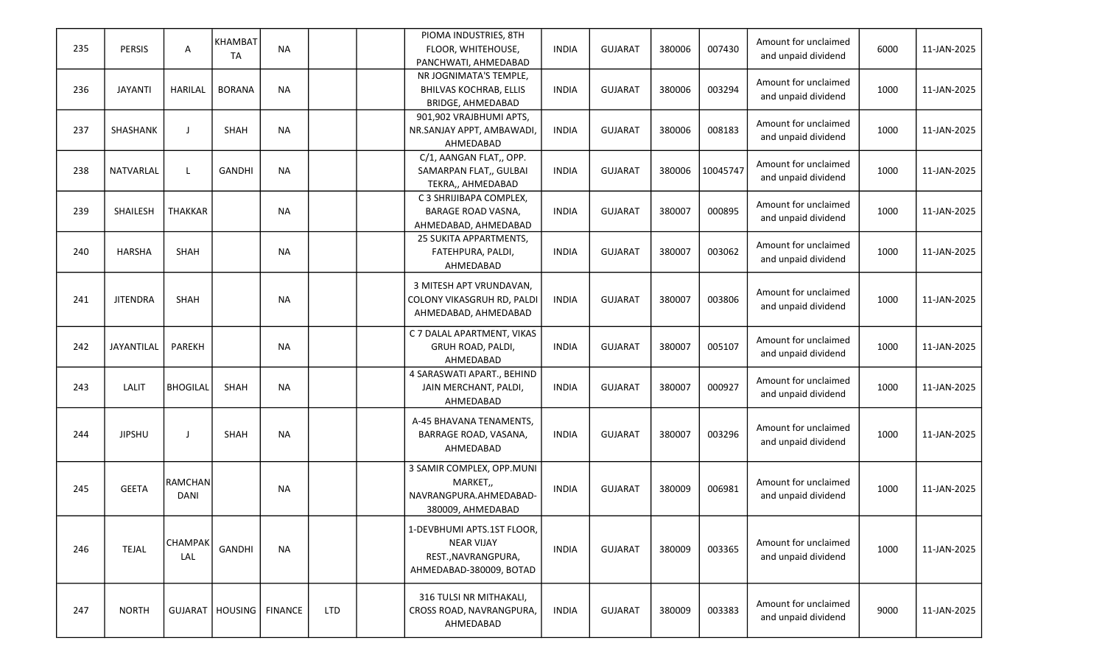|     |                 |                 | <b>KHAMBAT</b>              |           |            | PIOMA INDUSTRIES, 8TH         |              |                |        |          |                                             |      |             |
|-----|-----------------|-----------------|-----------------------------|-----------|------------|-------------------------------|--------------|----------------|--------|----------|---------------------------------------------|------|-------------|
| 235 | <b>PERSIS</b>   | Α               | <b>TA</b>                   | <b>NA</b> |            | FLOOR, WHITEHOUSE,            | <b>INDIA</b> | <b>GUJARAT</b> | 380006 | 007430   | Amount for unclaimed<br>and unpaid dividend | 6000 | 11-JAN-2025 |
|     |                 |                 |                             |           |            | PANCHWATI, AHMEDABAD          |              |                |        |          |                                             |      |             |
|     |                 |                 |                             |           |            | NR JOGNIMATA'S TEMPLE,        |              |                |        |          | Amount for unclaimed                        |      |             |
| 236 | <b>JAYANTI</b>  | HARILAL         | <b>BORANA</b>               | <b>NA</b> |            | <b>BHILVAS KOCHRAB, ELLIS</b> | <b>INDIA</b> | <b>GUJARAT</b> | 380006 | 003294   | and unpaid dividend                         | 1000 | 11-JAN-2025 |
|     |                 |                 |                             |           |            | <b>BRIDGE, AHMEDABAD</b>      |              |                |        |          |                                             |      |             |
|     |                 |                 |                             |           |            | 901,902 VRAJBHUMI APTS,       |              |                |        |          | Amount for unclaimed                        |      |             |
| 237 | SHASHANK        |                 | <b>SHAH</b>                 | <b>NA</b> |            | NR.SANJAY APPT, AMBAWADI      | <b>INDIA</b> | <b>GUJARAT</b> | 380006 | 008183   | and unpaid dividend                         | 1000 | 11-JAN-2025 |
|     |                 |                 |                             |           |            | AHMEDABAD                     |              |                |        |          |                                             |      |             |
|     |                 |                 |                             |           |            | C/1, AANGAN FLAT,, OPP.       |              |                |        |          | Amount for unclaimed                        |      |             |
| 238 | NATVARLAL       |                 | <b>GANDHI</b>               | <b>NA</b> |            | SAMARPAN FLAT,, GULBAI        | <b>INDIA</b> | <b>GUJARAT</b> | 380006 | 10045747 | and unpaid dividend                         | 1000 | 11-JAN-2025 |
|     |                 |                 |                             |           |            | TEKRA,, AHMEDABAD             |              |                |        |          |                                             |      |             |
|     |                 |                 |                             |           |            | C 3 SHRIJIBAPA COMPLEX,       |              |                |        |          | Amount for unclaimed                        |      |             |
| 239 | SHAILESH        | <b>THAKKAR</b>  |                             | <b>NA</b> |            | <b>BARAGE ROAD VASNA,</b>     | <b>INDIA</b> | <b>GUJARAT</b> | 380007 | 000895   | and unpaid dividend                         | 1000 | 11-JAN-2025 |
|     |                 |                 |                             |           |            | AHMEDABAD, AHMEDABAD          |              |                |        |          |                                             |      |             |
|     |                 |                 |                             |           |            | 25 SUKITA APPARTMENTS,        |              |                |        |          | Amount for unclaimed                        |      |             |
| 240 | <b>HARSHA</b>   | SHAH            |                             | <b>NA</b> |            | FATEHPURA, PALDI,             | <b>INDIA</b> | <b>GUJARAT</b> | 380007 | 003062   | and unpaid dividend                         | 1000 | 11-JAN-2025 |
|     |                 |                 |                             |           |            | AHMEDABAD                     |              |                |        |          |                                             |      |             |
|     |                 |                 |                             |           |            | 3 MITESH APT VRUNDAVAN,       |              |                |        |          |                                             |      |             |
| 241 | <b>JITENDRA</b> | SHAH            |                             | <b>NA</b> |            | COLONY VIKASGRUH RD, PALDI    | <b>INDIA</b> | <b>GUJARAT</b> | 380007 | 003806   | Amount for unclaimed                        | 1000 | 11-JAN-2025 |
|     |                 |                 |                             |           |            | AHMEDABAD, AHMEDABAD          |              |                |        |          | and unpaid dividend                         |      |             |
|     |                 |                 |                             |           |            |                               |              |                |        |          |                                             |      |             |
|     |                 |                 |                             |           |            | C 7 DALAL APARTMENT, VIKAS    |              |                |        |          | Amount for unclaimed                        |      |             |
| 242 | JAYANTILAL      | PAREKH          |                             | <b>NA</b> |            | GRUH ROAD, PALDI,             | <b>INDIA</b> | <b>GUJARAT</b> | 380007 | 005107   | and unpaid dividend                         | 1000 | 11-JAN-2025 |
|     |                 |                 |                             |           |            | AHMEDABAD                     |              |                |        |          |                                             |      |             |
|     |                 |                 |                             |           |            | 4 SARASWATI APART., BEHIND    |              |                |        |          | Amount for unclaimed                        |      |             |
| 243 | LALIT           | <b>BHOGILAL</b> | SHAH                        | <b>NA</b> |            | JAIN MERCHANT, PALDI,         | <b>INDIA</b> | <b>GUJARAT</b> | 380007 | 000927   | and unpaid dividend                         | 1000 | 11-JAN-2025 |
|     |                 |                 |                             |           |            | AHMEDABAD                     |              |                |        |          |                                             |      |             |
|     |                 |                 |                             |           |            | A-45 BHAVANA TENAMENTS,       |              |                |        |          |                                             |      |             |
| 244 | <b>JIPSHU</b>   |                 | <b>SHAH</b>                 | <b>NA</b> |            | BARRAGE ROAD, VASANA,         | <b>INDIA</b> | <b>GUJARAT</b> | 380007 | 003296   | Amount for unclaimed                        | 1000 | 11-JAN-2025 |
|     |                 |                 |                             |           |            | AHMEDABAD                     |              |                |        |          | and unpaid dividend                         |      |             |
|     |                 |                 |                             |           |            |                               |              |                |        |          |                                             |      |             |
|     |                 |                 |                             |           |            | 3 SAMIR COMPLEX, OPP.MUNI     |              |                |        |          |                                             |      |             |
| 245 | <b>GEETA</b>    | <b>RAMCHAN</b>  |                             | <b>NA</b> |            | MARKET,,                      | <b>INDIA</b> | <b>GUJARAT</b> | 380009 | 006981   | Amount for unclaimed                        | 1000 | 11-JAN-2025 |
|     |                 | <b>DANI</b>     |                             |           |            | NAVRANGPURA.AHMEDABAD-        |              |                |        |          | and unpaid dividend                         |      |             |
|     |                 |                 |                             |           |            | 380009, AHMEDABAD             |              |                |        |          |                                             |      |             |
|     |                 |                 |                             |           |            | 1-DEVBHUMI APTS.1ST FLOOR,    |              |                |        |          |                                             |      |             |
|     |                 | <b>CHAMPAK</b>  |                             |           |            | <b>NEAR VIJAY</b>             |              |                |        |          | Amount for unclaimed                        |      |             |
| 246 | <b>TEJAL</b>    | LAL             | <b>GANDHI</b>               | <b>NA</b> |            | REST., NAVRANGPURA,           | <b>INDIA</b> | <b>GUJARAT</b> | 380009 | 003365   | and unpaid dividend                         | 1000 | 11-JAN-2025 |
|     |                 |                 |                             |           |            | AHMEDABAD-380009, BOTAD       |              |                |        |          |                                             |      |             |
|     |                 |                 |                             |           |            |                               |              |                |        |          |                                             |      |             |
|     |                 |                 |                             |           |            | 316 TULSI NR MITHAKALI,       |              |                |        |          | Amount for unclaimed                        |      |             |
| 247 | <b>NORTH</b>    |                 | GUJARAT   HOUSING   FINANCE |           | <b>LTD</b> | CROSS ROAD, NAVRANGPURA,      | <b>INDIA</b> | <b>GUJARAT</b> | 380009 | 003383   | and unpaid dividend                         | 9000 | 11-JAN-2025 |
|     |                 |                 |                             |           |            | AHMEDABAD                     |              |                |        |          |                                             |      |             |
|     |                 |                 |                             |           |            |                               |              |                |        |          |                                             |      |             |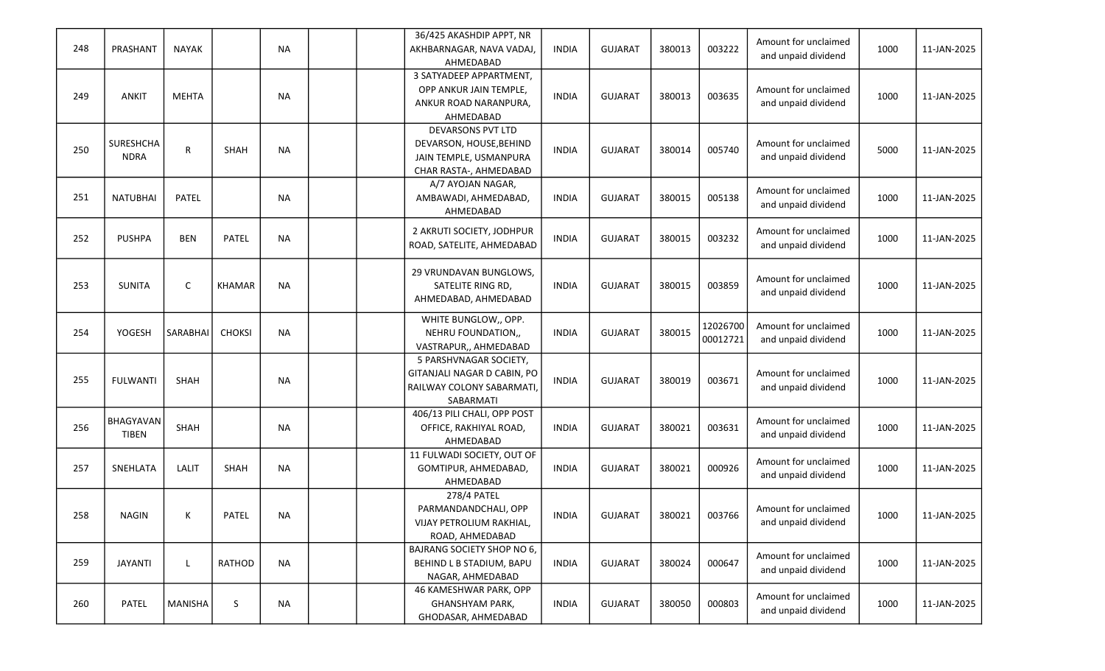|     |                  |                |               |           | 36/425 AKASHDIP APPT, NR                      |              |                |        |          | Amount for unclaimed |      |             |
|-----|------------------|----------------|---------------|-----------|-----------------------------------------------|--------------|----------------|--------|----------|----------------------|------|-------------|
| 248 | PRASHANT         | <b>NAYAK</b>   |               | <b>NA</b> | AKHBARNAGAR, NAVA VADAJ,                      | <b>INDIA</b> | <b>GUJARAT</b> | 380013 | 003222   | and unpaid dividend  | 1000 | 11-JAN-2025 |
|     |                  |                |               |           | AHMEDABAD                                     |              |                |        |          |                      |      |             |
|     |                  |                |               |           | 3 SATYADEEP APPARTMENT,                       |              |                |        |          |                      |      |             |
| 249 | ANKIT            | <b>MEHTA</b>   |               | <b>NA</b> | OPP ANKUR JAIN TEMPLE,                        | <b>INDIA</b> | <b>GUJARAT</b> | 380013 | 003635   | Amount for unclaimed | 1000 | 11-JAN-2025 |
|     |                  |                |               |           | ANKUR ROAD NARANPURA,                         |              |                |        |          | and unpaid dividend  |      |             |
|     |                  |                |               |           | AHMEDABAD                                     |              |                |        |          |                      |      |             |
|     |                  |                |               |           | DEVARSONS PVT LTD                             |              |                |        |          |                      |      |             |
| 250 | <b>SURESHCHA</b> | R              | SHAH          | <b>NA</b> | DEVARSON, HOUSE, BEHIND                       | <b>INDIA</b> | <b>GUJARAT</b> | 380014 | 005740   | Amount for unclaimed | 5000 | 11-JAN-2025 |
|     | <b>NDRA</b>      |                |               |           | JAIN TEMPLE, USMANPURA                        |              |                |        |          | and unpaid dividend  |      |             |
|     |                  |                |               |           | CHAR RASTA-, AHMEDABAD                        |              |                |        |          |                      |      |             |
|     |                  |                |               |           | A/7 AYOJAN NAGAR,                             |              |                |        |          | Amount for unclaimed |      |             |
| 251 | <b>NATUBHAI</b>  | PATEL          |               | <b>NA</b> | AMBAWADI, AHMEDABAD,                          | <b>INDIA</b> | <b>GUJARAT</b> | 380015 | 005138   | and unpaid dividend  | 1000 | 11-JAN-2025 |
|     |                  |                |               |           | AHMEDABAD                                     |              |                |        |          |                      |      |             |
|     |                  |                |               |           | 2 AKRUTI SOCIETY, JODHPUR                     |              |                |        |          | Amount for unclaimed |      |             |
| 252 | <b>PUSHPA</b>    | <b>BEN</b>     | PATEL         | <b>NA</b> | ROAD, SATELITE, AHMEDABAD                     | <b>INDIA</b> | <b>GUJARAT</b> | 380015 | 003232   | and unpaid dividend  | 1000 | 11-JAN-2025 |
|     |                  |                |               |           |                                               |              |                |        |          |                      |      |             |
|     |                  |                |               |           | 29 VRUNDAVAN BUNGLOWS,                        |              |                |        |          |                      |      |             |
| 253 | <b>SUNITA</b>    | C              | <b>KHAMAR</b> | <b>NA</b> | SATELITE RING RD,                             | <b>INDIA</b> | <b>GUJARAT</b> | 380015 | 003859   | Amount for unclaimed | 1000 | 11-JAN-2025 |
|     |                  |                |               |           | AHMEDABAD, AHMEDABAD                          |              |                |        |          | and unpaid dividend  |      |             |
|     |                  |                |               |           |                                               |              |                |        |          |                      |      |             |
|     |                  |                |               |           | WHITE BUNGLOW,, OPP.                          |              |                |        | 12026700 | Amount for unclaimed |      |             |
| 254 | YOGESH           | SARABHAI       | <b>CHOKSI</b> | <b>NA</b> | NEHRU FOUNDATION,,                            | <b>INDIA</b> | <b>GUJARAT</b> | 380015 | 00012721 | and unpaid dividend  | 1000 | 11-JAN-2025 |
|     |                  |                |               |           | VASTRAPUR,, AHMEDABAD                         |              |                |        |          |                      |      |             |
|     |                  |                |               |           | 5 PARSHVNAGAR SOCIETY,                        |              |                |        |          |                      |      |             |
| 255 | <b>FULWANTI</b>  | SHAH           |               | <b>NA</b> | GITANJALI NAGAR D CABIN, PO                   | <b>INDIA</b> | <b>GUJARAT</b> | 380019 | 003671   | Amount for unclaimed | 1000 | 11-JAN-2025 |
|     |                  |                |               |           | RAILWAY COLONY SABARMATI                      |              |                |        |          | and unpaid dividend  |      |             |
|     |                  |                |               |           | SABARMATI                                     |              |                |        |          |                      |      |             |
|     | BHAGYAVAN        |                |               |           | 406/13 PILI CHALI, OPP POST                   |              |                |        |          | Amount for unclaimed |      |             |
| 256 | <b>TIBEN</b>     | SHAH           |               | <b>NA</b> | OFFICE, RAKHIYAL ROAD,                        | <b>INDIA</b> | <b>GUJARAT</b> | 380021 | 003631   | and unpaid dividend  | 1000 | 11-JAN-2025 |
|     |                  |                |               |           | AHMEDABAD                                     |              |                |        |          |                      |      |             |
|     |                  | LALIT          | SHAH          | <b>NA</b> | 11 FULWADI SOCIETY, OUT OF                    | <b>INDIA</b> | <b>GUJARAT</b> | 380021 | 000926   | Amount for unclaimed | 1000 | 11-JAN-2025 |
| 257 | SNEHLATA         |                |               |           | GOMTIPUR, AHMEDABAD,                          |              |                |        |          | and unpaid dividend  |      |             |
|     |                  |                |               |           | AHMEDABAD<br>278/4 PATEL                      |              |                |        |          |                      |      |             |
|     |                  |                |               |           |                                               |              |                |        |          | Amount for unclaimed |      |             |
| 258 | <b>NAGIN</b>     | К              | PATEL         | <b>NA</b> | PARMANDANDCHALI, OPP                          | <b>INDIA</b> | GUJARAT        | 380021 | 003766   | and unpaid dividend  | 1000 | 11-JAN-2025 |
|     |                  |                |               |           | VIJAY PETROLIUM RAKHIAL,                      |              |                |        |          |                      |      |             |
|     |                  |                |               |           | ROAD, AHMEDABAD<br>BAJRANG SOCIETY SHOP NO 6, |              |                |        |          |                      |      |             |
| 259 | <b>JAYANTI</b>   | $\mathbf{L}$   | RATHOD        | <b>NA</b> | BEHIND L B STADIUM, BAPU                      | <b>INDIA</b> | <b>GUJARAT</b> | 380024 | 000647   | Amount for unclaimed | 1000 | 11-JAN-2025 |
|     |                  |                |               |           | NAGAR, AHMEDABAD                              |              |                |        |          | and unpaid dividend  |      |             |
|     |                  |                |               |           | 46 KAMESHWAR PARK, OPP                        |              |                |        |          |                      |      |             |
| 260 | PATEL            | <b>MANISHA</b> | S             | $\sf NA$  | GHANSHYAM PARK,                               | <b>INDIA</b> | <b>GUJARAT</b> | 380050 | 000803   | Amount for unclaimed | 1000 | 11-JAN-2025 |
|     |                  |                |               |           |                                               |              |                |        |          | and unpaid dividend  |      |             |
|     |                  |                |               |           | GHODASAR, AHMEDABAD                           |              |                |        |          |                      |      |             |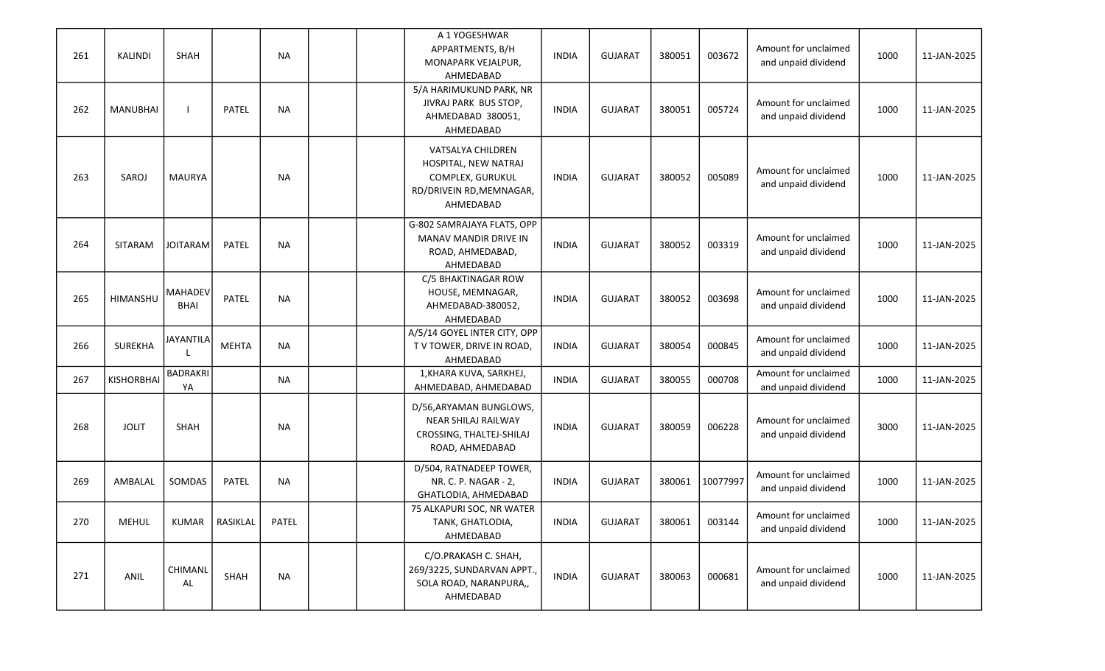| 261 | KALINDI           | SHAH                   |                  | <b>NA</b>    |  | A 1 YOGESHWAR<br>APPARTMENTS, B/H<br>MONAPARK VEJALPUR,<br>AHMEDABAD                                   | <b>INDIA</b> | <b>GUJARAT</b> | 380051 | 003672   | Amount for unclaimed<br>and unpaid dividend | 1000 | 11-JAN-2025 |
|-----|-------------------|------------------------|------------------|--------------|--|--------------------------------------------------------------------------------------------------------|--------------|----------------|--------|----------|---------------------------------------------|------|-------------|
| 262 | <b>MANUBHAI</b>   |                        | PATEL            | <b>NA</b>    |  | 5/A HARIMUKUND PARK, NR<br>JIVRAJ PARK BUS STOP,<br>AHMEDABAD 380051,<br>AHMEDABAD                     | <b>INDIA</b> | <b>GUJARAT</b> | 380051 | 005724   | Amount for unclaimed<br>and unpaid dividend | 1000 | 11-JAN-2025 |
| 263 | SAROJ             | <b>MAURYA</b>          |                  | <b>NA</b>    |  | VATSALYA CHILDREN<br>HOSPITAL, NEW NATRAJ<br>COMPLEX, GURUKUL<br>RD/DRIVEIN RD, MEMNAGAR,<br>AHMEDABAD | <b>INDIA</b> | <b>GUJARAT</b> | 380052 | 005089   | Amount for unclaimed<br>and unpaid dividend | 1000 | 11-JAN-2025 |
| 264 | SITARAM           | <b>JOITARAM</b>        | PATEL            | <b>NA</b>    |  | G-802 SAMRAJAYA FLATS, OPP<br>MANAV MANDIR DRIVE IN<br>ROAD, AHMEDABAD,<br>AHMEDABAD                   | <b>INDIA</b> | <b>GUJARAT</b> | 380052 | 003319   | Amount for unclaimed<br>and unpaid dividend | 1000 | 11-JAN-2025 |
| 265 | HIMANSHU          | MAHADEV<br><b>BHAI</b> | PATEL            | <b>NA</b>    |  | C/5 BHAKTINAGAR ROW<br>HOUSE, MEMNAGAR,<br>AHMEDABAD-380052,<br>AHMEDABAD                              | <b>INDIA</b> | <b>GUJARAT</b> | 380052 | 003698   | Amount for unclaimed<br>and unpaid dividend | 1000 | 11-JAN-2025 |
| 266 | <b>SUREKHA</b>    | <b>JAYANTILA</b>       | <b>MEHTA</b>     | <b>NA</b>    |  | A/5/14 GOYEL INTER CITY, OPP<br>TV TOWER, DRIVE IN ROAD,<br>AHMEDABAD                                  | <b>INDIA</b> | <b>GUJARAT</b> | 380054 | 000845   | Amount for unclaimed<br>and unpaid dividend | 1000 | 11-JAN-2025 |
| 267 | <b>KISHORBHAI</b> | <b>BADRAKRI</b><br>YA  |                  | <b>NA</b>    |  | 1, KHARA KUVA, SARKHEJ,<br>AHMEDABAD, AHMEDABAD                                                        | <b>INDIA</b> | <b>GUJARAT</b> | 380055 | 000708   | Amount for unclaimed<br>and unpaid dividend | 1000 | 11-JAN-2025 |
| 268 | <b>JOLIT</b>      | SHAH                   |                  | <b>NA</b>    |  | D/56, ARYAMAN BUNGLOWS,<br>NEAR SHILAJ RAILWAY<br>CROSSING, THALTEJ-SHILAJ<br>ROAD, AHMEDABAD          | <b>INDIA</b> | <b>GUJARAT</b> | 380059 | 006228   | Amount for unclaimed<br>and unpaid dividend | 3000 | 11-JAN-2025 |
| 269 | AMBALAL           | SOMDAS                 | PATEL            | <b>NA</b>    |  | D/504, RATNADEEP TOWER,<br>NR. C. P. NAGAR - 2,<br>GHATLODIA, AHMEDABAD                                | <b>INDIA</b> | <b>GUJARAT</b> | 380061 | 10077997 | Amount for unclaimed<br>and unpaid dividend | 1000 | 11-JAN-2025 |
| 270 | <b>MEHUL</b>      |                        | KUMAR   RASIKLAL | <b>PATEL</b> |  | 75 ALKAPURI SOC, NR WATER<br>TANK, GHATLODIA,<br>AHMEDABAD                                             | <b>INDIA</b> | <b>GUJARAT</b> | 380061 | 003144   | Amount for unclaimed<br>and unpaid dividend | 1000 | 11-JAN-2025 |
| 271 | ANIL              | CHIMANL<br>AL          | SHAH             | <b>NA</b>    |  | C/O.PRAKASH C. SHAH,<br>269/3225, SUNDARVAN APPT.,<br>SOLA ROAD, NARANPURA,,<br>AHMEDABAD              | <b>INDIA</b> | <b>GUJARAT</b> | 380063 | 000681   | Amount for unclaimed<br>and unpaid dividend | 1000 | 11-JAN-2025 |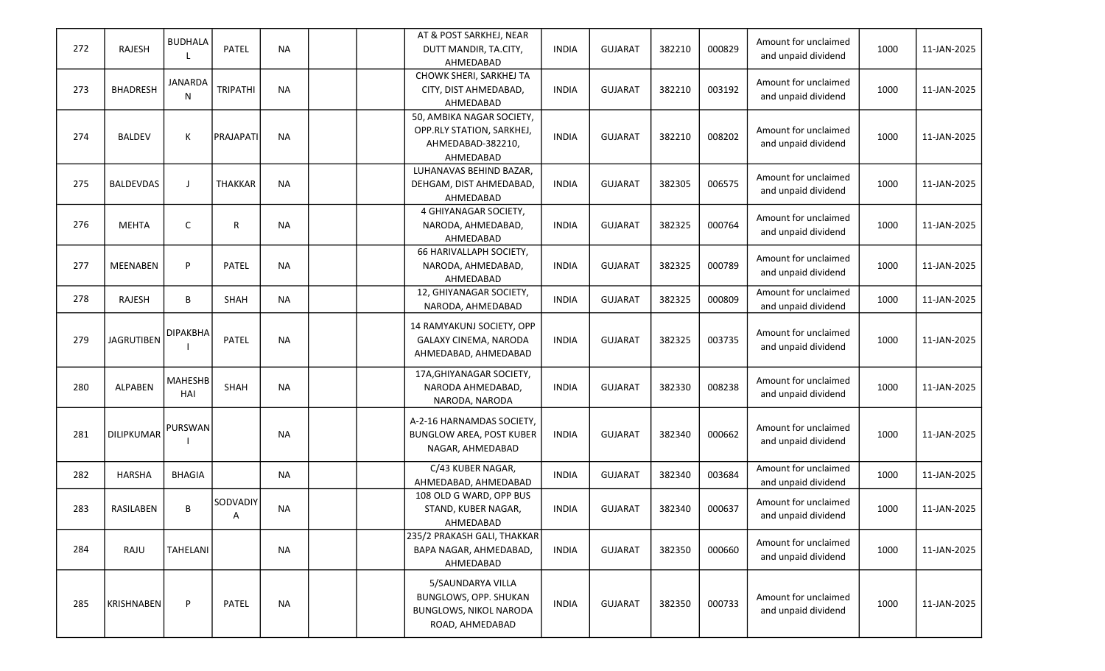| 272 | RAJESH            | <b>BUDHALA</b>        | PATEL           | <b>NA</b> |  | AT & POST SARKHEJ, NEAR<br>DUTT MANDIR, TA.CITY,<br>AHMEDABAD                                  | <b>INDIA</b> | <b>GUJARAT</b> | 382210 | 000829 | Amount for unclaimed<br>and unpaid dividend | 1000 | 11-JAN-2025 |
|-----|-------------------|-----------------------|-----------------|-----------|--|------------------------------------------------------------------------------------------------|--------------|----------------|--------|--------|---------------------------------------------|------|-------------|
| 273 | <b>BHADRESH</b>   | <b>JANARDA</b><br>N   | <b>TRIPATHI</b> | <b>NA</b> |  | CHOWK SHERI, SARKHEJ TA<br>CITY, DIST AHMEDABAD,<br>AHMEDABAD                                  | <b>INDIA</b> | <b>GUJARAT</b> | 382210 | 003192 | Amount for unclaimed<br>and unpaid dividend | 1000 | 11-JAN-2025 |
| 274 | <b>BALDEV</b>     | Κ                     | PRAJAPATI       | <b>NA</b> |  | 50, AMBIKA NAGAR SOCIETY,<br>OPP.RLY STATION, SARKHEJ,<br>AHMEDABAD-382210,<br>AHMEDABAD       | <b>INDIA</b> | <b>GUJARAT</b> | 382210 | 008202 | Amount for unclaimed<br>and unpaid dividend | 1000 | 11-JAN-2025 |
| 275 | <b>BALDEVDAS</b>  | $\mathbf{I}$          | <b>THAKKAR</b>  | <b>NA</b> |  | LUHANAVAS BEHIND BAZAR,<br>DEHGAM, DIST AHMEDABAD,<br>AHMEDABAD                                | <b>INDIA</b> | <b>GUJARAT</b> | 382305 | 006575 | Amount for unclaimed<br>and unpaid dividend | 1000 | 11-JAN-2025 |
| 276 | <b>MEHTA</b>      | C                     | R               | <b>NA</b> |  | 4 GHIYANAGAR SOCIETY,<br>NARODA, AHMEDABAD,<br>AHMEDABAD                                       | <b>INDIA</b> | <b>GUJARAT</b> | 382325 | 000764 | Amount for unclaimed<br>and unpaid dividend | 1000 | 11-JAN-2025 |
| 277 | <b>MEENABEN</b>   | P                     | PATEL           | <b>NA</b> |  | 66 HARIVALLAPH SOCIETY,<br>NARODA, AHMEDABAD,<br>AHMEDABAD                                     | <b>INDIA</b> | <b>GUJARAT</b> | 382325 | 000789 | Amount for unclaimed<br>and unpaid dividend | 1000 | 11-JAN-2025 |
| 278 | RAJESH            | B                     | SHAH            | <b>NA</b> |  | 12, GHIYANAGAR SOCIETY,<br>NARODA, AHMEDABAD                                                   | <b>INDIA</b> | <b>GUJARAT</b> | 382325 | 000809 | Amount for unclaimed<br>and unpaid dividend | 1000 | 11-JAN-2025 |
| 279 | <b>JAGRUTIBEN</b> | <b>DIPAKBHA</b>       | PATEL           | <b>NA</b> |  | 14 RAMYAKUNJ SOCIETY, OPP<br>GALAXY CINEMA, NARODA<br>AHMEDABAD, AHMEDABAD                     | <b>INDIA</b> | <b>GUJARAT</b> | 382325 | 003735 | Amount for unclaimed<br>and unpaid dividend | 1000 | 11-JAN-2025 |
| 280 | <b>ALPABEN</b>    | <b>MAHESHB</b><br>HAI | SHAH            | <b>NA</b> |  | 17A, GHIYANAGAR SOCIETY,<br>NARODA AHMEDABAD,<br>NARODA, NARODA                                | <b>INDIA</b> | <b>GUJARAT</b> | 382330 | 008238 | Amount for unclaimed<br>and unpaid dividend | 1000 | 11-JAN-2025 |
| 281 | <b>DILIPKUMAR</b> | PURSWAN               |                 | <b>NA</b> |  | A-2-16 HARNAMDAS SOCIETY,<br><b>BUNGLOW AREA, POST KUBER</b><br>NAGAR, AHMEDABAD               | <b>INDIA</b> | <b>GUJARAT</b> | 382340 | 000662 | Amount for unclaimed<br>and unpaid dividend | 1000 | 11-JAN-2025 |
| 282 | <b>HARSHA</b>     | <b>BHAGIA</b>         |                 | <b>NA</b> |  | C/43 KUBER NAGAR,<br>AHMEDABAD, AHMEDABAD                                                      | <b>INDIA</b> | <b>GUJARAT</b> | 382340 | 003684 | Amount for unclaimed<br>and unpaid dividend | 1000 | 11-JAN-2025 |
| 283 | RASILABEN         | B                     | SODVADIY<br>A   | <b>NA</b> |  | 108 OLD G WARD, OPP BUS<br>STAND, KUBER NAGAR,<br>AHMEDABAD                                    | <b>INDIA</b> | <b>GUJARAT</b> | 382340 | 000637 | Amount for unclaimed<br>and unpaid dividend | 1000 | 11-JAN-2025 |
| 284 | RAJU              | <b>TAHELANI</b>       |                 | <b>NA</b> |  | 235/2 PRAKASH GALI, THAKKAR<br>BAPA NAGAR, AHMEDABAD,<br>AHMEDABAD                             | <b>INDIA</b> | <b>GUJARAT</b> | 382350 | 000660 | Amount for unclaimed<br>and unpaid dividend | 1000 | 11-JAN-2025 |
| 285 | <b>KRISHNABEN</b> | P                     | PATEL           | <b>NA</b> |  | 5/SAUNDARYA VILLA<br>BUNGLOWS, OPP. SHUKAN<br><b>BUNGLOWS, NIKOL NARODA</b><br>ROAD, AHMEDABAD | <b>INDIA</b> | <b>GUJARAT</b> | 382350 | 000733 | Amount for unclaimed<br>and unpaid dividend | 1000 | 11-JAN-2025 |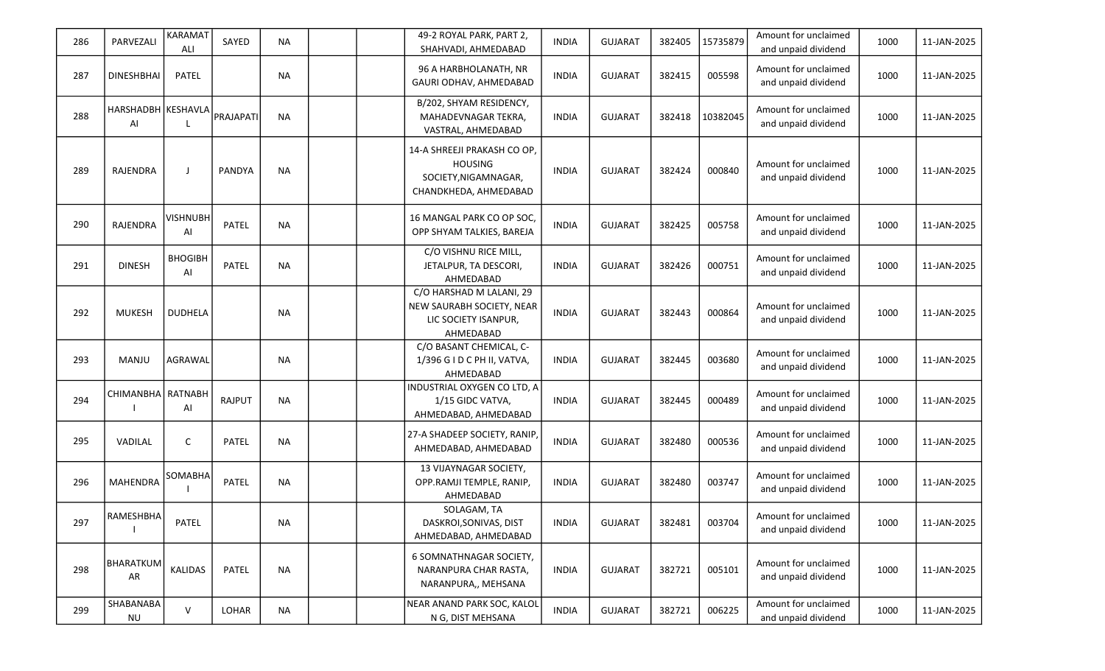| 286 | PARVEZALI                | <b>KARAMAT</b><br>ALI | SAYED         | <b>NA</b> | 49-2 ROYAL PARK, PART 2,<br>SHAHVADI, AHMEDABAD                                                | <b>INDIA</b> | <b>GUJARAT</b> | 382405 | 15735879 | Amount for unclaimed<br>and unpaid dividend | 1000 | 11-JAN-2025 |
|-----|--------------------------|-----------------------|---------------|-----------|------------------------------------------------------------------------------------------------|--------------|----------------|--------|----------|---------------------------------------------|------|-------------|
| 287 | <b>DINESHBHAI</b>        | <b>PATEL</b>          |               | <b>NA</b> | 96 A HARBHOLANATH, NR<br>GAURI ODHAV, AHMEDABAD                                                | <b>INDIA</b> | <b>GUJARAT</b> | 382415 | 005598   | Amount for unclaimed<br>and unpaid dividend | 1000 | 11-JAN-2025 |
| 288 | HARSHADBH KESHAVLA<br>Al |                       | PRAJAPATI     | <b>NA</b> | B/202, SHYAM RESIDENCY,<br>MAHADEVNAGAR TEKRA,<br>VASTRAL, AHMEDABAD                           | <b>INDIA</b> | <b>GUJARAT</b> | 382418 | 10382045 | Amount for unclaimed<br>and unpaid dividend | 1000 | 11-JAN-2025 |
| 289 | <b>RAJENDRA</b>          | $\mathbf{J}$          | <b>PANDYA</b> | <b>NA</b> | 14-A SHREEJI PRAKASH CO OP,<br><b>HOUSING</b><br>SOCIETY, NIGAMNAGAR,<br>CHANDKHEDA, AHMEDABAD | <b>INDIA</b> | <b>GUJARAT</b> | 382424 | 000840   | Amount for unclaimed<br>and unpaid dividend | 1000 | 11-JAN-2025 |
| 290 | RAJENDRA                 | <b>VISHNUBH</b><br>AI | PATEL         | <b>NA</b> | 16 MANGAL PARK CO OP SOC,<br>OPP SHYAM TALKIES, BAREJA                                         | <b>INDIA</b> | <b>GUJARAT</b> | 382425 | 005758   | Amount for unclaimed<br>and unpaid dividend | 1000 | 11-JAN-2025 |
| 291 | <b>DINESH</b>            | <b>BHOGIBH</b><br>AI  | PATEL         | <b>NA</b> | C/O VISHNU RICE MILL,<br>JETALPUR, TA DESCORI,<br>AHMEDABAD                                    | <b>INDIA</b> | <b>GUJARAT</b> | 382426 | 000751   | Amount for unclaimed<br>and unpaid dividend | 1000 | 11-JAN-2025 |
| 292 | <b>MUKESH</b>            | <b>DUDHELA</b>        |               | <b>NA</b> | C/O HARSHAD M LALANI, 29<br>NEW SAURABH SOCIETY, NEAR<br>LIC SOCIETY ISANPUR,<br>AHMEDABAD     | <b>INDIA</b> | <b>GUJARAT</b> | 382443 | 000864   | Amount for unclaimed<br>and unpaid dividend | 1000 | 11-JAN-2025 |
| 293 | <b>MANJU</b>             | AGRAWAL               |               | <b>NA</b> | C/O BASANT CHEMICAL, C-<br>1/396 G I D C PH II, VATVA,<br>AHMEDABAD                            | <b>INDIA</b> | <b>GUJARAT</b> | 382445 | 003680   | Amount for unclaimed<br>and unpaid dividend | 1000 | 11-JAN-2025 |
| 294 | CHIMANBHA RATNABH        | AI                    | <b>RAJPUT</b> | <b>NA</b> | INDUSTRIAL OXYGEN CO LTD, A<br>1/15 GIDC VATVA,<br>AHMEDABAD, AHMEDABAD                        | <b>INDIA</b> | <b>GUJARAT</b> | 382445 | 000489   | Amount for unclaimed<br>and unpaid dividend | 1000 | 11-JAN-2025 |
| 295 | VADILAL                  | C                     | PATEL         | <b>NA</b> | 27-A SHADEEP SOCIETY, RANIP<br>AHMEDABAD, AHMEDABAD                                            | <b>INDIA</b> | <b>GUJARAT</b> | 382480 | 000536   | Amount for unclaimed<br>and unpaid dividend | 1000 | 11-JAN-2025 |
| 296 | <b>MAHENDRA</b>          | SOMABHA               | PATEL         | <b>NA</b> | 13 VIJAYNAGAR SOCIETY,<br>OPP.RAMJI TEMPLE, RANIP,<br>AHMEDABAD                                | <b>INDIA</b> | <b>GUJARAT</b> | 382480 | 003747   | Amount for unclaimed<br>and unpaid dividend | 1000 | 11-JAN-2025 |
| 297 | <b>RAMESHBHA</b>         | PATEL                 |               | ΝA        | SOLAGAM, TA<br>DASKROI, SONIVAS, DIST<br>AHMEDABAD, AHMEDABAD                                  | INDIA        | <b>GUJARAT</b> | 382481 | 003704   | Amount for unclaimed<br>and unpaid dividend | 1000 | 11-JAN-2025 |
| 298 | BHARATKUM<br>AR          | KALIDAS               | PATEL         | <b>NA</b> | 6 SOMNATHNAGAR SOCIETY,<br>NARANPURA CHAR RASTA.<br>NARANPURA,, MEHSANA                        | <b>INDIA</b> | <b>GUJARAT</b> | 382721 | 005101   | Amount for unclaimed<br>and unpaid dividend | 1000 | 11-JAN-2025 |
| 299 | SHABANABA<br><b>NU</b>   | V                     | LOHAR         | <b>NA</b> | NEAR ANAND PARK SOC, KALOL<br>N G, DIST MEHSANA                                                | <b>INDIA</b> | <b>GUJARAT</b> | 382721 | 006225   | Amount for unclaimed<br>and unpaid dividend | 1000 | 11-JAN-2025 |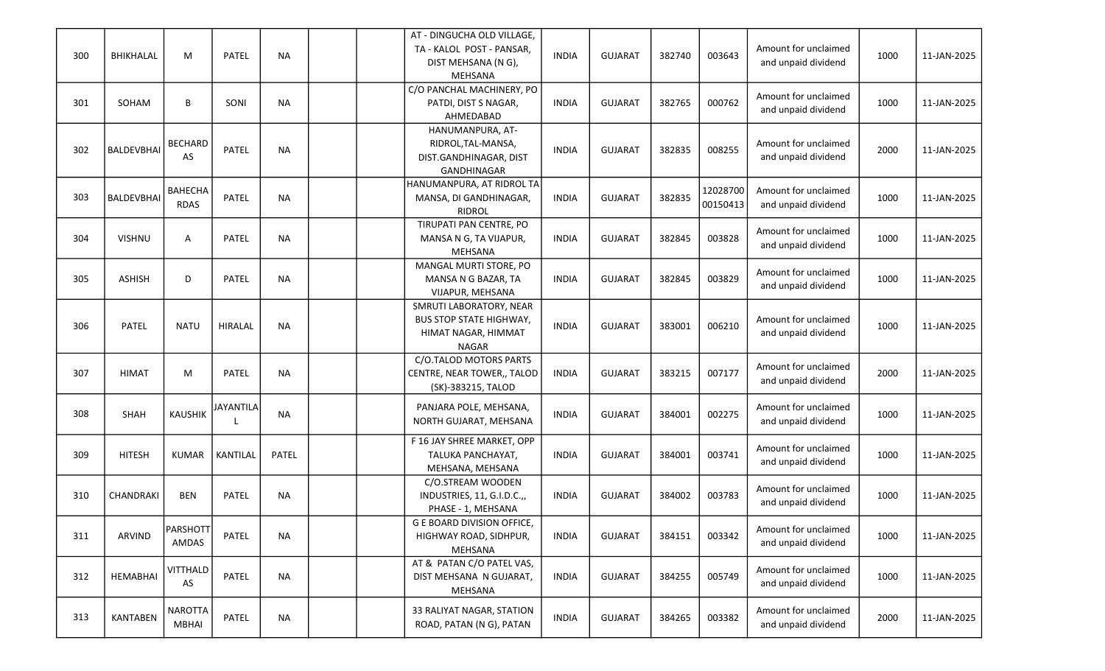| 300 | BHIKHALAL         | M                              | PATEL            | <b>NA</b>    |  | AT - DINGUCHA OLD VILLAGE,<br>TA - KALOL POST - PANSAR,<br>DIST MEHSANA (N G),<br>MEHSANA        | <b>INDIA</b> | <b>GUJARAT</b> | 382740 | 003643               | Amount for unclaimed<br>and unpaid dividend | 1000 | 11-JAN-2025 |
|-----|-------------------|--------------------------------|------------------|--------------|--|--------------------------------------------------------------------------------------------------|--------------|----------------|--------|----------------------|---------------------------------------------|------|-------------|
| 301 | SOHAM             | B                              | SONI             | <b>NA</b>    |  | C/O PANCHAL MACHINERY, PO<br>PATDI, DIST S NAGAR,<br>AHMEDABAD                                   | <b>INDIA</b> | <b>GUJARAT</b> | 382765 | 000762               | Amount for unclaimed<br>and unpaid dividend | 1000 | 11-JAN-2025 |
| 302 | <b>BALDEVBHAI</b> | <b>BECHARD</b><br>AS           | PATEL            | <b>NA</b>    |  | HANUMANPURA, AT-<br>RIDROL, TAL-MANSA,<br>DIST.GANDHINAGAR, DIST<br>GANDHINAGAR                  | <b>INDIA</b> | <b>GUJARAT</b> | 382835 | 008255               | Amount for unclaimed<br>and unpaid dividend | 2000 | 11-JAN-2025 |
| 303 | <b>BALDEVBHAI</b> | <b>BAHECHA</b><br><b>RDAS</b>  | PATEL            | <b>NA</b>    |  | HANUMANPURA, AT RIDROL TA<br>MANSA, DI GANDHINAGAR,<br><b>RIDROL</b>                             | <b>INDIA</b> | <b>GUJARAT</b> | 382835 | 12028700<br>00150413 | Amount for unclaimed<br>and unpaid dividend | 1000 | 11-JAN-2025 |
| 304 | <b>VISHNU</b>     | Α                              | PATEL            | <b>NA</b>    |  | TIRUPATI PAN CENTRE, PO<br>MANSA N G, TA VIJAPUR,<br>MEHSANA                                     | <b>INDIA</b> | <b>GUJARAT</b> | 382845 | 003828               | Amount for unclaimed<br>and unpaid dividend | 1000 | 11-JAN-2025 |
| 305 | <b>ASHISH</b>     | D                              | PATEL            | <b>NA</b>    |  | MANGAL MURTI STORE, PO<br>MANSA N G BAZAR, TA<br>VIJAPUR, MEHSANA                                | <b>INDIA</b> | <b>GUJARAT</b> | 382845 | 003829               | Amount for unclaimed<br>and unpaid dividend | 1000 | 11-JAN-2025 |
| 306 | <b>PATEL</b>      | <b>NATU</b>                    | <b>HIRALAL</b>   | <b>NA</b>    |  | SMRUTI LABORATORY, NEAR<br><b>BUS STOP STATE HIGHWAY,</b><br>HIMAT NAGAR, HIMMAT<br><b>NAGAR</b> | <b>INDIA</b> | <b>GUJARAT</b> | 383001 | 006210               | Amount for unclaimed<br>and unpaid dividend | 1000 | 11-JAN-2025 |
| 307 | <b>HIMAT</b>      | M                              | <b>PATEL</b>     | <b>NA</b>    |  | C/O.TALOD MOTORS PARTS<br>CENTRE, NEAR TOWER,, TALOD<br>(SK)-383215, TALOD                       | <b>INDIA</b> | <b>GUJARAT</b> | 383215 | 007177               | Amount for unclaimed<br>and unpaid dividend | 2000 | 11-JAN-2025 |
| 308 | SHAH              | <b>KAUSHIK</b>                 | <b>JAYANTILA</b> | <b>NA</b>    |  | PANJARA POLE, MEHSANA,<br>NORTH GUJARAT, MEHSANA                                                 | <b>INDIA</b> | <b>GUJARAT</b> | 384001 | 002275               | Amount for unclaimed<br>and unpaid dividend | 1000 | 11-JAN-2025 |
| 309 | <b>HITESH</b>     | <b>KUMAR</b>                   | KANTILAL         | <b>PATEL</b> |  | F 16 JAY SHREE MARKET, OPP<br>TALUKA PANCHAYAT,<br>MEHSANA, MEHSANA                              | <b>INDIA</b> | <b>GUJARAT</b> | 384001 | 003741               | Amount for unclaimed<br>and unpaid dividend | 1000 | 11-JAN-2025 |
| 310 | CHANDRAKI         | <b>BEN</b>                     | PATEL            | <b>NA</b>    |  | C/O.STREAM WOODEN<br>INDUSTRIES, 11, G.I.D.C.,,<br>PHASE - 1, MEHSANA                            | <b>INDIA</b> | <b>GUJARAT</b> | 384002 | 003783               | Amount for unclaimed<br>and unpaid dividend | 1000 | 11-JAN-2025 |
| 311 | <b>ARVIND</b>     | PARSHOTT<br>AMDAS              | PATEL            | <b>NA</b>    |  | G E BOARD DIVISION OFFICE,<br>HIGHWAY ROAD, SIDHPUR,<br><b>MEHSANA</b>                           | <b>INDIA</b> | <b>GUJARAT</b> | 384151 | 003342               | Amount for unclaimed<br>and unpaid dividend | 1000 | 11-JAN-2025 |
| 312 | <b>HEMABHAI</b>   | <b>VITTHALD</b><br>AS          | PATEL            | <b>NA</b>    |  | AT & PATAN C/O PATEL VAS,<br>DIST MEHSANA N GUJARAT,<br>MEHSANA                                  | <b>INDIA</b> | <b>GUJARAT</b> | 384255 | 005749               | Amount for unclaimed<br>and unpaid dividend | 1000 | 11-JAN-2025 |
| 313 | <b>KANTABEN</b>   | <b>NAROTTA</b><br><b>MBHAI</b> | PATEL            | <b>NA</b>    |  | 33 RALIYAT NAGAR, STATION<br>ROAD, PATAN (N G), PATAN                                            | <b>INDIA</b> | <b>GUJARAT</b> | 384265 | 003382               | Amount for unclaimed<br>and unpaid dividend | 2000 | 11-JAN-2025 |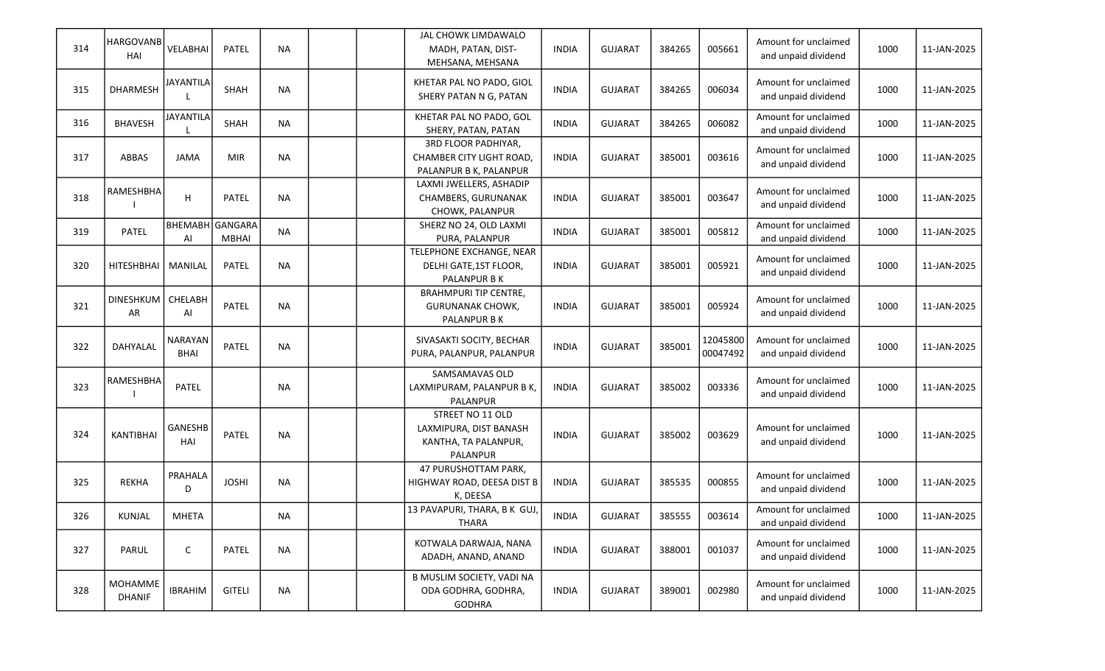| 314 | HARGOVANB<br>HAI         | VELABHAI              | PATEL         | <b>NA</b> |  | JAL CHOWK LIMDAWALO<br>MADH, PATAN, DIST-<br>MEHSANA, MEHSANA                  | <b>INDIA</b> | <b>GUJARAT</b> | 384265 | 005661               | Amount for unclaimed<br>and unpaid dividend | 1000 | 11-JAN-2025 |
|-----|--------------------------|-----------------------|---------------|-----------|--|--------------------------------------------------------------------------------|--------------|----------------|--------|----------------------|---------------------------------------------|------|-------------|
| 315 | DHARMESH                 | <b>JAYANTILA</b>      | SHAH          | <b>NA</b> |  | KHETAR PAL NO PADO, GIOL<br>SHERY PATAN N G, PATAN                             | <b>INDIA</b> | <b>GUJARAT</b> | 384265 | 006034               | Amount for unclaimed<br>and unpaid dividend | 1000 | 11-JAN-2025 |
| 316 | <b>BHAVESH</b>           | <b>JAYANTILA</b>      | SHAH          | <b>NA</b> |  | KHETAR PAL NO PADO, GOL<br>SHERY, PATAN, PATAN                                 | <b>INDIA</b> | <b>GUJARAT</b> | 384265 | 006082               | Amount for unclaimed<br>and unpaid dividend | 1000 | 11-JAN-2025 |
| 317 | <b>ABBAS</b>             | JAMA                  | <b>MIR</b>    | <b>NA</b> |  | 3RD FLOOR PADHIYAR,<br>CHAMBER CITY LIGHT ROAD,<br>PALANPUR B K, PALANPUR      | <b>INDIA</b> | <b>GUJARAT</b> | 385001 | 003616               | Amount for unclaimed<br>and unpaid dividend | 1000 | 11-JAN-2025 |
| 318 | RAMESHBHA                | н                     | PATEL         | <b>NA</b> |  | LAXMI JWELLERS, ASHADIP<br>CHAMBERS, GURUNANAK<br>CHOWK, PALANPUR              | <b>INDIA</b> | <b>GUJARAT</b> | 385001 | 003647               | Amount for unclaimed<br>and unpaid dividend | 1000 | 11-JAN-2025 |
| 319 | PATEL                    | BHEMABH GANGARA<br>Al | <b>MBHAI</b>  | <b>NA</b> |  | SHERZ NO 24, OLD LAXMI<br>PURA, PALANPUR                                       | <b>INDIA</b> | <b>GUJARAT</b> | 385001 | 005812               | Amount for unclaimed<br>and unpaid dividend | 1000 | 11-JAN-2025 |
| 320 | HITESHBHAI               | MANILAL               | PATEL         | <b>NA</b> |  | TELEPHONE EXCHANGE, NEAR<br>DELHI GATE, 1ST FLOOR,<br>PALANPUR B K             | <b>INDIA</b> | <b>GUJARAT</b> | 385001 | 005921               | Amount for unclaimed<br>and unpaid dividend | 1000 | 11-JAN-2025 |
| 321 | DINESHKUM<br>AR          | CHELABH<br>Al         | PATEL         | <b>NA</b> |  | <b>BRAHMPURI TIP CENTRE,</b><br><b>GURUNANAK CHOWK,</b><br>PALANPUR B K        | <b>INDIA</b> | <b>GUJARAT</b> | 385001 | 005924               | Amount for unclaimed<br>and unpaid dividend | 1000 | 11-JAN-2025 |
| 322 | DAHYALAL                 | NARAYAN<br>BHAI       | PATEL         | <b>NA</b> |  | SIVASAKTI SOCITY, BECHAR<br>PURA, PALANPUR, PALANPUR                           | <b>INDIA</b> | <b>GUJARAT</b> | 385001 | 12045800<br>00047492 | Amount for unclaimed<br>and unpaid dividend | 1000 | 11-JAN-2025 |
| 323 | RAMESHBHA                | PATEL                 |               | <b>NA</b> |  | SAMSAMAVAS OLD<br>LAXMIPURAM, PALANPUR B K,<br>PALANPUR                        | <b>INDIA</b> | <b>GUJARAT</b> | 385002 | 003336               | Amount for unclaimed<br>and unpaid dividend | 1000 | 11-JAN-2025 |
| 324 | KANTIBHAI                | GANESHB<br>HAI        | PATEL         | <b>NA</b> |  | STREET NO 11 OLD<br>LAXMIPURA, DIST BANASH<br>KANTHA, TA PALANPUR,<br>PALANPUR | <b>INDIA</b> | <b>GUJARAT</b> | 385002 | 003629               | Amount for unclaimed<br>and unpaid dividend | 1000 | 11-JAN-2025 |
| 325 | <b>REKHA</b>             | PRAHALA<br>D          | <b>JOSHI</b>  | <b>NA</b> |  | 47 PURUSHOTTAM PARK,<br>HIGHWAY ROAD, DEESA DIST B<br>K, DEESA                 | <b>INDIA</b> | <b>GUJARAT</b> | 385535 | 000855               | Amount for unclaimed<br>and unpaid dividend | 1000 | 11-JAN-2025 |
| 326 | <b>KUNJAL</b>            | <b>MHETA</b>          |               | <b>NA</b> |  | 13 PAVAPURI, THARA, B K GUJ,<br>THARA                                          | <b>INDIA</b> | <b>GUJARAT</b> | 385555 | 003614               | Amount for unclaimed<br>and unpaid dividend | 1000 | 11-JAN-2025 |
| 327 | PARUL                    | $\mathsf C$           | PATEL         | <b>NA</b> |  | KOTWALA DARWAJA, NANA<br>ADADH, ANAND, ANAND                                   | <b>INDIA</b> | <b>GUJARAT</b> | 388001 | 001037               | Amount for unclaimed<br>and unpaid dividend | 1000 | 11-JAN-2025 |
| 328 | MOHAMME<br><b>DHANIF</b> | <b>IBRAHIM</b>        | <b>GITELI</b> | <b>NA</b> |  | B MUSLIM SOCIETY, VADI NA<br>ODA GODHRA, GODHRA,<br><b>GODHRA</b>              | <b>INDIA</b> | <b>GUJARAT</b> | 389001 | 002980               | Amount for unclaimed<br>and unpaid dividend | 1000 | 11-JAN-2025 |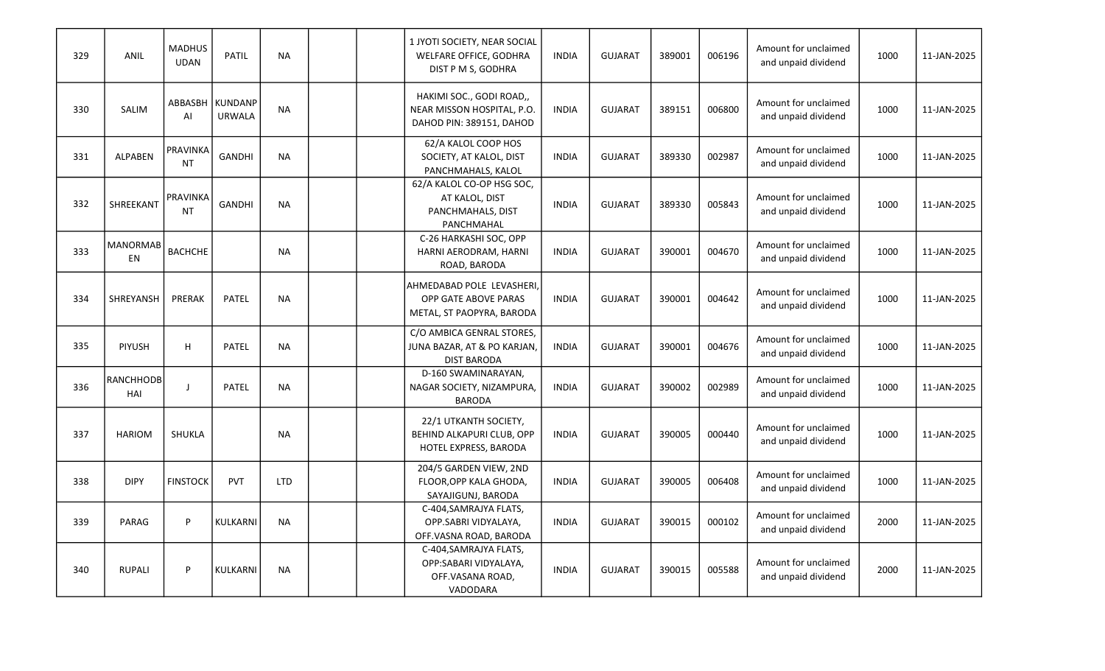| 329 | ANIL                  | <b>MADHUS</b><br><b>UDAN</b> | <b>PATIL</b>                       | <b>NA</b>  |  | 1 JYOTI SOCIETY, NEAR SOCIAL<br>WELFARE OFFICE, GODHRA<br>DIST P M S, GODHRA       | <b>INDIA</b> | <b>GUJARAT</b> | 389001 | 006196 | Amount for unclaimed<br>and unpaid dividend | 1000 | 11-JAN-2025 |
|-----|-----------------------|------------------------------|------------------------------------|------------|--|------------------------------------------------------------------------------------|--------------|----------------|--------|--------|---------------------------------------------|------|-------------|
| 330 | SALIM                 | AI                           | ABBASBH   KUNDANP<br><b>URWALA</b> | <b>NA</b>  |  | HAKIMI SOC., GODI ROAD,,<br>NEAR MISSON HOSPITAL, P.O.<br>DAHOD PIN: 389151, DAHOD | <b>INDIA</b> | <b>GUJARAT</b> | 389151 | 006800 | Amount for unclaimed<br>and unpaid dividend | 1000 | 11-JAN-2025 |
| 331 | <b>ALPABEN</b>        | <b>PRAVINKA</b><br><b>NT</b> | <b>GANDHI</b>                      | <b>NA</b>  |  | 62/A KALOL COOP HOS<br>SOCIETY, AT KALOL, DIST<br>PANCHMAHALS, KALOL               | <b>INDIA</b> | <b>GUJARAT</b> | 389330 | 002987 | Amount for unclaimed<br>and unpaid dividend | 1000 | 11-JAN-2025 |
| 332 | SHREEKANT             | <b>PRAVINKA</b><br><b>NT</b> | <b>GANDHI</b>                      | <b>NA</b>  |  | 62/A KALOL CO-OP HSG SOC,<br>AT KALOL, DIST<br>PANCHMAHALS, DIST<br>PANCHMAHAL     | <b>INDIA</b> | <b>GUJARAT</b> | 389330 | 005843 | Amount for unclaimed<br>and unpaid dividend | 1000 | 11-JAN-2025 |
| 333 | <b>MANORMAB</b><br>EN | <b>BACHCHE</b>               |                                    | <b>NA</b>  |  | C-26 HARKASHI SOC, OPP<br>HARNI AERODRAM, HARNI<br>ROAD, BARODA                    | <b>INDIA</b> | <b>GUJARAT</b> | 390001 | 004670 | Amount for unclaimed<br>and unpaid dividend | 1000 | 11-JAN-2025 |
| 334 | SHREYANSH             | PRERAK                       | <b>PATEL</b>                       | <b>NA</b>  |  | AHMEDABAD POLE LEVASHERI,<br>OPP GATE ABOVE PARAS<br>METAL, ST PAOPYRA, BARODA     | <b>INDIA</b> | <b>GUJARAT</b> | 390001 | 004642 | Amount for unclaimed<br>and unpaid dividend | 1000 | 11-JAN-2025 |
| 335 | PIYUSH                | H                            | PATEL                              | <b>NA</b>  |  | C/O AMBICA GENRAL STORES,<br>JUNA BAZAR, AT & PO KARJAN,<br><b>DIST BARODA</b>     | <b>INDIA</b> | <b>GUJARAT</b> | 390001 | 004676 | Amount for unclaimed<br>and unpaid dividend | 1000 | 11-JAN-2025 |
| 336 | RANCHHODB<br>HAI      | $\mathbf{I}$                 | <b>PATEL</b>                       | <b>NA</b>  |  | D-160 SWAMINARAYAN,<br>NAGAR SOCIETY, NIZAMPURA,<br><b>BARODA</b>                  | <b>INDIA</b> | <b>GUJARAT</b> | 390002 | 002989 | Amount for unclaimed<br>and unpaid dividend | 1000 | 11-JAN-2025 |
| 337 | <b>HARIOM</b>         | SHUKLA                       |                                    | <b>NA</b>  |  | 22/1 UTKANTH SOCIETY,<br>BEHIND ALKAPURI CLUB, OPP<br>HOTEL EXPRESS, BARODA        | <b>INDIA</b> | <b>GUJARAT</b> | 390005 | 000440 | Amount for unclaimed<br>and unpaid dividend | 1000 | 11-JAN-2025 |
| 338 | <b>DIPY</b>           | <b>FINSTOCK</b>              | <b>PVT</b>                         | <b>LTD</b> |  | 204/5 GARDEN VIEW, 2ND<br>FLOOR, OPP KALA GHODA,<br>SAYAJIGUNJ, BARODA             | <b>INDIA</b> | <b>GUJARAT</b> | 390005 | 006408 | Amount for unclaimed<br>and unpaid dividend | 1000 | 11-JAN-2025 |
| 339 | PARAG                 | P                            | <b>KULKARNI</b>                    | <b>NA</b>  |  | C-404, SAMRAJYA FLATS,<br>OPP.SABRI VIDYALAYA,<br>OFF.VASNA ROAD, BARODA           | <b>INDIA</b> | <b>GUJARAT</b> | 390015 | 000102 | Amount for unclaimed<br>and unpaid dividend | 2000 | 11-JAN-2025 |
| 340 | <b>RUPALI</b>         | P                            | KULKARNI                           | <b>NA</b>  |  | C-404, SAMRAJYA FLATS,<br>OPP:SABARI VIDYALAYA,<br>OFF.VASANA ROAD,<br>VADODARA    | <b>INDIA</b> | <b>GUJARAT</b> | 390015 | 005588 | Amount for unclaimed<br>and unpaid dividend | 2000 | 11-JAN-2025 |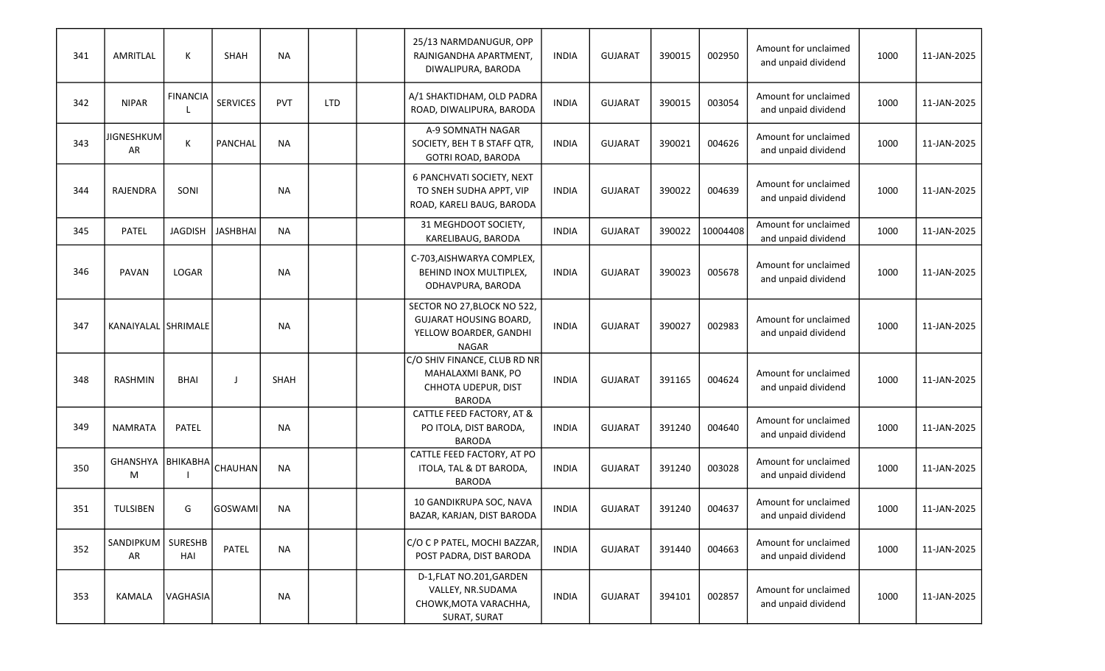| 341 | AMRITLAL                   | К                     | SHAH            | <b>NA</b>   |            | 25/13 NARMDANUGUR, OPP<br>RAJNIGANDHA APARTMENT,<br>DIWALIPURA, BARODA                                 | <b>INDIA</b> | <b>GUJARAT</b> | 390015 | 002950   | Amount for unclaimed<br>and unpaid dividend | 1000 | 11-JAN-2025 |
|-----|----------------------------|-----------------------|-----------------|-------------|------------|--------------------------------------------------------------------------------------------------------|--------------|----------------|--------|----------|---------------------------------------------|------|-------------|
| 342 | <b>NIPAR</b>               | <b>FINANCIA</b>       | <b>SERVICES</b> | <b>PVT</b>  | <b>LTD</b> | A/1 SHAKTIDHAM, OLD PADRA<br>ROAD, DIWALIPURA, BARODA                                                  | <b>INDIA</b> | <b>GUJARAT</b> | 390015 | 003054   | Amount for unclaimed<br>and unpaid dividend | 1000 | 11-JAN-2025 |
| 343 | <b>JIGNESHKUM</b><br>AR    | К                     | <b>PANCHAL</b>  | <b>NA</b>   |            | A-9 SOMNATH NAGAR<br>SOCIETY, BEH T B STAFF QTR,<br>GOTRI ROAD, BARODA                                 | <b>INDIA</b> | <b>GUJARAT</b> | 390021 | 004626   | Amount for unclaimed<br>and unpaid dividend | 1000 | 11-JAN-2025 |
| 344 | RAJENDRA                   | SONI                  |                 | <b>NA</b>   |            | 6 PANCHVATI SOCIETY, NEXT<br>TO SNEH SUDHA APPT, VIP<br>ROAD, KARELI BAUG, BARODA                      | <b>INDIA</b> | <b>GUJARAT</b> | 390022 | 004639   | Amount for unclaimed<br>and unpaid dividend | 1000 | 11-JAN-2025 |
| 345 | PATEL                      | <b>JAGDISH</b>        | <b>JASHBHAI</b> | <b>NA</b>   |            | 31 MEGHDOOT SOCIETY,<br>KARELIBAUG, BARODA                                                             | <b>INDIA</b> | <b>GUJARAT</b> | 390022 | 10004408 | Amount for unclaimed<br>and unpaid dividend | 1000 | 11-JAN-2025 |
| 346 | PAVAN                      | LOGAR                 |                 | <b>NA</b>   |            | C-703, AISHWARYA COMPLEX,<br>BEHIND INOX MULTIPLEX,<br>ODHAVPURA, BARODA                               | <b>INDIA</b> | <b>GUJARAT</b> | 390023 | 005678   | Amount for unclaimed<br>and unpaid dividend | 1000 | 11-JAN-2025 |
| 347 | KANAIYALAL SHRIMALE        |                       |                 | <b>NA</b>   |            | SECTOR NO 27, BLOCK NO 522,<br><b>GUJARAT HOUSING BOARD.</b><br>YELLOW BOARDER, GANDHI<br><b>NAGAR</b> | <b>INDIA</b> | <b>GUJARAT</b> | 390027 | 002983   | Amount for unclaimed<br>and unpaid dividend | 1000 | 11-JAN-2025 |
| 348 | <b>RASHMIN</b>             | <b>BHAI</b>           | J               | <b>SHAH</b> |            | C/O SHIV FINANCE, CLUB RD NR<br>MAHALAXMI BANK, PO<br>CHHOTA UDEPUR, DIST<br><b>BARODA</b>             | <b>INDIA</b> | <b>GUJARAT</b> | 391165 | 004624   | Amount for unclaimed<br>and unpaid dividend | 1000 | 11-JAN-2025 |
| 349 | <b>NAMRATA</b>             | PATEL                 |                 | <b>NA</b>   |            | CATTLE FEED FACTORY, AT &<br>PO ITOLA, DIST BARODA,<br><b>BARODA</b>                                   | <b>INDIA</b> | <b>GUJARAT</b> | 391240 | 004640   | Amount for unclaimed<br>and unpaid dividend | 1000 | 11-JAN-2025 |
| 350 | GHANSHYA   BHIKABHA  <br>М |                       | <b>CHAUHAN</b>  | <b>NA</b>   |            | CATTLE FEED FACTORY, AT PO<br>ITOLA, TAL & DT BARODA,<br><b>BARODA</b>                                 | <b>INDIA</b> | <b>GUJARAT</b> | 391240 | 003028   | Amount for unclaimed<br>and unpaid dividend | 1000 | 11-JAN-2025 |
| 351 | <b>TULSIBEN</b>            | G                     | <b>GOSWAMI</b>  | <b>NA</b>   |            | 10 GANDIKRUPA SOC, NAVA<br>BAZAR, KARJAN, DIST BARODA                                                  | <b>INDIA</b> | <b>GUJARAT</b> | 391240 | 004637   | Amount for unclaimed<br>and unpaid dividend | 1000 | 11-JAN-2025 |
| 352 | SANDIPKUM<br>AR            | <b>SURESHB</b><br>HAI | PATEL           | <b>NA</b>   |            | C/O C P PATEL, MOCHI BAZZAR,<br>POST PADRA, DIST BARODA                                                | <b>INDIA</b> | <b>GUJARAT</b> | 391440 | 004663   | Amount for unclaimed<br>and unpaid dividend | 1000 | 11-JAN-2025 |
| 353 | <b>KAMALA</b>              | VAGHASIA              |                 | NA          |            | D-1, FLAT NO.201, GARDEN<br>VALLEY, NR.SUDAMA<br>CHOWK, MOTA VARACHHA,<br>SURAT, SURAT                 | <b>INDIA</b> | <b>GUJARAT</b> | 394101 | 002857   | Amount for unclaimed<br>and unpaid dividend | 1000 | 11-JAN-2025 |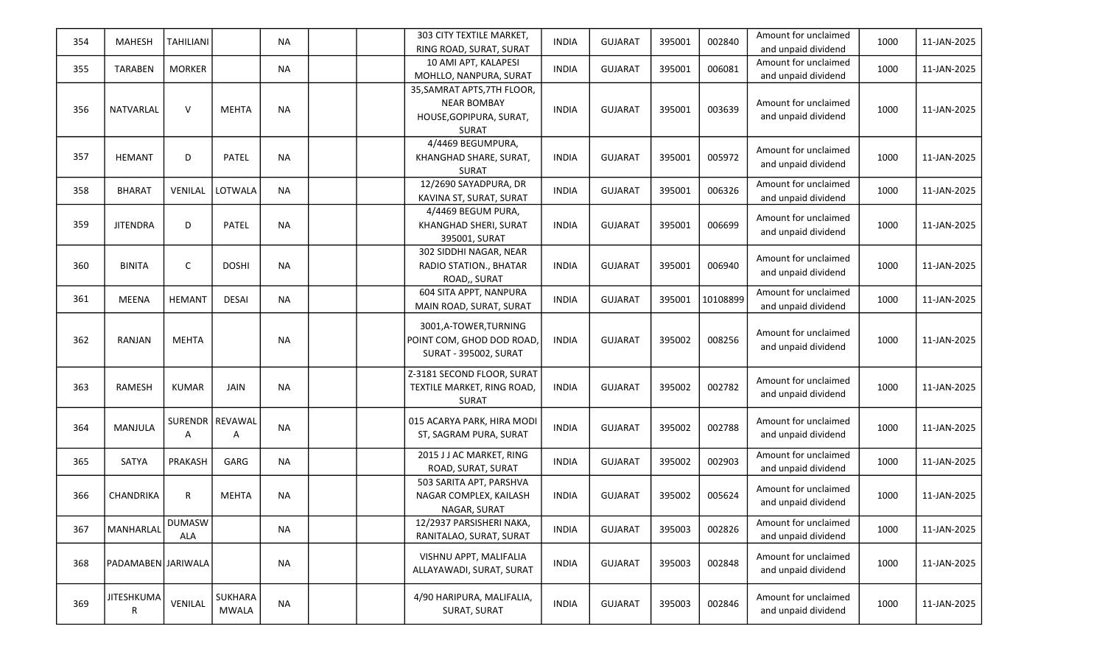| 354 | <b>MAHESH</b>          | <b>TAHILIANI</b>     |                                | <b>NA</b> |  | 303 CITY TEXTILE MARKET,<br>RING ROAD, SURAT, SURAT                                          | <b>INDIA</b> | <b>GUJARAT</b> | 395001 | 002840   | Amount for unclaimed<br>and unpaid dividend | 1000 | 11-JAN-2025 |
|-----|------------------------|----------------------|--------------------------------|-----------|--|----------------------------------------------------------------------------------------------|--------------|----------------|--------|----------|---------------------------------------------|------|-------------|
| 355 | <b>TARABEN</b>         | <b>MORKER</b>        |                                | <b>NA</b> |  | 10 AMI APT, KALAPESI<br>MOHLLO, NANPURA, SURAT                                               | <b>INDIA</b> | <b>GUJARAT</b> | 395001 | 006081   | Amount for unclaimed<br>and unpaid dividend | 1000 | 11-JAN-2025 |
| 356 | NATVARLAL              | $\vee$               | <b>MEHTA</b>                   | <b>NA</b> |  | 35, SAMRAT APTS, 7TH FLOOR,<br><b>NEAR BOMBAY</b><br>HOUSE, GOPIPURA, SURAT,<br><b>SURAT</b> | <b>INDIA</b> | <b>GUJARAT</b> | 395001 | 003639   | Amount for unclaimed<br>and unpaid dividend | 1000 | 11-JAN-2025 |
| 357 | <b>HEMANT</b>          | D                    | PATEL                          | <b>NA</b> |  | 4/4469 BEGUMPURA,<br>KHANGHAD SHARE, SURAT,<br><b>SURAT</b>                                  | <b>INDIA</b> | <b>GUJARAT</b> | 395001 | 005972   | Amount for unclaimed<br>and unpaid dividend | 1000 | 11-JAN-2025 |
| 358 | <b>BHARAT</b>          | VENILAL              | LOTWALA                        | <b>NA</b> |  | 12/2690 SAYADPURA, DR<br>KAVINA ST, SURAT, SURAT                                             | <b>INDIA</b> | <b>GUJARAT</b> | 395001 | 006326   | Amount for unclaimed<br>and unpaid dividend | 1000 | 11-JAN-2025 |
| 359 | <b>JITENDRA</b>        | D                    | PATEL                          | <b>NA</b> |  | 4/4469 BEGUM PURA,<br>KHANGHAD SHERI, SURAT<br>395001, SURAT                                 | <b>INDIA</b> | <b>GUJARAT</b> | 395001 | 006699   | Amount for unclaimed<br>and unpaid dividend | 1000 | 11-JAN-2025 |
| 360 | <b>BINITA</b>          | C                    | <b>DOSHI</b>                   | <b>NA</b> |  | 302 SIDDHI NAGAR, NEAR<br>RADIO STATION., BHATAR<br>ROAD,, SURAT                             | <b>INDIA</b> | <b>GUJARAT</b> | 395001 | 006940   | Amount for unclaimed<br>and unpaid dividend | 1000 | 11-JAN-2025 |
| 361 | <b>MEENA</b>           | <b>HEMANT</b>        | DESAI                          | <b>NA</b> |  | 604 SITA APPT, NANPURA<br>MAIN ROAD, SURAT, SURAT                                            | <b>INDIA</b> | <b>GUJARAT</b> | 395001 | 10108899 | Amount for unclaimed<br>and unpaid dividend | 1000 | 11-JAN-2025 |
| 362 | RANJAN                 | <b>MEHTA</b>         |                                | <b>NA</b> |  | 3001,A-TOWER,TURNING<br>POINT COM, GHOD DOD ROAD,<br><b>SURAT - 395002, SURAT</b>            | <b>INDIA</b> | <b>GUJARAT</b> | 395002 | 008256   | Amount for unclaimed<br>and unpaid dividend | 1000 | 11-JAN-2025 |
| 363 | RAMESH                 | <b>KUMAR</b>         | JAIN                           | <b>NA</b> |  | Z-3181 SECOND FLOOR, SURAT<br>TEXTILE MARKET, RING ROAD,<br><b>SURAT</b>                     | <b>INDIA</b> | <b>GUJARAT</b> | 395002 | 002782   | Amount for unclaimed<br>and unpaid dividend | 1000 | 11-JAN-2025 |
| 364 | <b>MANJULA</b>         | A                    | SURENDR   REVAWAL<br>A         | <b>NA</b> |  | 015 ACARYA PARK, HIRA MODI<br>ST, SAGRAM PURA, SURAT                                         | <b>INDIA</b> | <b>GUJARAT</b> | 395002 | 002788   | Amount for unclaimed<br>and unpaid dividend | 1000 | 11-JAN-2025 |
| 365 | SATYA                  | PRAKASH              | GARG                           | <b>NA</b> |  | 2015 J J AC MARKET, RING<br>ROAD, SURAT, SURAT                                               | <b>INDIA</b> | <b>GUJARAT</b> | 395002 | 002903   | Amount for unclaimed<br>and unpaid dividend | 1000 | 11-JAN-2025 |
| 366 | CHANDRIKA              | R                    | <b>MEHTA</b>                   | <b>NA</b> |  | 503 SARITA APT, PARSHVA<br>NAGAR COMPLEX, KAILASH<br>NAGAR, SURAT                            | <b>INDIA</b> | <b>GUJARAT</b> | 395002 | 005624   | Amount for unclaimed<br>and unpaid dividend | 1000 | 11-JAN-2025 |
| 367 | MANHARLAL              | <b>DUMASW</b><br>ALA |                                | <b>NA</b> |  | 12/2937 PARSISHERI NAKA,<br>RANITALAO, SURAT, SURAT                                          | <b>INDIA</b> | <b>GUJARAT</b> | 395003 | 002826   | Amount for unclaimed<br>and unpaid dividend | 1000 | 11-JAN-2025 |
| 368 | PADAMABEN JARIWALA     |                      |                                | <b>NA</b> |  | VISHNU APPT, MALIFALIA<br>ALLAYAWADI, SURAT, SURAT                                           | <b>INDIA</b> | <b>GUJARAT</b> | 395003 | 002848   | Amount for unclaimed<br>and unpaid dividend | 1000 | 11-JAN-2025 |
| 369 | <b>JITESHKUMA</b><br>R | VENILAL              | <b>SUKHARA</b><br><b>MWALA</b> | <b>NA</b> |  | 4/90 HARIPURA, MALIFALIA,<br>SURAT, SURAT                                                    | <b>INDIA</b> | <b>GUJARAT</b> | 395003 | 002846   | Amount for unclaimed<br>and unpaid dividend | 1000 | 11-JAN-2025 |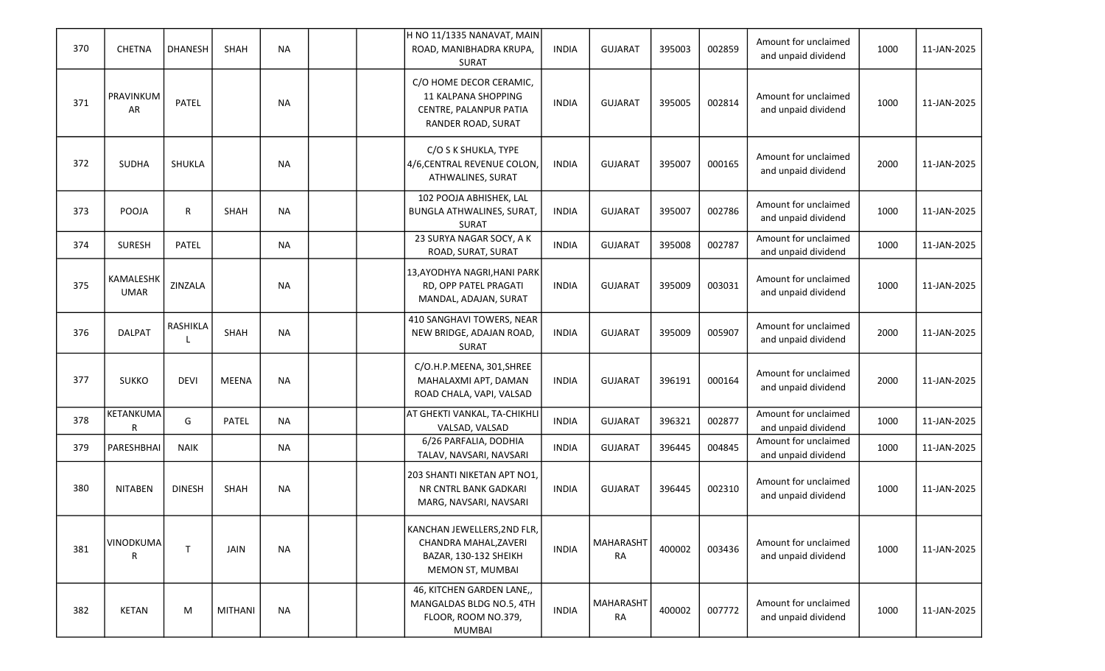| 370 | <b>CHETNA</b>            | <b>DHANESH</b> | SHAH         | <b>NA</b> | H NO 11/1335 NANAVAT, MAIN<br>ROAD, MANIBHADRA KRUPA,<br><b>SURAT</b>                             | <b>INDIA</b> | <b>GUJARAT</b>                | 395003 | 002859 | Amount for unclaimed<br>and unpaid dividend | 1000 | 11-JAN-2025 |
|-----|--------------------------|----------------|--------------|-----------|---------------------------------------------------------------------------------------------------|--------------|-------------------------------|--------|--------|---------------------------------------------|------|-------------|
| 371 | PRAVINKUM<br>AR          | PATEL          |              | <b>NA</b> | C/O HOME DECOR CERAMIC,<br>11 KALPANA SHOPPING<br>CENTRE, PALANPUR PATIA<br>RANDER ROAD, SURAT    | <b>INDIA</b> | <b>GUJARAT</b>                | 395005 | 002814 | Amount for unclaimed<br>and unpaid dividend | 1000 | 11-JAN-2025 |
| 372 | SUDHA                    | SHUKLA         |              | <b>NA</b> | C/O S K SHUKLA, TYPE<br>4/6, CENTRAL REVENUE COLON,<br>ATHWALINES, SURAT                          | <b>INDIA</b> | <b>GUJARAT</b>                | 395007 | 000165 | Amount for unclaimed<br>and unpaid dividend | 2000 | 11-JAN-2025 |
| 373 | POOJA                    | R              | <b>SHAH</b>  | <b>NA</b> | 102 POOJA ABHISHEK, LAL<br><b>BUNGLA ATHWALINES, SURAT,</b><br><b>SURAT</b>                       | <b>INDIA</b> | <b>GUJARAT</b>                | 395007 | 002786 | Amount for unclaimed<br>and unpaid dividend | 1000 | 11-JAN-2025 |
| 374 | <b>SURESH</b>            | <b>PATEL</b>   |              | <b>NA</b> | 23 SURYA NAGAR SOCY, A K<br>ROAD, SURAT, SURAT                                                    | <b>INDIA</b> | <b>GUJARAT</b>                | 395008 | 002787 | Amount for unclaimed<br>and unpaid dividend | 1000 | 11-JAN-2025 |
| 375 | KAMALESHK<br><b>UMAR</b> | ZINZALA        |              | <b>NA</b> | 13, AYODHYA NAGRI, HANI PARK<br>RD, OPP PATEL PRAGATI<br>MANDAL, ADAJAN, SURAT                    | <b>INDIA</b> | <b>GUJARAT</b>                | 395009 | 003031 | Amount for unclaimed<br>and unpaid dividend | 1000 | 11-JAN-2025 |
| 376 | <b>DALPAT</b>            | RASHIKLA       | SHAH         | <b>NA</b> | 410 SANGHAVI TOWERS, NEAR<br>NEW BRIDGE, ADAJAN ROAD,<br><b>SURAT</b>                             | <b>INDIA</b> | <b>GUJARAT</b>                | 395009 | 005907 | Amount for unclaimed<br>and unpaid dividend | 2000 | 11-JAN-2025 |
| 377 | <b>SUKKO</b>             | <b>DEVI</b>    | <b>MEENA</b> | <b>NA</b> | C/O.H.P.MEENA, 301, SHREE<br>MAHALAXMI APT, DAMAN<br>ROAD CHALA, VAPI, VALSAD                     | <b>INDIA</b> | <b>GUJARAT</b>                | 396191 | 000164 | Amount for unclaimed<br>and unpaid dividend | 2000 | 11-JAN-2025 |
| 378 | KETANKUMA<br>R           | G              | PATEL        | <b>NA</b> | AT GHEKTI VANKAL, TA-CHIKHLI<br>VALSAD, VALSAD                                                    | <b>INDIA</b> | <b>GUJARAT</b>                | 396321 | 002877 | Amount for unclaimed<br>and unpaid dividend | 1000 | 11-JAN-2025 |
| 379 | PARESHBHAI               | <b>NAIK</b>    |              | <b>NA</b> | 6/26 PARFALIA, DODHIA<br>TALAV, NAVSARI, NAVSARI                                                  | <b>INDIA</b> | <b>GUJARAT</b>                | 396445 | 004845 | Amount for unclaimed<br>and unpaid dividend | 1000 | 11-JAN-2025 |
| 380 | <b>NITABEN</b>           | <b>DINESH</b>  | SHAH         | <b>NA</b> | 203 SHANTI NIKETAN APT NO1,<br>NR CNTRL BANK GADKARI<br>MARG, NAVSARI, NAVSARI                    | <b>INDIA</b> | <b>GUJARAT</b>                | 396445 | 002310 | Amount for unclaimed<br>and unpaid dividend | 1000 | 11-JAN-2025 |
| 381 | VINODKUMA<br>R           | $\mathsf{T}$   | JAIN         | <b>NA</b> | KANCHAN JEWELLERS, 2ND FLR,<br>CHANDRA MAHAL, ZAVERI<br>BAZAR, 130-132 SHEIKH<br>MEMON ST, MUMBAI | <b>INDIA</b> | MAHARASHT<br><b>RA</b>        | 400002 | 003436 | Amount for unclaimed<br>and unpaid dividend | 1000 | 11-JAN-2025 |
| 382 | <b>KETAN</b>             | M              | MITHANI      | <b>NA</b> | 46, KITCHEN GARDEN LANE,,<br>MANGALDAS BLDG NO.5, 4TH<br>FLOOR, ROOM NO.379,<br><b>MUMBAI</b>     | <b>INDIA</b> | <b>MAHARASHT</b><br><b>RA</b> | 400002 | 007772 | Amount for unclaimed<br>and unpaid dividend | 1000 | 11-JAN-2025 |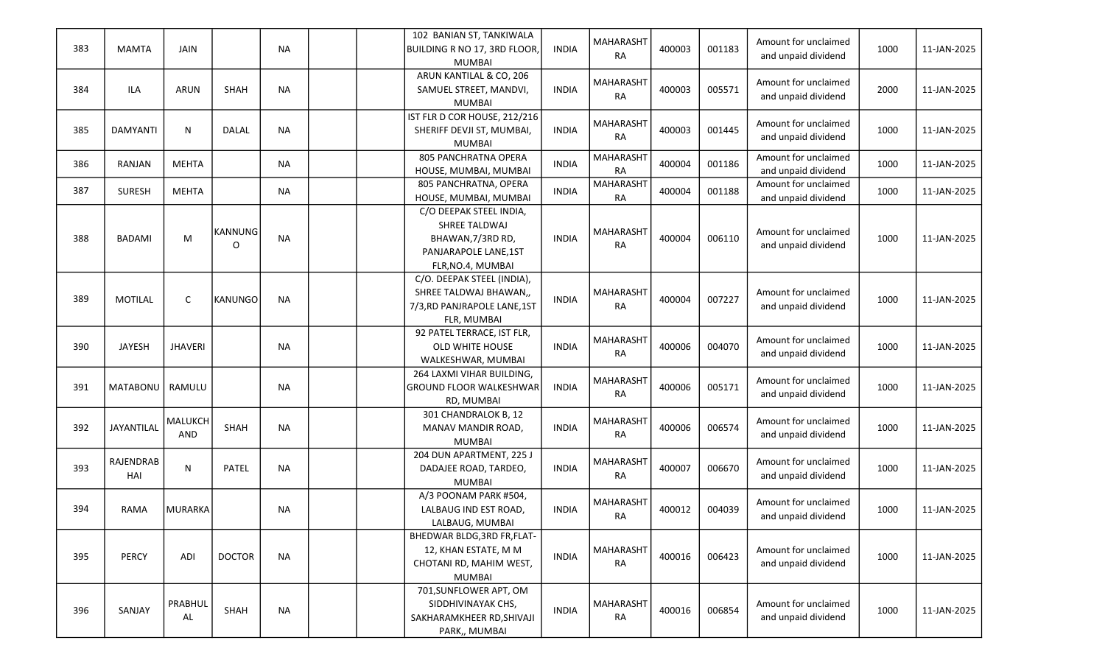| 383 | <b>MAMTA</b>     | <b>JAIN</b>    |                     | <b>NA</b> |  | 102 BANIAN ST, TANKIWALA<br><b>BUILDING R NO 17, 3RD FLOOR</b><br><b>MUMBAI</b>                            | <b>INDIA</b> | <b>MAHARASHT</b><br>RA        | 400003 | 001183 | Amount for unclaimed<br>and unpaid dividend | 1000 | 11-JAN-2025 |
|-----|------------------|----------------|---------------------|-----------|--|------------------------------------------------------------------------------------------------------------|--------------|-------------------------------|--------|--------|---------------------------------------------|------|-------------|
| 384 | ILA              | <b>ARUN</b>    | <b>SHAH</b>         | <b>NA</b> |  | ARUN KANTILAL & CO, 206<br>SAMUEL STREET, MANDVI,<br><b>MUMBAI</b>                                         | <b>INDIA</b> | <b>MAHARASHT</b><br>RA        | 400003 | 005571 | Amount for unclaimed<br>and unpaid dividend | 2000 | 11-JAN-2025 |
| 385 | <b>DAMYANTI</b>  | N              | <b>DALAL</b>        | <b>NA</b> |  | IST FLR D COR HOUSE, 212/216<br>SHERIFF DEVJI ST, MUMBAI,<br><b>MUMBAI</b>                                 | <b>INDIA</b> | <b>MAHARASHT</b><br><b>RA</b> | 400003 | 001445 | Amount for unclaimed<br>and unpaid dividend | 1000 | 11-JAN-2025 |
| 386 | RANJAN           | <b>MEHTA</b>   |                     | <b>NA</b> |  | 805 PANCHRATNA OPERA<br>HOUSE, MUMBAI, MUMBAI                                                              | <b>INDIA</b> | <b>MAHARASHT</b><br><b>RA</b> | 400004 | 001186 | Amount for unclaimed<br>and unpaid dividend | 1000 | 11-JAN-2025 |
| 387 | <b>SURESH</b>    | <b>MEHTA</b>   |                     | <b>NA</b> |  | 805 PANCHRATNA, OPERA<br>HOUSE, MUMBAI, MUMBAI                                                             | <b>INDIA</b> | <b>MAHARASHT</b><br>RA        | 400004 | 001188 | Amount for unclaimed<br>and unpaid dividend | 1000 | 11-JAN-2025 |
| 388 | <b>BADAMI</b>    | М              | <b>KANNUNG</b><br>O | <b>NA</b> |  | C/O DEEPAK STEEL INDIA,<br>SHREE TALDWAJ<br>BHAWAN, 7/3RD RD,<br>PANJARAPOLE LANE,1ST<br>FLR, NO.4, MUMBAI | <b>INDIA</b> | <b>MAHARASHT</b><br><b>RA</b> | 400004 | 006110 | Amount for unclaimed<br>and unpaid dividend | 1000 | 11-JAN-2025 |
| 389 | <b>MOTILAL</b>   | $\mathsf{C}$   | KANUNGO             | <b>NA</b> |  | C/O. DEEPAK STEEL (INDIA),<br>SHREE TALDWAJ BHAWAN,,<br>7/3, RD PANJRAPOLE LANE, 1ST<br>FLR, MUMBAI        | <b>INDIA</b> | <b>MAHARASHT</b><br>RA        | 400004 | 007227 | Amount for unclaimed<br>and unpaid dividend | 1000 | 11-JAN-2025 |
| 390 | <b>JAYESH</b>    | <b>JHAVERI</b> |                     | <b>NA</b> |  | 92 PATEL TERRACE, IST FLR,<br>OLD WHITE HOUSE<br>WALKESHWAR, MUMBAI                                        | <b>INDIA</b> | <b>MAHARASHT</b><br>RA        | 400006 | 004070 | Amount for unclaimed<br>and unpaid dividend | 1000 | 11-JAN-2025 |
| 391 | <b>MATABONU</b>  | RAMULU         |                     | <b>NA</b> |  | 264 LAXMI VIHAR BUILDING,<br><b>GROUND FLOOR WALKESHWAR</b><br>RD, MUMBAI                                  | <b>INDIA</b> | <b>MAHARASHT</b><br><b>RA</b> | 400006 | 005171 | Amount for unclaimed<br>and unpaid dividend | 1000 | 11-JAN-2025 |
| 392 | JAYANTILAL       | MALUKCH<br>AND | SHAH                | <b>NA</b> |  | 301 CHANDRALOK B, 12<br>MANAV MANDIR ROAD,<br><b>MUMBAI</b>                                                | <b>INDIA</b> | <b>MAHARASHT</b><br><b>RA</b> | 400006 | 006574 | Amount for unclaimed<br>and unpaid dividend | 1000 | 11-JAN-2025 |
| 393 | RAJENDRAB<br>HAI | N              | PATEL               | <b>NA</b> |  | 204 DUN APARTMENT, 225 J<br>DADAJEE ROAD, TARDEO,<br><b>MUMBAI</b>                                         | <b>INDIA</b> | MAHARASHT<br><b>RA</b>        | 400007 | 006670 | Amount for unclaimed<br>and unpaid dividend | 1000 | 11-JAN-2025 |
| 394 | <b>RAMA</b>      | <b>MURARKA</b> |                     | <b>NA</b> |  | A/3 POONAM PARK #504,<br>LALBAUG IND EST ROAD,<br>LALBAUG, MUMBAI                                          | <b>INDIA</b> | <b>MAHARASHT</b><br>RA        | 400012 | 004039 | Amount for unclaimed<br>and unpaid dividend | 1000 | 11-JAN-2025 |
| 395 | <b>PERCY</b>     | ADI            | <b>DOCTOR</b>       | <b>NA</b> |  | BHEDWAR BLDG, 3RD FR, FLAT-<br>12, KHAN ESTATE, M M<br>CHOTANI RD, MAHIM WEST,<br><b>MUMBAI</b>            | <b>INDIA</b> | <b>MAHARASHT</b><br><b>RA</b> | 400016 | 006423 | Amount for unclaimed<br>and unpaid dividend | 1000 | 11-JAN-2025 |
| 396 | SANJAY           | PRABHUL<br>AL  | SHAH                | <b>NA</b> |  | 701, SUNFLOWER APT, OM<br>SIDDHIVINAYAK CHS,<br>SAKHARAMKHEER RD, SHIVAJI<br>PARK,, MUMBAI                 | <b>INDIA</b> | <b>MAHARASHT</b><br><b>RA</b> | 400016 | 006854 | Amount for unclaimed<br>and unpaid dividend | 1000 | 11-JAN-2025 |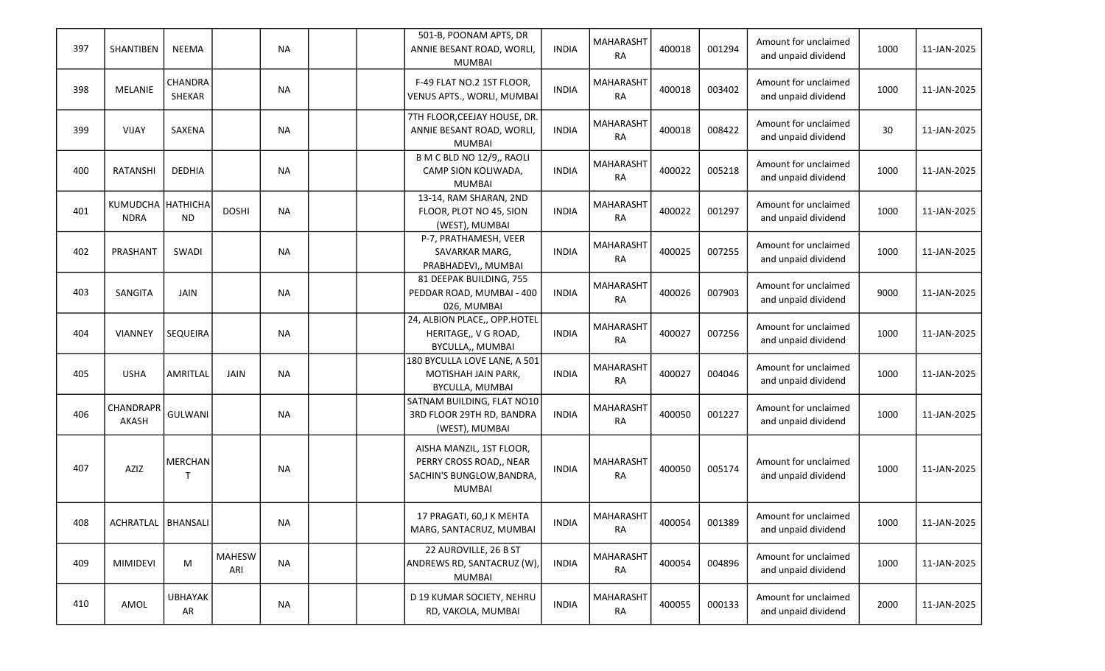| 397 | SHANTIBEN                        | <b>NEEMA</b>         |                      | <b>NA</b> |  | 501-B, POONAM APTS, DR<br>ANNIE BESANT ROAD, WORLI,<br><b>MUMBAI</b>                              | <b>INDIA</b> | <b>MAHARASHT</b><br><b>RA</b> | 400018 | 001294 | Amount for unclaimed<br>and unpaid dividend | 1000 | 11-JAN-2025 |
|-----|----------------------------------|----------------------|----------------------|-----------|--|---------------------------------------------------------------------------------------------------|--------------|-------------------------------|--------|--------|---------------------------------------------|------|-------------|
| 398 | MELANIE                          | CHANDRA<br>SHEKAR    |                      | <b>NA</b> |  | F-49 FLAT NO.2 1ST FLOOR,<br>VENUS APTS., WORLI, MUMBAI                                           | <b>INDIA</b> | <b>MAHARASHT</b><br>RA        | 400018 | 003402 | Amount for unclaimed<br>and unpaid dividend | 1000 | 11-JAN-2025 |
| 399 | VIJAY                            | SAXENA               |                      | <b>NA</b> |  | 7TH FLOOR, CEEJAY HOUSE, DR.<br>ANNIE BESANT ROAD, WORLI,<br><b>MUMBAI</b>                        | <b>INDIA</b> | <b>MAHARASHT</b><br><b>RA</b> | 400018 | 008422 | Amount for unclaimed<br>and unpaid dividend | 30   | 11-JAN-2025 |
| 400 | RATANSHI                         | <b>DEDHIA</b>        |                      | <b>NA</b> |  | B M C BLD NO 12/9,, RAOLI<br>CAMP SION KOLIWADA,<br><b>MUMBAI</b>                                 | <b>INDIA</b> | <b>MAHARASHT</b><br><b>RA</b> | 400022 | 005218 | Amount for unclaimed<br>and unpaid dividend | 1000 | 11-JAN-2025 |
| 401 | KUMUDCHA HATHICHA<br><b>NDRA</b> | ND.                  | <b>DOSHI</b>         | <b>NA</b> |  | 13-14, RAM SHARAN, 2ND<br>FLOOR, PLOT NO 45, SION<br>(WEST), MUMBAI                               | <b>INDIA</b> | MAHARASHT<br><b>RA</b>        | 400022 | 001297 | Amount for unclaimed<br>and unpaid dividend | 1000 | 11-JAN-2025 |
| 402 | PRASHANT                         | SWADI                |                      | <b>NA</b> |  | P-7, PRATHAMESH, VEER<br>SAVARKAR MARG,<br>PRABHADEVI,, MUMBAI                                    | <b>INDIA</b> | <b>MAHARASHT</b><br><b>RA</b> | 400025 | 007255 | Amount for unclaimed<br>and unpaid dividend | 1000 | 11-JAN-2025 |
| 403 | SANGITA                          | <b>JAIN</b>          |                      | <b>NA</b> |  | 81 DEEPAK BUILDING, 755<br>PEDDAR ROAD, MUMBAI - 400<br>026, MUMBAI                               | <b>INDIA</b> | <b>MAHARASHT</b><br><b>RA</b> | 400026 | 007903 | Amount for unclaimed<br>and unpaid dividend | 9000 | 11-JAN-2025 |
| 404 | <b>VIANNEY</b>                   | <b>SEQUEIRA</b>      |                      | <b>NA</b> |  | 24, ALBION PLACE,, OPP.HOTEL<br>HERITAGE,, V G ROAD,<br>BYCULLA,, MUMBAI                          | <b>INDIA</b> | <b>MAHARASHT</b><br><b>RA</b> | 400027 | 007256 | Amount for unclaimed<br>and unpaid dividend | 1000 | 11-JAN-2025 |
| 405 | <b>USHA</b>                      | AMRITLAL             | JAIN                 | <b>NA</b> |  | 180 BYCULLA LOVE LANE, A 501<br>MOTISHAH JAIN PARK,<br>BYCULLA, MUMBAI                            | <b>INDIA</b> | <b>MAHARASHT</b><br><b>RA</b> | 400027 | 004046 | Amount for unclaimed<br>and unpaid dividend | 1000 | 11-JAN-2025 |
| 406 | CHANDRAPR<br>AKASH               | <b>GULWANI</b>       |                      | <b>NA</b> |  | SATNAM BUILDING, FLAT NO10<br>3RD FLOOR 29TH RD, BANDRA<br>(WEST), MUMBAI                         | <b>INDIA</b> | <b>MAHARASHT</b><br><b>RA</b> | 400050 | 001227 | Amount for unclaimed<br>and unpaid dividend | 1000 | 11-JAN-2025 |
| 407 | AZIZ                             | MERCHAN              |                      | <b>NA</b> |  | AISHA MANZIL, 1ST FLOOR,<br>PERRY CROSS ROAD,, NEAR<br>SACHIN'S BUNGLOW, BANDRA,<br><b>MUMBAI</b> | <b>INDIA</b> | <b>MAHARASHT</b><br>RA        | 400050 | 005174 | Amount for unclaimed<br>and unpaid dividend | 1000 | 11-JAN-2025 |
| 408 | ACHRATLAL   BHANSALI             |                      |                      | <b>NA</b> |  | 17 PRAGATI, 60,J K MEHTA<br>MARG, SANTACRUZ, MUMBAI                                               | <b>INDIA</b> | MAHARASHT<br><b>RA</b>        | 400054 | 001389 | Amount for unclaimed<br>and unpaid dividend | 1000 | 11-JAN-2025 |
| 409 | <b>MIMIDEVI</b>                  | M                    | <b>MAHESW</b><br>ARI | <b>NA</b> |  | 22 AUROVILLE, 26 B ST<br>ANDREWS RD, SANTACRUZ (W),<br><b>MUMBAI</b>                              | <b>INDIA</b> | MAHARASHT<br>RA               | 400054 | 004896 | Amount for unclaimed<br>and unpaid dividend | 1000 | 11-JAN-2025 |
| 410 | AMOL                             | <b>UBHAYAK</b><br>AR |                      | <b>NA</b> |  | D 19 KUMAR SOCIETY, NEHRU<br>RD, VAKOLA, MUMBAI                                                   | <b>INDIA</b> | MAHARASHT<br>RA               | 400055 | 000133 | Amount for unclaimed<br>and unpaid dividend | 2000 | 11-JAN-2025 |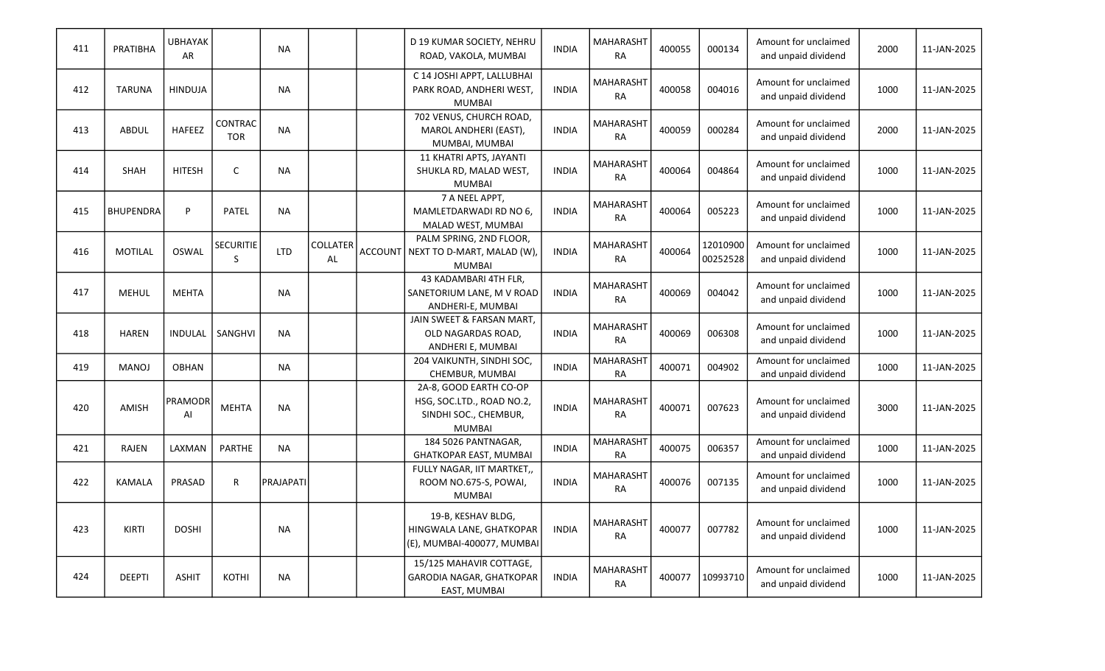| 411 | PRATIBHA         | <b>UBHAYAK</b><br><b>AR</b> |                              | <b>NA</b>        |                              |         | D 19 KUMAR SOCIETY, NEHRU<br>ROAD, VAKOLA, MUMBAI                                             | <b>INDIA</b> | <b>MAHARASHT</b><br><b>RA</b> | 400055 | 000134               | Amount for unclaimed<br>and unpaid dividend | 2000 | 11-JAN-2025 |
|-----|------------------|-----------------------------|------------------------------|------------------|------------------------------|---------|-----------------------------------------------------------------------------------------------|--------------|-------------------------------|--------|----------------------|---------------------------------------------|------|-------------|
| 412 | <b>TARUNA</b>    | <b>HINDUJA</b>              |                              | <b>NA</b>        |                              |         | C 14 JOSHI APPT, LALLUBHAI<br>PARK ROAD, ANDHERI WEST,<br><b>MUMBAI</b>                       | <b>INDIA</b> | MAHARASHT<br><b>RA</b>        | 400058 | 004016               | Amount for unclaimed<br>and unpaid dividend | 1000 | 11-JAN-2025 |
| 413 | ABDUL            | HAFEEZ                      | <b>CONTRAC</b><br><b>TOR</b> | <b>NA</b>        |                              |         | 702 VENUS, CHURCH ROAD,<br>MAROL ANDHERI (EAST),<br>MUMBAI, MUMBAI                            | <b>INDIA</b> | <b>MAHARASHT</b><br><b>RA</b> | 400059 | 000284               | Amount for unclaimed<br>and unpaid dividend | 2000 | 11-JAN-2025 |
| 414 | SHAH             | <b>HITESH</b>               | $\mathsf{C}$                 | <b>NA</b>        |                              |         | 11 KHATRI APTS, JAYANTI<br>SHUKLA RD, MALAD WEST,<br><b>MUMBAI</b>                            | <b>INDIA</b> | <b>MAHARASHT</b><br><b>RA</b> | 400064 | 004864               | Amount for unclaimed<br>and unpaid dividend | 1000 | 11-JAN-2025 |
| 415 | <b>BHUPENDRA</b> | P                           | <b>PATEL</b>                 | <b>NA</b>        |                              |         | 7 A NEEL APPT,<br>MAMLETDARWADI RD NO 6,<br>MALAD WEST, MUMBAI                                | <b>INDIA</b> | <b>MAHARASHT</b><br><b>RA</b> | 400064 | 005223               | Amount for unclaimed<br>and unpaid dividend | 1000 | 11-JAN-2025 |
| 416 | <b>MOTILAL</b>   | <b>OSWAL</b>                | SECURITIE<br>S               | <b>LTD</b>       | <b>COLLATER</b><br><b>AL</b> | ACCOUNT | PALM SPRING, 2ND FLOOR,<br>NEXT TO D-MART, MALAD (W),<br><b>MUMBAI</b>                        | <b>INDIA</b> | <b>MAHARASHT</b><br><b>RA</b> | 400064 | 12010900<br>00252528 | Amount for unclaimed<br>and unpaid dividend | 1000 | 11-JAN-2025 |
| 417 | <b>MEHUL</b>     | <b>MEHTA</b>                |                              | <b>NA</b>        |                              |         | 43 KADAMBARI 4TH FLR,<br>SANETORIUM LANE, M V ROAD<br>ANDHERI-E, MUMBAI                       | <b>INDIA</b> | MAHARASHT<br><b>RA</b>        | 400069 | 004042               | Amount for unclaimed<br>and unpaid dividend | 1000 | 11-JAN-2025 |
| 418 | <b>HAREN</b>     | <b>INDULAL</b>              | SANGHVI                      | <b>NA</b>        |                              |         | JAIN SWEET & FARSAN MART,<br>OLD NAGARDAS ROAD,<br>ANDHERI E, MUMBAI                          | <b>INDIA</b> | <b>MAHARASHT</b><br><b>RA</b> | 400069 | 006308               | Amount for unclaimed<br>and unpaid dividend | 1000 | 11-JAN-2025 |
| 419 | <b>MANOJ</b>     | <b>OBHAN</b>                |                              | <b>NA</b>        |                              |         | 204 VAIKUNTH, SINDHI SOC,<br>CHEMBUR, MUMBAI                                                  | <b>INDIA</b> | <b>MAHARASHT</b><br><b>RA</b> | 400071 | 004902               | Amount for unclaimed<br>and unpaid dividend | 1000 | 11-JAN-2025 |
| 420 | AMISH            | PRAMODR<br>AI               | <b>MEHTA</b>                 | <b>NA</b>        |                              |         | 2A-8, GOOD EARTH CO-OP<br>HSG, SOC.LTD., ROAD NO.2,<br>SINDHI SOC., CHEMBUR,<br><b>MUMBAI</b> | <b>INDIA</b> | <b>MAHARASHT</b><br><b>RA</b> | 400071 | 007623               | Amount for unclaimed<br>and unpaid dividend | 3000 | 11-JAN-2025 |
| 421 | RAJEN            | LAXMAN                      | <b>PARTHE</b>                | <b>NA</b>        |                              |         | 184 5026 PANTNAGAR,<br>GHATKOPAR EAST, MUMBAI                                                 | <b>INDIA</b> | <b>MAHARASHT</b><br><b>RA</b> | 400075 | 006357               | Amount for unclaimed<br>and unpaid dividend | 1000 | 11-JAN-2025 |
| 422 | <b>KAMALA</b>    | PRASAD                      | $\mathsf{R}$                 | <b>PRAJAPATI</b> |                              |         | FULLY NAGAR, IIT MARTKET,<br>ROOM NO.675-S, POWAI,<br><b>MUMBAI</b>                           | <b>INDIA</b> | <b>MAHARASHT</b><br><b>RA</b> | 400076 | 007135               | Amount for unclaimed<br>and unpaid dividend | 1000 | 11-JAN-2025 |
| 423 | KIRTI            | <b>DOSHI</b>                |                              | <b>NA</b>        |                              |         | 19-B, KESHAV BLDG,<br>HINGWALA LANE, GHATKOPAR<br>(E), MUMBAI-400077, MUMBAI                  | <b>INDIA</b> | <b>MAHARASHT</b><br><b>RA</b> | 400077 | 007782               | Amount for unclaimed<br>and unpaid dividend | 1000 | 11-JAN-2025 |
| 424 | <b>DEEPTI</b>    | <b>ASHIT</b>                | <b>KOTHI</b>                 | <b>NA</b>        |                              |         | 15/125 MAHAVIR COTTAGE,<br>GARODIA NAGAR, GHATKOPAR<br>EAST, MUMBAI                           | <b>INDIA</b> | <b>MAHARASHT</b><br><b>RA</b> | 400077 | 10993710             | Amount for unclaimed<br>and unpaid dividend | 1000 | 11-JAN-2025 |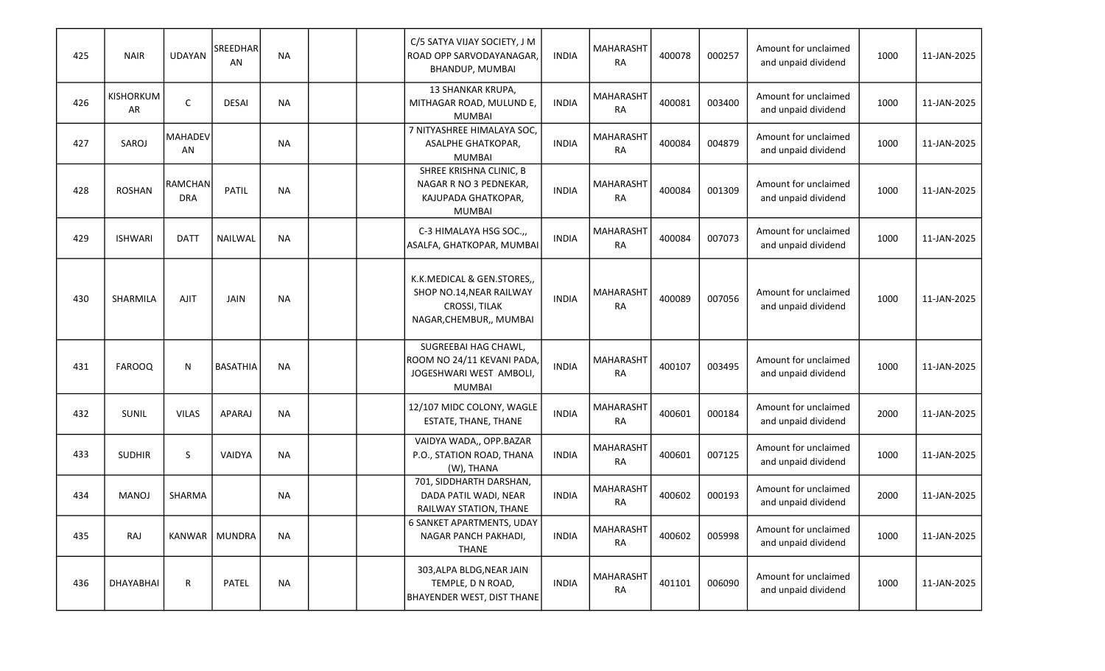| 425 | <b>NAIR</b>     | <b>UDAYAN</b>                | <b>SREEDHAR</b><br>AN | <b>NA</b> |  | C/5 SATYA VIJAY SOCIETY, J M<br>ROAD OPP SARVODAYANAGAR,<br>BHANDUP, MUMBAI                        | <b>INDIA</b> | MAHARASHT<br><b>RA</b>        | 400078 | 000257 | Amount for unclaimed<br>and unpaid dividend | 1000 | 11-JAN-2025 |
|-----|-----------------|------------------------------|-----------------------|-----------|--|----------------------------------------------------------------------------------------------------|--------------|-------------------------------|--------|--------|---------------------------------------------|------|-------------|
| 426 | KISHORKUM<br>AR | C                            | <b>DESAI</b>          | <b>NA</b> |  | 13 SHANKAR KRUPA,<br>MITHAGAR ROAD, MULUND E,<br><b>MUMBAI</b>                                     | <b>INDIA</b> | <b>MAHARASHT</b><br><b>RA</b> | 400081 | 003400 | Amount for unclaimed<br>and unpaid dividend | 1000 | 11-JAN-2025 |
| 427 | SAROJ           | <b>MAHADEV</b><br>AN         |                       | <b>NA</b> |  | 7 NITYASHREE HIMALAYA SOC,<br>ASALPHE GHATKOPAR,<br><b>MUMBAI</b>                                  | <b>INDIA</b> | <b>MAHARASHT</b><br><b>RA</b> | 400084 | 004879 | Amount for unclaimed<br>and unpaid dividend | 1000 | 11-JAN-2025 |
| 428 | <b>ROSHAN</b>   | <b>RAMCHAN</b><br><b>DRA</b> | PATIL                 | <b>NA</b> |  | SHREE KRISHNA CLINIC, B<br>NAGAR R NO 3 PEDNEKAR,<br>KAJUPADA GHATKOPAR,<br>MUMBAI                 | <b>INDIA</b> | <b>MAHARASHT</b><br><b>RA</b> | 400084 | 001309 | Amount for unclaimed<br>and unpaid dividend | 1000 | 11-JAN-2025 |
| 429 | <b>ISHWARI</b>  | <b>DATT</b>                  | NAILWAL               | <b>NA</b> |  | C-3 HIMALAYA HSG SOC.,<br>ASALFA, GHATKOPAR, MUMBAI                                                | <b>INDIA</b> | MAHARASHT<br><b>RA</b>        | 400084 | 007073 | Amount for unclaimed<br>and unpaid dividend | 1000 | 11-JAN-2025 |
| 430 | SHARMILA        | <b>AJIT</b>                  | <b>JAIN</b>           | <b>NA</b> |  | K.K.MEDICAL & GEN.STORES,,<br>SHOP NO.14, NEAR RAILWAY<br>CROSSI, TILAK<br>NAGAR, CHEMBUR,, MUMBAI | <b>INDIA</b> | MAHARASHT<br><b>RA</b>        | 400089 | 007056 | Amount for unclaimed<br>and unpaid dividend | 1000 | 11-JAN-2025 |
| 431 | <b>FAROOQ</b>   | N                            | <b>BASATHIA</b>       | <b>NA</b> |  | SUGREEBAI HAG CHAWL,<br>ROOM NO 24/11 KEVANI PADA<br>JOGESHWARI WEST AMBOLI,<br><b>MUMBAI</b>      | <b>INDIA</b> | <b>MAHARASHT</b><br><b>RA</b> | 400107 | 003495 | Amount for unclaimed<br>and unpaid dividend | 1000 | 11-JAN-2025 |
| 432 | SUNIL           | <b>VILAS</b>                 | <b>APARAJ</b>         | <b>NA</b> |  | 12/107 MIDC COLONY, WAGLE<br>ESTATE, THANE, THANE                                                  | <b>INDIA</b> | MAHARASHT<br><b>RA</b>        | 400601 | 000184 | Amount for unclaimed<br>and unpaid dividend | 2000 | 11-JAN-2025 |
| 433 | <b>SUDHIR</b>   | S                            | VAIDYA                | <b>NA</b> |  | VAIDYA WADA,, OPP.BAZAR<br>P.O., STATION ROAD, THANA<br>(W), THANA                                 | <b>INDIA</b> | <b>MAHARASHT</b><br><b>RA</b> | 400601 | 007125 | Amount for unclaimed<br>and unpaid dividend | 1000 | 11-JAN-2025 |
| 434 | <b>MANOJ</b>    | SHARMA                       |                       | <b>NA</b> |  | 701, SIDDHARTH DARSHAN,<br>DADA PATIL WADI, NEAR<br>RAILWAY STATION, THANE                         | <b>INDIA</b> | MAHARASHT<br><b>RA</b>        | 400602 | 000193 | Amount for unclaimed<br>and unpaid dividend | 2000 | 11-JAN-2025 |
| 435 | RAJ             |                              | KANWAR   MUNDRA       | <b>NA</b> |  | 6 SANKET APARTMENTS, UDAY<br>NAGAR PANCH PAKHADI,<br>THANE                                         | <b>INDIA</b> | MAHARASHT<br>RA               | 400602 | 005998 | Amount for unclaimed<br>and unpaid dividend | 1000 | 11-JAN-2025 |
| 436 | DHAYABHAI       | R                            | PATEL                 | <b>NA</b> |  | 303, ALPA BLDG, NEAR JAIN<br>TEMPLE, D N ROAD,<br><b>BHAYENDER WEST, DIST THANE</b>                | <b>INDIA</b> | MAHARASHT<br>RA               | 401101 | 006090 | Amount for unclaimed<br>and unpaid dividend | 1000 | 11-JAN-2025 |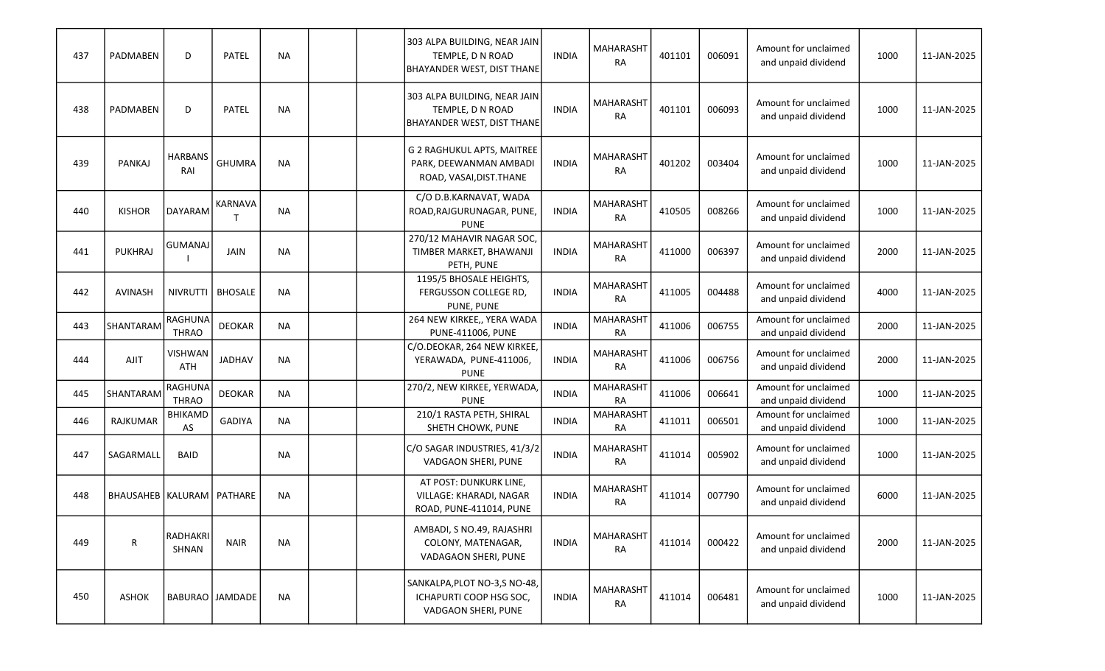| 437 | PADMABEN                      | D                              | <b>PATEL</b>    | <b>NA</b> |  | 303 ALPA BUILDING, NEAR JAIN<br>TEMPLE, D N ROAD<br>BHAYANDER WEST, DIST THANE   | <b>INDIA</b> | <b>MAHARASHT</b><br><b>RA</b> | 401101 | 006091 | Amount for unclaimed<br>and unpaid dividend | 1000 | 11-JAN-2025 |
|-----|-------------------------------|--------------------------------|-----------------|-----------|--|----------------------------------------------------------------------------------|--------------|-------------------------------|--------|--------|---------------------------------------------|------|-------------|
| 438 | PADMABEN                      | D                              | PATEL           | <b>NA</b> |  | 303 ALPA BUILDING, NEAR JAIN<br>TEMPLE, D N ROAD<br>BHAYANDER WEST, DIST THANE   | <b>INDIA</b> | <b>MAHARASHT</b><br><b>RA</b> | 401101 | 006093 | Amount for unclaimed<br>and unpaid dividend | 1000 | 11-JAN-2025 |
| 439 | PANKAJ                        | <b>HARBANS</b><br>RAI          | <b>GHUMRA</b>   | <b>NA</b> |  | G 2 RAGHUKUL APTS, MAITREE<br>PARK, DEEWANMAN AMBADI<br>ROAD, VASAI, DIST. THANE | <b>INDIA</b> | <b>MAHARASHT</b><br><b>RA</b> | 401202 | 003404 | Amount for unclaimed<br>and unpaid dividend | 1000 | 11-JAN-2025 |
| 440 | <b>KISHOR</b>                 | DAYARAM                        | KARNAVA         | <b>NA</b> |  | C/O D.B.KARNAVAT, WADA<br>ROAD, RAJGURUNAGAR, PUNE,<br><b>PUNE</b>               | <b>INDIA</b> | <b>MAHARASHT</b><br><b>RA</b> | 410505 | 008266 | Amount for unclaimed<br>and unpaid dividend | 1000 | 11-JAN-2025 |
| 441 | <b>PUKHRAJ</b>                | <b>GUMANAJ</b>                 | JAIN            | <b>NA</b> |  | 270/12 MAHAVIR NAGAR SOC,<br>TIMBER MARKET, BHAWANJI<br>PETH, PUNE               | <b>INDIA</b> | <b>MAHARASHT</b><br><b>RA</b> | 411000 | 006397 | Amount for unclaimed<br>and unpaid dividend | 2000 | 11-JAN-2025 |
| 442 | <b>AVINASH</b>                | <b>NIVRUTTI</b>                | <b>BHOSALE</b>  | <b>NA</b> |  | 1195/5 BHOSALE HEIGHTS,<br>FERGUSSON COLLEGE RD,<br>PUNE, PUNE                   | <b>INDIA</b> | <b>MAHARASHT</b><br><b>RA</b> | 411005 | 004488 | Amount for unclaimed<br>and unpaid dividend | 4000 | 11-JAN-2025 |
| 443 | SHANTARAM                     | <b>RAGHUNA</b><br><b>THRAO</b> | <b>DEOKAR</b>   | <b>NA</b> |  | 264 NEW KIRKEE,, YERA WADA<br><b>PUNE-411006, PUNE</b>                           | <b>INDIA</b> | MAHARASHT<br><b>RA</b>        | 411006 | 006755 | Amount for unclaimed<br>and unpaid dividend | 2000 | 11-JAN-2025 |
| 444 | <b>AJIT</b>                   | <b>VISHWAN</b><br><b>ATH</b>   | <b>JADHAV</b>   | <b>NA</b> |  | C/O.DEOKAR, 264 NEW KIRKEE,<br>YERAWADA, PUNE-411006,<br><b>PUNE</b>             | <b>INDIA</b> | <b>MAHARASHT</b><br><b>RA</b> | 411006 | 006756 | Amount for unclaimed<br>and unpaid dividend | 2000 | 11-JAN-2025 |
| 445 | SHANTARAM                     | <b>RAGHUNA</b><br><b>THRAO</b> | <b>DEOKAR</b>   | <b>NA</b> |  | 270/2, NEW KIRKEE, YERWADA,<br><b>PUNE</b>                                       | <b>INDIA</b> | <b>MAHARASHT</b><br><b>RA</b> | 411006 | 006641 | Amount for unclaimed<br>and unpaid dividend | 1000 | 11-JAN-2025 |
| 446 | <b>RAJKUMAR</b>               | <b>BHIKAMD</b><br>AS           | GADIYA          | <b>NA</b> |  | 210/1 RASTA PETH, SHIRAL<br>SHETH CHOWK, PUNE                                    | <b>INDIA</b> | <b>MAHARASHT</b><br><b>RA</b> | 411011 | 006501 | Amount for unclaimed<br>and unpaid dividend | 1000 | 11-JAN-2025 |
| 447 | SAGARMALI                     | <b>BAID</b>                    |                 | <b>NA</b> |  | C/O SAGAR INDUSTRIES, 41/3/2<br>VADGAON SHERI, PUNE                              | <b>INDIA</b> | MAHARASHT<br><b>RA</b>        | 411014 | 005902 | Amount for unclaimed<br>and unpaid dividend | 1000 | 11-JAN-2025 |
| 448 | BHAUSAHEB   KALURAM   PATHARE |                                |                 | <b>NA</b> |  | AT POST: DUNKURK LINE,<br>VILLAGE: KHARADI, NAGAR<br>ROAD, PUNE-411014, PUNE     | <b>INDIA</b> | <b>MAHARASHT</b><br><b>RA</b> | 411014 | 007790 | Amount for unclaimed<br>and unpaid dividend | 6000 | 11-JAN-2025 |
| 449 | R                             | RADHAKRI<br>SHNAN              | <b>NAIR</b>     | <b>NA</b> |  | AMBADI, S NO.49, RAJASHRI<br>COLONY, MATENAGAR,<br>VADAGAON SHERI, PUNE          | <b>INDIA</b> | <b>MAHARASHT</b><br><b>RA</b> | 411014 | 000422 | Amount for unclaimed<br>and unpaid dividend | 2000 | 11-JAN-2025 |
| 450 | ASHOK                         |                                | BABURAO JAMDADE | <b>NA</b> |  | SANKALPA, PLOT NO-3, SNO-48,<br>ICHAPURTI COOP HSG SOC,<br>VADGAON SHERI, PUNE   | <b>INDIA</b> | <b>MAHARASHT</b><br>RA        | 411014 | 006481 | Amount for unclaimed<br>and unpaid dividend | 1000 | 11-JAN-2025 |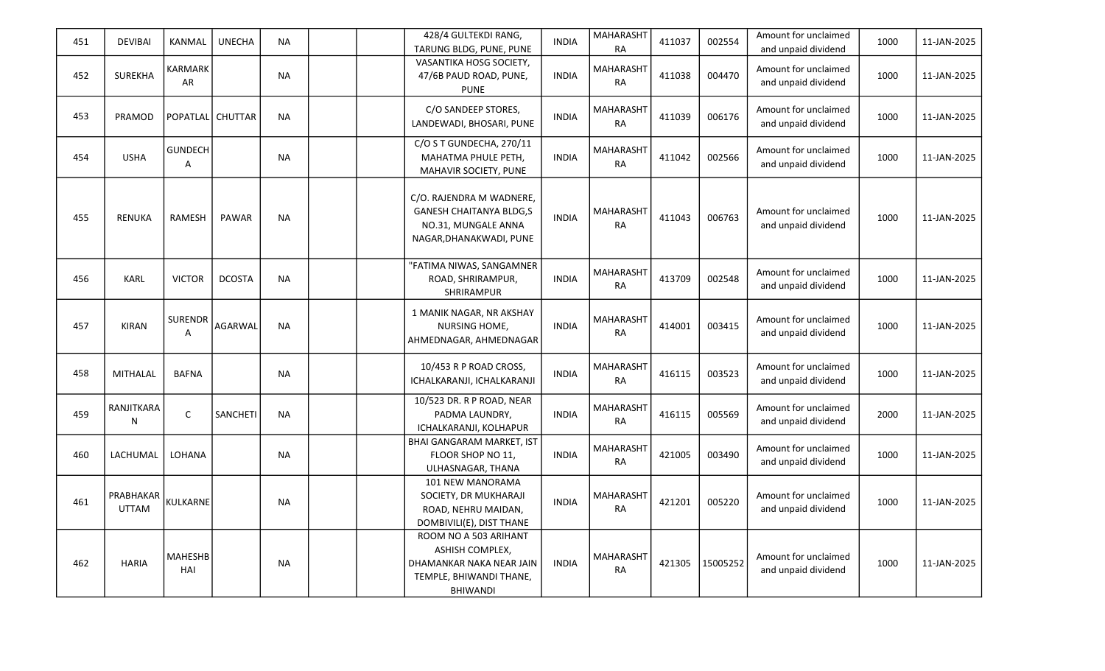| 451 | <b>DEVIBAI</b>            | <b>KANMAL</b>         | <b>UNECHA</b> | <b>NA</b> |  | 428/4 GULTEKDI RANG,<br>TARUNG BLDG, PUNE, PUNE                                                                    | <b>INDIA</b> | <b>MAHARASHT</b><br><b>RA</b> | 411037 | 002554   | Amount for unclaimed<br>and unpaid dividend | 1000 | 11-JAN-2025 |
|-----|---------------------------|-----------------------|---------------|-----------|--|--------------------------------------------------------------------------------------------------------------------|--------------|-------------------------------|--------|----------|---------------------------------------------|------|-------------|
| 452 | <b>SUREKHA</b>            | KARMARK<br>AR         |               | <b>NA</b> |  | VASANTIKA HOSG SOCIETY,<br>47/6B PAUD ROAD, PUNE,<br><b>PUNE</b>                                                   | <b>INDIA</b> | <b>MAHARASHT</b><br><b>RA</b> | 411038 | 004470   | Amount for unclaimed<br>and unpaid dividend | 1000 | 11-JAN-2025 |
| 453 | PRAMOD                    | POPATLAL CHUTTAR      |               | <b>NA</b> |  | C/O SANDEEP STORES,<br>LANDEWADI, BHOSARI, PUNE                                                                    | <b>INDIA</b> | MAHARASHT<br><b>RA</b>        | 411039 | 006176   | Amount for unclaimed<br>and unpaid dividend | 1000 | 11-JAN-2025 |
| 454 | <b>USHA</b>               | <b>GUNDECH</b><br>A   |               | <b>NA</b> |  | C/O S T GUNDECHA, 270/11<br>MAHATMA PHULE PETH,<br>MAHAVIR SOCIETY, PUNE                                           | <b>INDIA</b> | MAHARASHT<br><b>RA</b>        | 411042 | 002566   | Amount for unclaimed<br>and unpaid dividend | 1000 | 11-JAN-2025 |
| 455 | <b>RENUKA</b>             | <b>RAMESH</b>         | <b>PAWAR</b>  | <b>NA</b> |  | C/O. RAJENDRA M WADNERE,<br><b>GANESH CHAITANYA BLDG,S</b><br>NO.31, MUNGALE ANNA<br>NAGAR, DHANAKWADI, PUNE       | <b>INDIA</b> | <b>MAHARASHT</b><br><b>RA</b> | 411043 | 006763   | Amount for unclaimed<br>and unpaid dividend | 1000 | 11-JAN-2025 |
| 456 | <b>KARL</b>               | <b>VICTOR</b>         | <b>DCOSTA</b> | <b>NA</b> |  | "FATIMA NIWAS, SANGAMNER<br>ROAD, SHRIRAMPUR,<br>SHRIRAMPUR                                                        | <b>INDIA</b> | <b>MAHARASHT</b><br><b>RA</b> | 413709 | 002548   | Amount for unclaimed<br>and unpaid dividend | 1000 | 11-JAN-2025 |
| 457 | <b>KIRAN</b>              | <b>SURENDR</b><br>Α   | AGARWAL       | <b>NA</b> |  | 1 MANIK NAGAR, NR AKSHAY<br>NURSING HOME,<br>AHMEDNAGAR, AHMEDNAGAR                                                | <b>INDIA</b> | MAHARASHT<br><b>RA</b>        | 414001 | 003415   | Amount for unclaimed<br>and unpaid dividend | 1000 | 11-JAN-2025 |
| 458 | <b>MITHALAL</b>           | <b>BAFNA</b>          |               | <b>NA</b> |  | 10/453 R P ROAD CROSS,<br>ICHALKARANJI, ICHALKARANJI                                                               | <b>INDIA</b> | <b>MAHARASHT</b><br><b>RA</b> | 416115 | 003523   | Amount for unclaimed<br>and unpaid dividend | 1000 | 11-JAN-2025 |
| 459 | RANJITKARA<br>N           | $\mathsf{C}$          | SANCHETI      | <b>NA</b> |  | 10/523 DR. R P ROAD, NEAR<br>PADMA LAUNDRY,<br>ICHALKARANJI, KOLHAPUR                                              | <b>INDIA</b> | <b>MAHARASHT</b><br><b>RA</b> | 416115 | 005569   | Amount for unclaimed<br>and unpaid dividend | 2000 | 11-JAN-2025 |
| 460 | LACHUMAL                  | LOHANA                |               | <b>NA</b> |  | <b>BHAI GANGARAM MARKET, IST</b><br>FLOOR SHOP NO 11,<br>ULHASNAGAR, THANA                                         | <b>INDIA</b> | MAHARASHT<br><b>RA</b>        | 421005 | 003490   | Amount for unclaimed<br>and unpaid dividend | 1000 | 11-JAN-2025 |
| 461 | PRABHAKAR<br><b>UTTAM</b> | <b>KULKARNE</b>       |               | <b>NA</b> |  | 101 NEW MANORAMA<br>SOCIETY, DR MUKHARAJI<br>ROAD, NEHRU MAIDAN,<br>DOMBIVILI(E), DIST THANE                       | <b>INDIA</b> | <b>MAHARASHT</b><br><b>RA</b> | 421201 | 005220   | Amount for unclaimed<br>and unpaid dividend | 1000 | 11-JAN-2025 |
| 462 | <b>HARIA</b>              | <b>MAHESHB</b><br>HAI |               | <b>NA</b> |  | ROOM NO A 503 ARIHANT<br>ASHISH COMPLEX,<br>DHAMANKAR NAKA NEAR JAIN<br>TEMPLE, BHIWANDI THANE,<br><b>BHIWANDI</b> | <b>INDIA</b> | <b>MAHARASHT</b><br><b>RA</b> | 421305 | 15005252 | Amount for unclaimed<br>and unpaid dividend | 1000 | 11-JAN-2025 |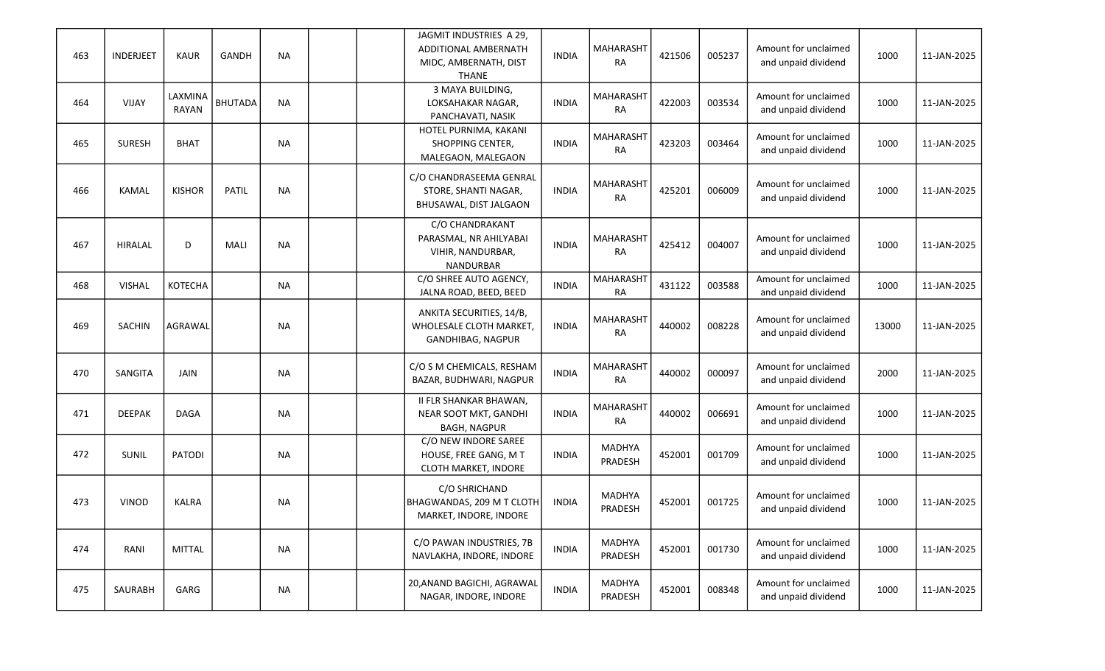| 463 | INDERJEET     | <b>KAUR</b>      | <b>GANDH</b>   | <b>NA</b> |  | JAGMIT INDUSTRIES A 29,<br>ADDITIONAL AMBERNATH<br>MIDC, AMBERNATH, DIST<br>THANE  | <b>INDIA</b> | <b>MAHARASHT</b><br><b>RA</b> | 421506 | 005237 | Amount for unclaimed<br>and unpaid dividend | 1000  | 11-JAN-2025 |
|-----|---------------|------------------|----------------|-----------|--|------------------------------------------------------------------------------------|--------------|-------------------------------|--------|--------|---------------------------------------------|-------|-------------|
| 464 | <b>VIJAY</b>  | LAXMINA<br>RAYAN | <b>BHUTADA</b> | <b>NA</b> |  | 3 MAYA BUILDING,<br>LOKSAHAKAR NAGAR,<br>PANCHAVATI, NASIK                         | <b>INDIA</b> | MAHARASHT<br><b>RA</b>        | 422003 | 003534 | Amount for unclaimed<br>and unpaid dividend | 1000  | 11-JAN-2025 |
| 465 | <b>SURESH</b> | <b>BHAT</b>      |                | <b>NA</b> |  | HOTEL PURNIMA, KAKANI<br>SHOPPING CENTER,<br>MALEGAON, MALEGAON                    | <b>INDIA</b> | <b>MAHARASHT</b><br><b>RA</b> | 423203 | 003464 | Amount for unclaimed<br>and unpaid dividend | 1000  | 11-JAN-2025 |
| 466 | <b>KAMAL</b>  | <b>KISHOR</b>    | <b>PATIL</b>   | <b>NA</b> |  | C/O CHANDRASEEMA GENRAL<br>STORE, SHANTI NAGAR,<br>BHUSAWAL, DIST JALGAON          | <b>INDIA</b> | <b>MAHARASHT</b><br><b>RA</b> | 425201 | 006009 | Amount for unclaimed<br>and unpaid dividend | 1000  | 11-JAN-2025 |
| 467 | HIRALAL       | D                | MALI           | <b>NA</b> |  | C/O CHANDRAKANT<br>PARASMAL, NR AHILYABAI<br>VIHIR, NANDURBAR,<br><b>NANDURBAR</b> | <b>INDIA</b> | <b>MAHARASHT</b><br><b>RA</b> | 425412 | 004007 | Amount for unclaimed<br>and unpaid dividend | 1000  | 11-JAN-2025 |
| 468 | VISHAL        | <b>KOTECHA</b>   |                | <b>NA</b> |  | C/O SHREE AUTO AGENCY,<br>JALNA ROAD, BEED, BEED                                   | <b>INDIA</b> | MAHARASHT<br><b>RA</b>        | 431122 | 003588 | Amount for unclaimed<br>and unpaid dividend | 1000  | 11-JAN-2025 |
| 469 | SACHIN        | AGRAWAL          |                | <b>NA</b> |  | ANKITA SECURITIES, 14/B,<br>WHOLESALE CLOTH MARKET,<br>GANDHIBAG, NAGPUR           | <b>INDIA</b> | <b>MAHARASHT</b><br><b>RA</b> | 440002 | 008228 | Amount for unclaimed<br>and unpaid dividend | 13000 | 11-JAN-2025 |
| 470 | SANGITA       | JAIN             |                | <b>NA</b> |  | C/O S M CHEMICALS, RESHAM<br>BAZAR, BUDHWARI, NAGPUR                               | <b>INDIA</b> | <b>MAHARASHT</b><br><b>RA</b> | 440002 | 000097 | Amount for unclaimed<br>and unpaid dividend | 2000  | 11-JAN-2025 |
| 471 | <b>DEEPAK</b> | <b>DAGA</b>      |                | <b>NA</b> |  | <b>II FLR SHANKAR BHAWAN,</b><br>NEAR SOOT MKT, GANDHI<br><b>BAGH, NAGPUR</b>      | <b>INDIA</b> | <b>MAHARASHT</b><br><b>RA</b> | 440002 | 006691 | Amount for unclaimed<br>and unpaid dividend | 1000  | 11-JAN-2025 |
| 472 | SUNIL         | <b>PATODI</b>    |                | <b>NA</b> |  | C/O NEW INDORE SAREE<br>HOUSE, FREE GANG, M T<br>CLOTH MARKET, INDORE              | <b>INDIA</b> | <b>MADHYA</b><br>PRADESH      | 452001 | 001709 | Amount for unclaimed<br>and unpaid dividend | 1000  | 11-JAN-2025 |
| 473 | <b>VINOD</b>  | <b>KALRA</b>     |                | <b>NA</b> |  | C/O SHRICHAND<br>BHAGWANDAS, 209 M T CLOTH<br>MARKET, INDORE, INDORE               | <b>INDIA</b> | <b>MADHYA</b><br>PRADESH      | 452001 | 001725 | Amount for unclaimed<br>and unpaid dividend | 1000  | 11-JAN-2025 |
| 474 | RANI          | <b>MITTAL</b>    |                | <b>NA</b> |  | C/O PAWAN INDUSTRIES, 7B<br>NAVLAKHA, INDORE, INDORE                               | <b>INDIA</b> | <b>MADHYA</b><br>PRADESH      | 452001 | 001730 | Amount for unclaimed<br>and unpaid dividend | 1000  | 11-JAN-2025 |
| 475 | SAURABH       | GARG             |                | <b>NA</b> |  | 20, ANAND BAGICHI, AGRAWAL<br>NAGAR, INDORE, INDORE                                | <b>INDIA</b> | MADHYA<br>PRADESH             | 452001 | 008348 | Amount for unclaimed<br>and unpaid dividend | 1000  | 11-JAN-2025 |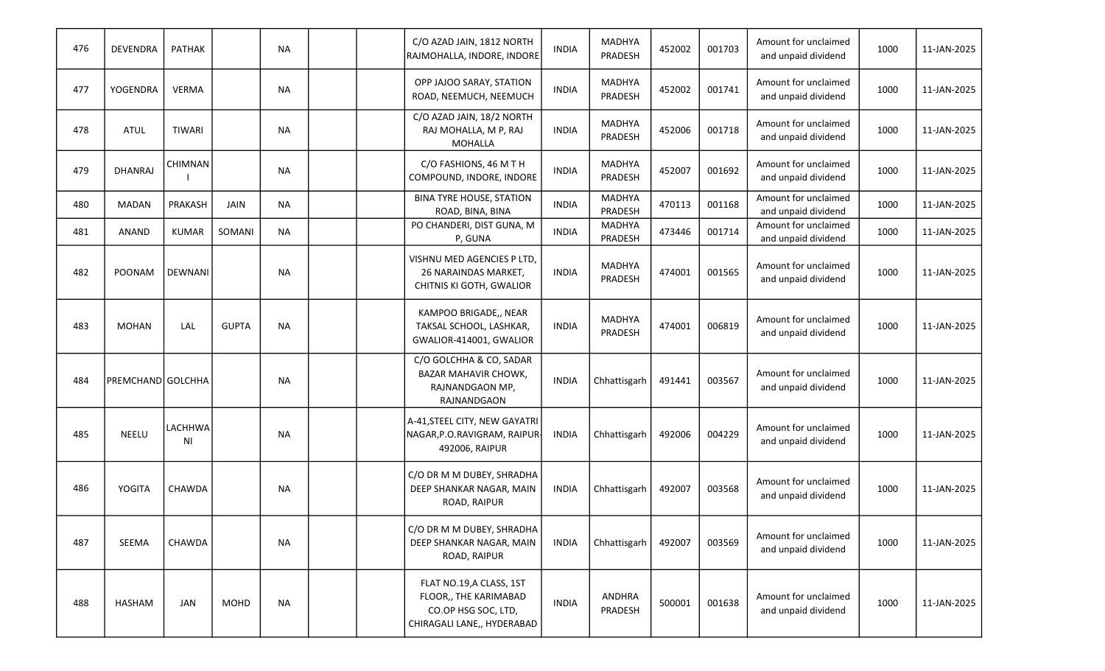| 476 | <b>DEVENDRA</b>   | <b>PATHAK</b>  |              | <b>NA</b> |  | C/O AZAD JAIN, 1812 NORTH<br>RAJMOHALLA, INDORE, INDORE                                                | <b>INDIA</b> | <b>MADHYA</b><br>PRADESH | 452002 | 001703 | Amount for unclaimed<br>and unpaid dividend | 1000 | 11-JAN-2025 |
|-----|-------------------|----------------|--------------|-----------|--|--------------------------------------------------------------------------------------------------------|--------------|--------------------------|--------|--------|---------------------------------------------|------|-------------|
| 477 | <b>YOGENDRA</b>   | <b>VERMA</b>   |              | <b>NA</b> |  | OPP JAJOO SARAY, STATION<br>ROAD, NEEMUCH, NEEMUCH                                                     | <b>INDIA</b> | <b>MADHYA</b><br>PRADESH | 452002 | 001741 | Amount for unclaimed<br>and unpaid dividend | 1000 | 11-JAN-2025 |
| 478 | <b>ATUL</b>       | <b>TIWARI</b>  |              | <b>NA</b> |  | C/O AZAD JAIN, 18/2 NORTH<br>RAJ MOHALLA, M P, RAJ<br><b>MOHALLA</b>                                   | <b>INDIA</b> | <b>MADHYA</b><br>PRADESH | 452006 | 001718 | Amount for unclaimed<br>and unpaid dividend | 1000 | 11-JAN-2025 |
| 479 | <b>DHANRAJ</b>    | <b>CHIMNAN</b> |              | <b>NA</b> |  | C/O FASHIONS, 46 M T H<br>COMPOUND, INDORE, INDORE                                                     | <b>INDIA</b> | <b>MADHYA</b><br>PRADESH | 452007 | 001692 | Amount for unclaimed<br>and unpaid dividend | 1000 | 11-JAN-2025 |
| 480 | <b>MADAN</b>      | PRAKASH        | JAIN         | <b>NA</b> |  | <b>BINA TYRE HOUSE, STATION</b><br>ROAD, BINA, BINA                                                    | <b>INDIA</b> | <b>MADHYA</b><br>PRADESH | 470113 | 001168 | Amount for unclaimed<br>and unpaid dividend | 1000 | 11-JAN-2025 |
| 481 | <b>ANAND</b>      | <b>KUMAR</b>   | SOMANI       | <b>NA</b> |  | PO CHANDERI, DIST GUNA, M<br>P, GUNA                                                                   | <b>INDIA</b> | <b>MADHYA</b><br>PRADESH | 473446 | 001714 | Amount for unclaimed<br>and unpaid dividend | 1000 | 11-JAN-2025 |
| 482 | POONAM            | DEWNANI        |              | <b>NA</b> |  | VISHNU MED AGENCIES P LTD,<br>26 NARAINDAS MARKET,<br>CHITNIS KI GOTH, GWALIOR                         | <b>INDIA</b> | <b>MADHYA</b><br>PRADESH | 474001 | 001565 | Amount for unclaimed<br>and unpaid dividend | 1000 | 11-JAN-2025 |
| 483 | <b>MOHAN</b>      | LAL            | <b>GUPTA</b> | <b>NA</b> |  | KAMPOO BRIGADE,, NEAR<br>TAKSAL SCHOOL, LASHKAR,<br>GWALIOR-414001, GWALIOR                            | <b>INDIA</b> | <b>MADHYA</b><br>PRADESH | 474001 | 006819 | Amount for unclaimed<br>and unpaid dividend | 1000 | 11-JAN-2025 |
| 484 | PREMCHAND GOLCHHA |                |              | <b>NA</b> |  | C/O GOLCHHA & CO, SADAR<br>BAZAR MAHAVIR CHOWK,<br>RAJNANDGAON MP,<br>RAJNANDGAON                      | <b>INDIA</b> | Chhattisgarh             | 491441 | 003567 | Amount for unclaimed<br>and unpaid dividend | 1000 | 11-JAN-2025 |
| 485 | <b>NEELU</b>      | LACHHWA<br>ΝI  |              | <b>NA</b> |  | A-41,STEEL CITY, NEW GAYATRI <br>NAGAR, P.O.RAVIGRAM, RAIPUR<br>492006, RAIPUR                         | INDIA        | Chhattisgarh             | 492006 | 004229 | Amount for unclaimed<br>and unpaid dividend | 1000 | 11-JAN-2025 |
| 486 | YOGITA            | CHAWDA         |              | <b>NA</b> |  | C/O DR M M DUBEY, SHRADHA<br>DEEP SHANKAR NAGAR, MAIN<br>ROAD, RAIPUR                                  | <b>INDIA</b> | Chhattisgarh             | 492007 | 003568 | Amount for unclaimed<br>and unpaid dividend | 1000 | 11-JAN-2025 |
| 487 | SEEMA             | CHAWDA         |              | <b>NA</b> |  | C/O DR M M DUBEY, SHRADHA<br>DEEP SHANKAR NAGAR, MAIN<br>ROAD, RAIPUR                                  | <b>INDIA</b> | Chhattisgarh             | 492007 | 003569 | Amount for unclaimed<br>and unpaid dividend | 1000 | 11-JAN-2025 |
| 488 | HASHAM            | JAN            | <b>MOHD</b>  | <b>NA</b> |  | FLAT NO.19, A CLASS, 1ST<br>FLOOR,, THE KARIMABAD<br>CO.OP HSG SOC, LTD,<br>CHIRAGALI LANE,, HYDERABAD | <b>INDIA</b> | <b>ANDHRA</b><br>PRADESH | 500001 | 001638 | Amount for unclaimed<br>and unpaid dividend | 1000 | 11-JAN-2025 |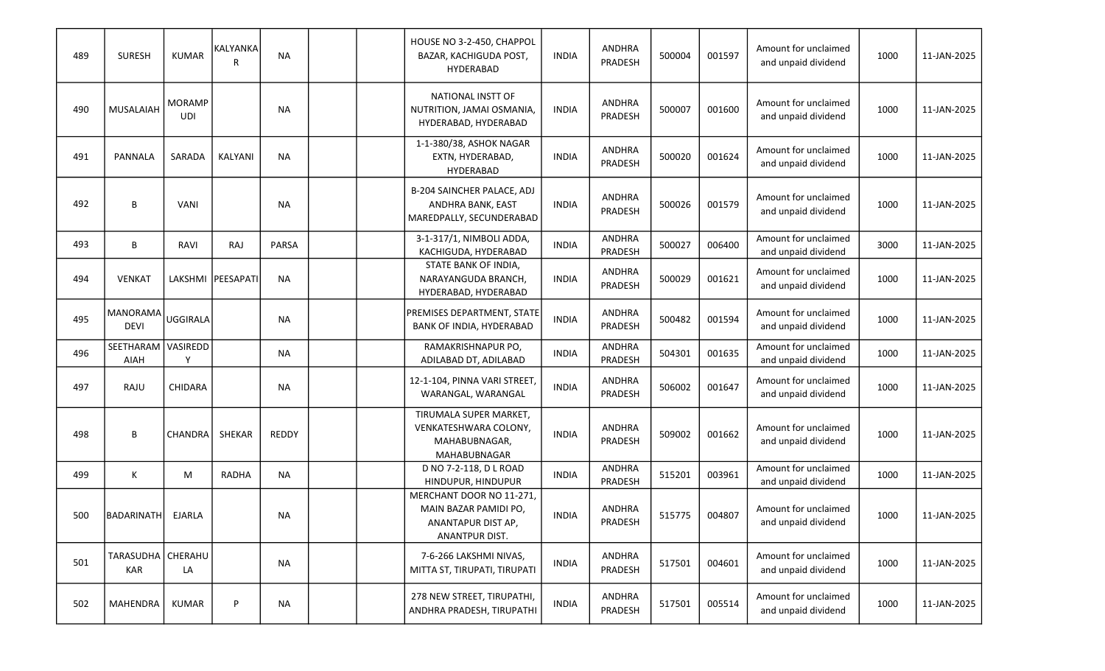| 489 | <b>SURESH</b>                  | <b>KUMAR</b>                | KALYANKA<br>R     | <b>NA</b> |  | HOUSE NO 3-2-450, CHAPPOL<br>BAZAR, KACHIGUDA POST,<br><b>HYDERABAD</b>                   | <b>INDIA</b> | <b>ANDHRA</b><br>PRADESH | 500004 | 001597 | Amount for unclaimed<br>and unpaid dividend | 1000 | 11-JAN-2025 |
|-----|--------------------------------|-----------------------------|-------------------|-----------|--|-------------------------------------------------------------------------------------------|--------------|--------------------------|--------|--------|---------------------------------------------|------|-------------|
| 490 | <b>MUSALAIAH</b>               | <b>MORAMP</b><br><b>UDI</b> |                   | <b>NA</b> |  | NATIONAL INSTT OF<br>NUTRITION, JAMAI OSMANIA,<br>HYDERABAD, HYDERABAD                    | <b>INDIA</b> | ANDHRA<br>PRADESH        | 500007 | 001600 | Amount for unclaimed<br>and unpaid dividend | 1000 | 11-JAN-2025 |
| 491 | <b>PANNALA</b>                 | SARADA                      | <b>KALYANI</b>    | <b>NA</b> |  | 1-1-380/38, ASHOK NAGAR<br>EXTN, HYDERABAD,<br>HYDERABAD                                  | <b>INDIA</b> | <b>ANDHRA</b><br>PRADESH | 500020 | 001624 | Amount for unclaimed<br>and unpaid dividend | 1000 | 11-JAN-2025 |
| 492 | В                              | VANI                        |                   | <b>NA</b> |  | B-204 SAINCHER PALACE, ADJ<br>ANDHRA BANK, EAST<br>MAREDPALLY, SECUNDERABAD               | <b>INDIA</b> | <b>ANDHRA</b><br>PRADESH | 500026 | 001579 | Amount for unclaimed<br>and unpaid dividend | 1000 | 11-JAN-2025 |
| 493 | В                              | <b>RAVI</b>                 | RAJ               | PARSA     |  | 3-1-317/1, NIMBOLI ADDA,<br>KACHIGUDA, HYDERABAD                                          | <b>INDIA</b> | ANDHRA<br>PRADESH        | 500027 | 006400 | Amount for unclaimed<br>and unpaid dividend | 3000 | 11-JAN-2025 |
| 494 | <b>VENKAT</b>                  |                             | LAKSHMI PEESAPATI | <b>NA</b> |  | STATE BANK OF INDIA,<br>NARAYANGUDA BRANCH,<br>HYDERABAD, HYDERABAD                       | <b>INDIA</b> | <b>ANDHRA</b><br>PRADESH | 500029 | 001621 | Amount for unclaimed<br>and unpaid dividend | 1000 | 11-JAN-2025 |
| 495 | <b>MANORAMA</b><br><b>DEVI</b> | <b>UGGIRALA</b>             |                   | <b>NA</b> |  | PREMISES DEPARTMENT, STATE<br>BANK OF INDIA, HYDERABAD                                    | <b>INDIA</b> | <b>ANDHRA</b><br>PRADESH | 500482 | 001594 | Amount for unclaimed<br>and unpaid dividend | 1000 | 11-JAN-2025 |
| 496 | SEETHARAM<br>AIAH              | VASIREDD                    |                   | <b>NA</b> |  | RAMAKRISHNAPUR PO,<br>ADILABAD DT, ADILABAD                                               | <b>INDIA</b> | ANDHRA<br>PRADESH        | 504301 | 001635 | Amount for unclaimed<br>and unpaid dividend | 1000 | 11-JAN-2025 |
| 497 | RAJU                           | CHIDARA                     |                   | <b>NA</b> |  | 12-1-104, PINNA VARI STREET,<br>WARANGAL, WARANGAL                                        | <b>INDIA</b> | <b>ANDHRA</b><br>PRADESH | 506002 | 001647 | Amount for unclaimed<br>and unpaid dividend | 1000 | 11-JAN-2025 |
| 498 | В                              | <b>CHANDRA</b>              | <b>SHEKAR</b>     | REDDY     |  | TIRUMALA SUPER MARKET,<br>VENKATESHWARA COLONY,<br>MAHABUBNAGAR,<br>MAHABUBNAGAR          | <b>INDIA</b> | <b>ANDHRA</b><br>PRADESH | 509002 | 001662 | Amount for unclaimed<br>and unpaid dividend | 1000 | 11-JAN-2025 |
| 499 | Κ                              | M                           | RADHA             | <b>NA</b> |  | D NO 7-2-118, D L ROAD<br>HINDUPUR, HINDUPUR                                              | <b>INDIA</b> | ANDHRA<br>PRADESH        | 515201 | 003961 | Amount for unclaimed<br>and unpaid dividend | 1000 | 11-JAN-2025 |
| 500 | BADARINATH                     | EJARLA                      |                   | <b>NA</b> |  | MERCHANT DOOR NO 11-271,<br>MAIN BAZAR PAMIDI PO,<br>ANANTAPUR DIST AP,<br>ANANTPUR DIST. | <b>INDIA</b> | ANDHRA<br>PRADESH        | 515775 | 004807 | Amount for unclaimed<br>and unpaid dividend | 1000 | 11-JAN-2025 |
| 501 | TARASUDHA   CHERAHU<br>KAR     | LA                          |                   | <b>NA</b> |  | 7-6-266 LAKSHMI NIVAS,<br>MITTA ST, TIRUPATI, TIRUPATI                                    | <b>INDIA</b> | ANDHRA<br>PRADESH        | 517501 | 004601 | Amount for unclaimed<br>and unpaid dividend | 1000 | 11-JAN-2025 |
| 502 | MAHENDRA                       | <b>KUMAR</b>                | P                 | <b>NA</b> |  | 278 NEW STREET, TIRUPATHI,<br>ANDHRA PRADESH, TIRUPATHI                                   | <b>INDIA</b> | ANDHRA<br>PRADESH        | 517501 | 005514 | Amount for unclaimed<br>and unpaid dividend | 1000 | 11-JAN-2025 |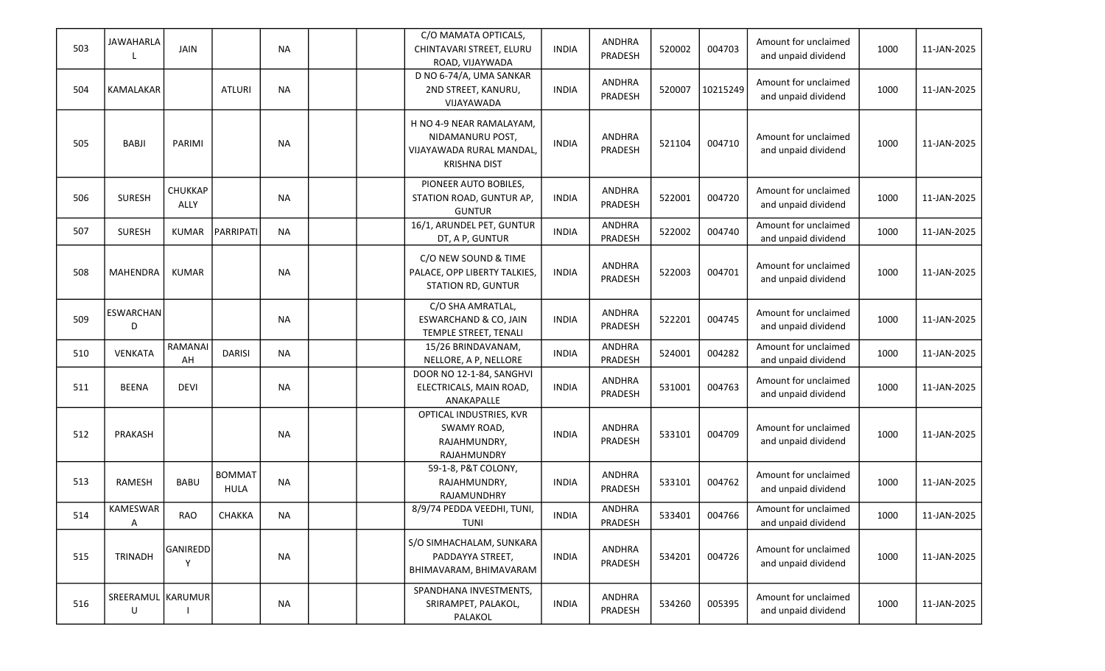| 503 | JAWAHARLA<br>L               | <b>JAIN</b>     |                       | <b>NA</b> | C/O MAMATA OPTICALS,<br>CHINTAVARI STREET, ELURU<br>ROAD, VIJAYWADA                            | <b>INDIA</b> | <b>ANDHRA</b><br>PRADESH        | 520002 | 004703   | Amount for unclaimed<br>and unpaid dividend | 1000 | 11-JAN-2025 |
|-----|------------------------------|-----------------|-----------------------|-----------|------------------------------------------------------------------------------------------------|--------------|---------------------------------|--------|----------|---------------------------------------------|------|-------------|
| 504 | <b>KAMALAKAR</b>             |                 | <b>ATLURI</b>         | <b>NA</b> | D NO 6-74/A, UMA SANKAR<br>2ND STREET, KANURU,<br>VIJAYAWADA                                   | <b>INDIA</b> | <b>ANDHRA</b><br>PRADESH        | 520007 | 10215249 | Amount for unclaimed<br>and unpaid dividend | 1000 | 11-JAN-2025 |
| 505 | <b>BABJI</b>                 | PARIMI          |                       | NA        | H NO 4-9 NEAR RAMALAYAM,<br>NIDAMANURU POST,<br>VIJAYAWADA RURAL MANDAL<br><b>KRISHNA DIST</b> | <b>INDIA</b> | <b>ANDHRA</b><br><b>PRADESH</b> | 521104 | 004710   | Amount for unclaimed<br>and unpaid dividend | 1000 | 11-JAN-2025 |
| 506 | <b>SURESH</b>                | CHUKKAP<br>ALLY |                       | <b>NA</b> | PIONEER AUTO BOBILES,<br>STATION ROAD, GUNTUR AP,<br><b>GUNTUR</b>                             | <b>INDIA</b> | <b>ANDHRA</b><br><b>PRADESH</b> | 522001 | 004720   | Amount for unclaimed<br>and unpaid dividend | 1000 | 11-JAN-2025 |
| 507 | <b>SURESH</b>                | <b>KUMAR</b>    | PARRIPATI             | <b>NA</b> | 16/1, ARUNDEL PET, GUNTUR<br>DT, A P, GUNTUR                                                   | <b>INDIA</b> | <b>ANDHRA</b><br>PRADESH        | 522002 | 004740   | Amount for unclaimed<br>and unpaid dividend | 1000 | 11-JAN-2025 |
| 508 | MAHENDRA                     | <b>KUMAR</b>    |                       | <b>NA</b> | C/O NEW SOUND & TIME<br>PALACE, OPP LIBERTY TALKIES,<br>STATION RD, GUNTUR                     | <b>INDIA</b> | <b>ANDHRA</b><br>PRADESH        | 522003 | 004701   | Amount for unclaimed<br>and unpaid dividend | 1000 | 11-JAN-2025 |
| 509 | ESWARCHAN<br>D               |                 |                       | <b>NA</b> | C/O SHA AMRATLAL,<br><b>ESWARCHAND &amp; CO, JAIN</b><br>TEMPLE STREET, TENALI                 | <b>INDIA</b> | <b>ANDHRA</b><br>PRADESH        | 522201 | 004745   | Amount for unclaimed<br>and unpaid dividend | 1000 | 11-JAN-2025 |
| 510 | <b>VENKATA</b>               | RAMANAI<br>AH   | <b>DARISI</b>         | <b>NA</b> | 15/26 BRINDAVANAM,<br>NELLORE, A P, NELLORE                                                    | <b>INDIA</b> | <b>ANDHRA</b><br>PRADESH        | 524001 | 004282   | Amount for unclaimed<br>and unpaid dividend | 1000 | 11-JAN-2025 |
| 511 | <b>BEENA</b>                 | <b>DEVI</b>     |                       | <b>NA</b> | DOOR NO 12-1-84, SANGHVI<br>ELECTRICALS, MAIN ROAD,<br>ANAKAPALLE                              | <b>INDIA</b> | <b>ANDHRA</b><br>PRADESH        | 531001 | 004763   | Amount for unclaimed<br>and unpaid dividend | 1000 | 11-JAN-2025 |
| 512 | <b>PRAKASH</b>               |                 |                       | <b>NA</b> | OPTICAL INDUSTRIES, KVR<br>SWAMY ROAD,<br>RAJAHMUNDRY,<br>RAJAHMUNDRY                          | <b>INDIA</b> | <b>ANDHRA</b><br><b>PRADESH</b> | 533101 | 004709   | Amount for unclaimed<br>and unpaid dividend | 1000 | 11-JAN-2025 |
| 513 | <b>RAMESH</b>                | <b>BABU</b>     | <b>BOMMAT</b><br>HULA | <b>NA</b> | 59-1-8, P&T COLONY,<br>RAJAHMUNDRY,<br>RAJAMUNDHRY                                             | <b>INDIA</b> | <b>ANDHRA</b><br>PRADESH        | 533101 | 004762   | Amount for unclaimed<br>and unpaid dividend | 1000 | 11-JAN-2025 |
| 514 | KAMESWAR<br>A                | <b>RAO</b>      | CHAKKA                | <b>NA</b> | 8/9/74 PEDDA VEEDHI, TUNI,<br>TUNI                                                             | <b>INDIA</b> | <b>ANDHRA</b><br>PRADESH        | 533401 | 004766   | Amount for unclaimed<br>and unpaid dividend | 1000 | 11-JAN-2025 |
| 515 | <b>TRINADH</b>               | GANIREDD<br>v   |                       | <b>NA</b> | S/O SIMHACHALAM, SUNKARA<br>PADDAYYA STREET,<br>BHIMAVARAM, BHIMAVARAM                         | <b>INDIA</b> | <b>ANDHRA</b><br>PRADESH        | 534201 | 004726   | Amount for unclaimed<br>and unpaid dividend | 1000 | 11-JAN-2025 |
| 516 | SREERAMUL KARUMUR<br>$\sf U$ |                 |                       | <b>NA</b> | SPANDHANA INVESTMENTS,<br>SRIRAMPET, PALAKOL,<br>PALAKOL                                       | <b>INDIA</b> | ANDHRA<br>PRADESH               | 534260 | 005395   | Amount for unclaimed<br>and unpaid dividend | 1000 | 11-JAN-2025 |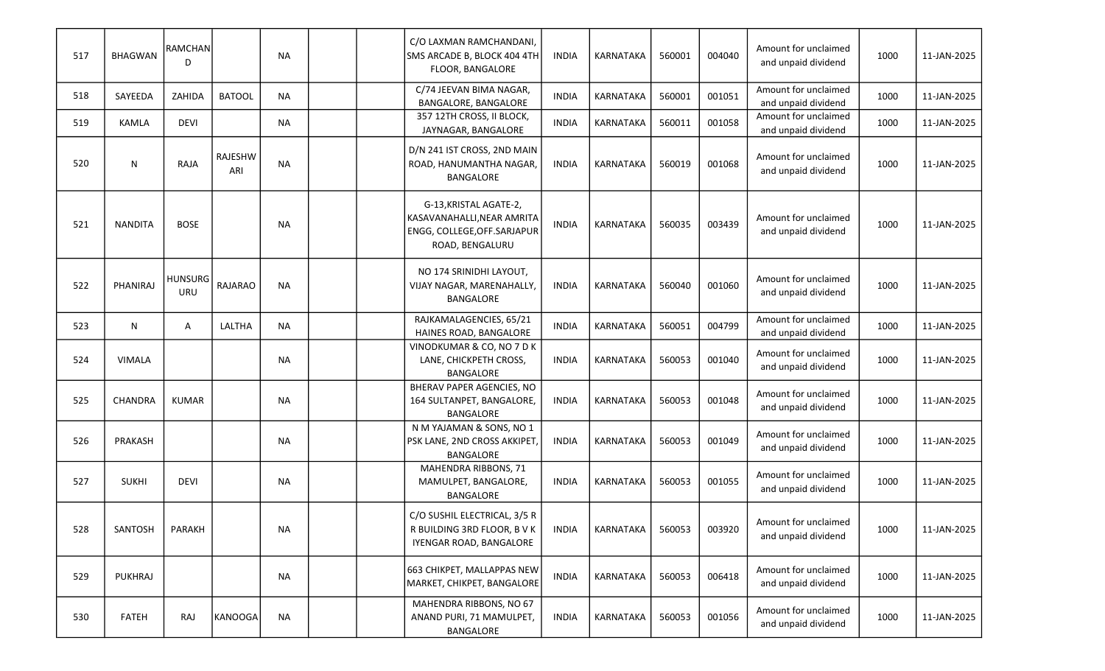| 517 | <b>BHAGWAN</b> | RAMCHAN<br>D          |                       | <b>NA</b> |  | C/O LAXMAN RAMCHANDANI,<br>SMS ARCADE B, BLOCK 404 4TH<br>FLOOR, BANGALORE                              | <b>INDIA</b> | KARNATAKA        | 560001 | 004040 | Amount for unclaimed<br>and unpaid dividend | 1000 | 11-JAN-2025 |
|-----|----------------|-----------------------|-----------------------|-----------|--|---------------------------------------------------------------------------------------------------------|--------------|------------------|--------|--------|---------------------------------------------|------|-------------|
| 518 | SAYEEDA        | ZAHIDA                | <b>BATOOL</b>         | <b>NA</b> |  | C/74 JEEVAN BIMA NAGAR,<br>BANGALORE, BANGALORE                                                         | <b>INDIA</b> | KARNATAKA        | 560001 | 001051 | Amount for unclaimed<br>and unpaid dividend | 1000 | 11-JAN-2025 |
| 519 | KAMLA          | <b>DEVI</b>           |                       | <b>NA</b> |  | 357 12TH CROSS, II BLOCK,<br>JAYNAGAR, BANGALORE                                                        | <b>INDIA</b> | KARNATAKA        | 560011 | 001058 | Amount for unclaimed<br>and unpaid dividend | 1000 | 11-JAN-2025 |
| 520 | ${\sf N}$      | RAJA                  | <b>RAJESHW</b><br>ARI | <b>NA</b> |  | D/N 241 IST CROSS, 2ND MAIN<br>ROAD, HANUMANTHA NAGAR,<br>BANGALORE                                     | <b>INDIA</b> | KARNATAKA        | 560019 | 001068 | Amount for unclaimed<br>and unpaid dividend | 1000 | 11-JAN-2025 |
| 521 | <b>NANDITA</b> | <b>BOSE</b>           |                       | <b>NA</b> |  | G-13, KRISTAL AGATE-2,<br>KASAVANAHALLI, NEAR AMRITA<br>ENGG, COLLEGE, OFF. SARJAPUR<br>ROAD, BENGALURU | <b>INDIA</b> | KARNATAKA        | 560035 | 003439 | Amount for unclaimed<br>and unpaid dividend | 1000 | 11-JAN-2025 |
| 522 | PHANIRAJ       | <b>HUNSURG</b><br>URU | <b>RAJARAO</b>        | <b>NA</b> |  | NO 174 SRINIDHI LAYOUT,<br>VIJAY NAGAR, MARENAHALLY,<br><b>BANGALORE</b>                                | <b>INDIA</b> | KARNATAKA        | 560040 | 001060 | Amount for unclaimed<br>and unpaid dividend | 1000 | 11-JAN-2025 |
| 523 | N              | Α                     | LALTHA                | <b>NA</b> |  | RAJKAMALAGENCIES, 65/21<br>HAINES ROAD, BANGALORE                                                       | <b>INDIA</b> | <b>KARNATAKA</b> | 560051 | 004799 | Amount for unclaimed<br>and unpaid dividend | 1000 | 11-JAN-2025 |
| 524 | <b>VIMALA</b>  |                       |                       | <b>NA</b> |  | VINODKUMAR & CO, NO 7 D K<br>LANE, CHICKPETH CROSS,<br><b>BANGALORE</b>                                 | <b>INDIA</b> | KARNATAKA        | 560053 | 001040 | Amount for unclaimed<br>and unpaid dividend | 1000 | 11-JAN-2025 |
| 525 | CHANDRA        | <b>KUMAR</b>          |                       | <b>NA</b> |  | BHERAV PAPER AGENCIES, NO<br>164 SULTANPET, BANGALORE,<br>BANGALORE                                     | <b>INDIA</b> | KARNATAKA        | 560053 | 001048 | Amount for unclaimed<br>and unpaid dividend | 1000 | 11-JAN-2025 |
| 526 | PRAKASH        |                       |                       | <b>NA</b> |  | N M YAJAMAN & SONS, NO 1<br>PSK LANE, 2ND CROSS AKKIPET,<br><b>BANGALORE</b>                            | <b>INDIA</b> | KARNATAKA        | 560053 | 001049 | Amount for unclaimed<br>and unpaid dividend | 1000 | 11-JAN-2025 |
| 527 | <b>SUKHI</b>   | <b>DEVI</b>           |                       | <b>NA</b> |  | MAHENDRA RIBBONS, 71<br>MAMULPET, BANGALORE,<br>BANGALORE                                               | <b>INDIA</b> | KARNATAKA        | 560053 | 001055 | Amount for unclaimed<br>and unpaid dividend | 1000 | 11-JAN-2025 |
| 528 | SANTOSH        | PARAKH                |                       | <b>NA</b> |  | C/O SUSHIL ELECTRICAL, 3/5 R<br>R BUILDING 3RD FLOOR, B V K<br>IYENGAR ROAD, BANGALORE                  | <b>INDIA</b> | KARNATAKA        | 560053 | 003920 | Amount for unclaimed<br>and unpaid dividend | 1000 | 11-JAN-2025 |
| 529 | <b>PUKHRAJ</b> |                       |                       | <b>NA</b> |  | 663 CHIKPET, MALLAPPAS NEW<br>MARKET, CHIKPET, BANGALORE                                                | <b>INDIA</b> | KARNATAKA        | 560053 | 006418 | Amount for unclaimed<br>and unpaid dividend | 1000 | 11-JAN-2025 |
| 530 | <b>FATEH</b>   | <b>RAJ</b>            | <b>KANOOGA</b>        | <b>NA</b> |  | MAHENDRA RIBBONS, NO 67<br>ANAND PURI, 71 MAMULPET,<br>BANGALORE                                        | <b>INDIA</b> | KARNATAKA        | 560053 | 001056 | Amount for unclaimed<br>and unpaid dividend | 1000 | 11-JAN-2025 |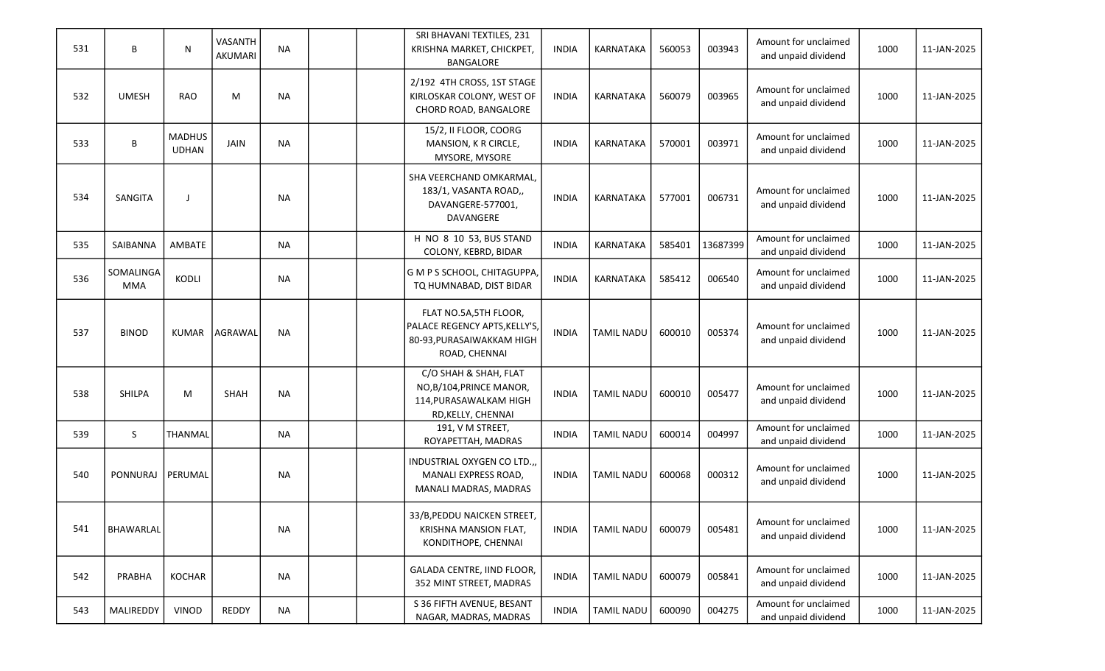| 531 | B                       | N                             | VASANTH<br><b>AKUMARI</b> | <b>NA</b> |  | SRI BHAVANI TEXTILES, 231<br>KRISHNA MARKET, CHICKPET,<br><b>BANGALORE</b>                           | <b>INDIA</b> | <b>KARNATAKA</b>  | 560053 | 003943   | Amount for unclaimed<br>and unpaid dividend | 1000 | 11-JAN-2025 |
|-----|-------------------------|-------------------------------|---------------------------|-----------|--|------------------------------------------------------------------------------------------------------|--------------|-------------------|--------|----------|---------------------------------------------|------|-------------|
| 532 | <b>UMESH</b>            | <b>RAO</b>                    | M                         | <b>NA</b> |  | 2/192 4TH CROSS, 1ST STAGE<br>KIRLOSKAR COLONY, WEST OF<br>CHORD ROAD, BANGALORE                     | <b>INDIA</b> | <b>KARNATAKA</b>  | 560079 | 003965   | Amount for unclaimed<br>and unpaid dividend | 1000 | 11-JAN-2025 |
| 533 | B                       | <b>MADHUS</b><br><b>UDHAN</b> | JAIN                      | <b>NA</b> |  | 15/2, II FLOOR, COORG<br>MANSION, K R CIRCLE,<br>MYSORE, MYSORE                                      | <b>INDIA</b> | <b>KARNATAKA</b>  | 570001 | 003971   | Amount for unclaimed<br>and unpaid dividend | 1000 | 11-JAN-2025 |
| 534 | SANGITA                 |                               |                           | <b>NA</b> |  | SHA VEERCHAND OMKARMAL,<br>183/1, VASANTA ROAD,,<br>DAVANGERE-577001,<br>DAVANGERE                   | <b>INDIA</b> | KARNATAKA         | 577001 | 006731   | Amount for unclaimed<br>and unpaid dividend | 1000 | 11-JAN-2025 |
| 535 | SAIBANNA                | AMBATE                        |                           | <b>NA</b> |  | H NO 8 10 53, BUS STAND<br>COLONY, KEBRD, BIDAR                                                      | <b>INDIA</b> | KARNATAKA         | 585401 | 13687399 | Amount for unclaimed<br>and unpaid dividend | 1000 | 11-JAN-2025 |
| 536 | SOMALINGA<br><b>MMA</b> | KODLI                         |                           | <b>NA</b> |  | G M P S SCHOOL, CHITAGUPPA,<br>TQ HUMNABAD, DIST BIDAR                                               | <b>INDIA</b> | KARNATAKA         | 585412 | 006540   | Amount for unclaimed<br>and unpaid dividend | 1000 | 11-JAN-2025 |
| 537 | <b>BINOD</b>            | <b>KUMAR</b>                  | <b>AGRAWAL</b>            | <b>NA</b> |  | FLAT NO.5A,5TH FLOOR,<br>PALACE REGENCY APTS, KELLY'S,<br>80-93, PURASAIWAKKAM HIGH<br>ROAD, CHENNAI | <b>INDIA</b> | <b>TAMIL NADU</b> | 600010 | 005374   | Amount for unclaimed<br>and unpaid dividend | 1000 | 11-JAN-2025 |
| 538 | <b>SHILPA</b>           | M                             | SHAH                      | <b>NA</b> |  | C/O SHAH & SHAH, FLAT<br>NO, B/104, PRINCE MANOR,<br>114, PURASAWALKAM HIGH<br>RD, KELLY, CHENNAI    | <b>INDIA</b> | <b>TAMIL NADU</b> | 600010 | 005477   | Amount for unclaimed<br>and unpaid dividend | 1000 | 11-JAN-2025 |
| 539 | S                       | THANMAL                       |                           | <b>NA</b> |  | 191, V M STREET,<br>ROYAPETTAH, MADRAS                                                               | <b>INDIA</b> | <b>TAMIL NADU</b> | 600014 | 004997   | Amount for unclaimed<br>and unpaid dividend | 1000 | 11-JAN-2025 |
| 540 | <b>PONNURAJ</b>         | PERUMAL                       |                           | <b>NA</b> |  | INDUSTRIAL OXYGEN CO LTD.,,<br>MANALI EXPRESS ROAD,<br>MANALI MADRAS, MADRAS                         | <b>INDIA</b> | <b>TAMIL NADU</b> | 600068 | 000312   | Amount for unclaimed<br>and unpaid dividend | 1000 | 11-JAN-2025 |
| 541 | BHAWARLAL               |                               |                           | <b>NA</b> |  | 33/B, PEDDU NAICKEN STREET<br>KRISHNA MANSION FLAT,<br>KONDITHOPE, CHENNAI                           | <b>INDIA</b> | <b>TAMIL NADU</b> | 600079 | 005481   | Amount for unclaimed<br>and unpaid dividend | 1000 | 11-JAN-2025 |
| 542 | PRABHA                  | <b>KOCHAR</b>                 |                           | <b>NA</b> |  | GALADA CENTRE, IIND FLOOR,<br>352 MINT STREET, MADRAS                                                | <b>INDIA</b> | <b>TAMIL NADU</b> | 600079 | 005841   | Amount for unclaimed<br>and unpaid dividend | 1000 | 11-JAN-2025 |
| 543 | MALIREDDY               | VINOD                         | <b>REDDY</b>              | <b>NA</b> |  | S 36 FIFTH AVENUE, BESANT<br>NAGAR, MADRAS, MADRAS                                                   | <b>INDIA</b> | <b>TAMIL NADU</b> | 600090 | 004275   | Amount for unclaimed<br>and unpaid dividend | 1000 | 11-JAN-2025 |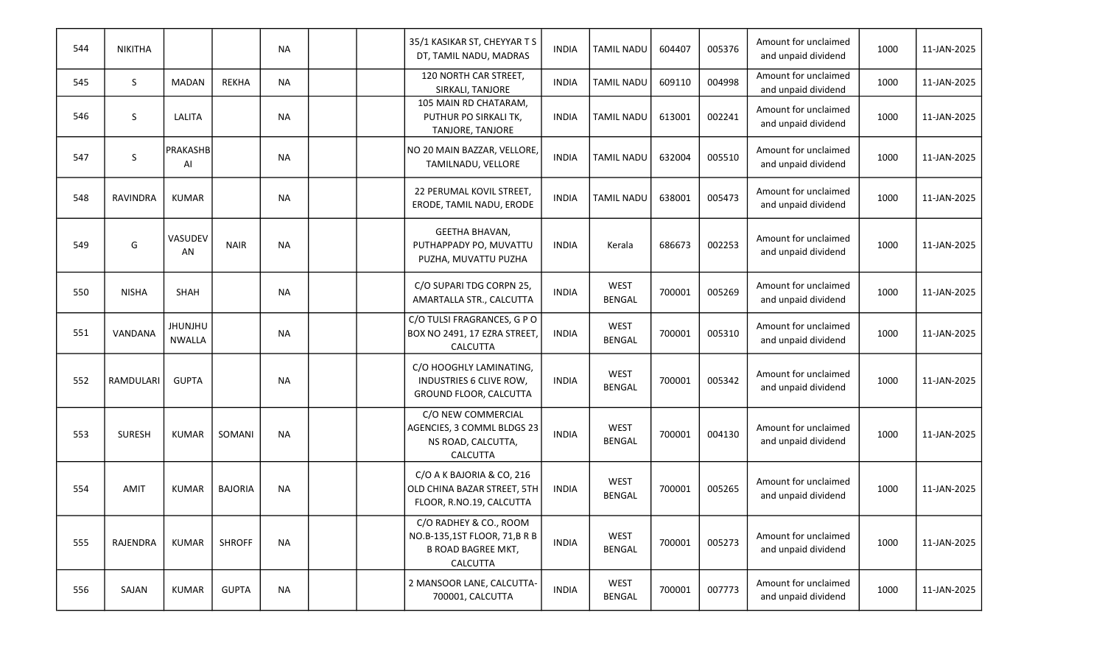| 544 | <b>NIKITHA</b>   |                                 |                | <b>NA</b> |  | 35/1 KASIKAR ST, CHEYYAR T S<br>DT, TAMIL NADU, MADRAS                                          | <b>INDIA</b> | <b>TAMIL NADU</b>            | 604407 | 005376 | Amount for unclaimed<br>and unpaid dividend | 1000 | 11-JAN-2025 |
|-----|------------------|---------------------------------|----------------|-----------|--|-------------------------------------------------------------------------------------------------|--------------|------------------------------|--------|--------|---------------------------------------------|------|-------------|
| 545 | S                | <b>MADAN</b>                    | <b>REKHA</b>   | <b>NA</b> |  | 120 NORTH CAR STREET,<br>SIRKALI, TANJORE                                                       | <b>INDIA</b> | <b>TAMIL NADU</b>            | 609110 | 004998 | Amount for unclaimed<br>and unpaid dividend | 1000 | 11-JAN-2025 |
| 546 | S                | LALITA                          |                | <b>NA</b> |  | 105 MAIN RD CHATARAM,<br>PUTHUR PO SIRKALI TK,<br>TANJORE, TANJORE                              | <b>INDIA</b> | <b>TAMIL NADU</b>            | 613001 | 002241 | Amount for unclaimed<br>and unpaid dividend | 1000 | 11-JAN-2025 |
| 547 | S                | PRAKASHB<br>AI                  |                | <b>NA</b> |  | NO 20 MAIN BAZZAR, VELLORE,<br>TAMILNADU, VELLORE                                               | <b>INDIA</b> | <b>TAMIL NADU</b>            | 632004 | 005510 | Amount for unclaimed<br>and unpaid dividend | 1000 | 11-JAN-2025 |
| 548 | <b>RAVINDRA</b>  | <b>KUMAR</b>                    |                | <b>NA</b> |  | 22 PERUMAL KOVIL STREET,<br>ERODE, TAMIL NADU, ERODE                                            | <b>INDIA</b> | <b>TAMIL NADU</b>            | 638001 | 005473 | Amount for unclaimed<br>and unpaid dividend | 1000 | 11-JAN-2025 |
| 549 | G                | VASUDEV<br>AN                   | <b>NAIR</b>    | <b>NA</b> |  | GEETHA BHAVAN,<br>PUTHAPPADY PO, MUVATTU<br>PUZHA, MUVATTU PUZHA                                | <b>INDIA</b> | Kerala                       | 686673 | 002253 | Amount for unclaimed<br>and unpaid dividend | 1000 | 11-JAN-2025 |
| 550 | <b>NISHA</b>     | SHAH                            |                | <b>NA</b> |  | C/O SUPARI TDG CORPN 25,<br>AMARTALLA STR., CALCUTTA                                            | <b>INDIA</b> | <b>WEST</b><br><b>BENGAL</b> | 700001 | 005269 | Amount for unclaimed<br>and unpaid dividend | 1000 | 11-JAN-2025 |
| 551 | VANDANA          | <b>JHUNJHU</b><br><b>NWALLA</b> |                | <b>NA</b> |  | C/O TULSI FRAGRANCES, G P O<br>BOX NO 2491, 17 EZRA STREET<br>CALCUTTA                          | <b>INDIA</b> | <b>WEST</b><br><b>BENGAL</b> | 700001 | 005310 | Amount for unclaimed<br>and unpaid dividend | 1000 | 11-JAN-2025 |
| 552 | <b>RAMDULARI</b> | <b>GUPTA</b>                    |                | <b>NA</b> |  | C/O HOOGHLY LAMINATING,<br>INDUSTRIES 6 CLIVE ROW,<br>GROUND FLOOR, CALCUTTA                    | <b>INDIA</b> | <b>WEST</b><br><b>BENGAL</b> | 700001 | 005342 | Amount for unclaimed<br>and unpaid dividend | 1000 | 11-JAN-2025 |
| 553 | <b>SURESH</b>    | <b>KUMAR</b>                    | SOMANI         | <b>NA</b> |  | C/O NEW COMMERCIAL<br>AGENCIES, 3 COMML BLDGS 23<br>NS ROAD, CALCUTTA,<br><b>CALCUTTA</b>       | <b>INDIA</b> | <b>WEST</b><br><b>BENGAL</b> | 700001 | 004130 | Amount for unclaimed<br>and unpaid dividend | 1000 | 11-JAN-2025 |
| 554 | <b>AMIT</b>      | <b>KUMAR</b>                    | <b>BAJORIA</b> | <b>NA</b> |  | C/O A K BAJORIA & CO, 216<br>OLD CHINA BAZAR STREET, 5TH<br>FLOOR, R.NO.19, CALCUTTA            | <b>INDIA</b> | <b>WEST</b><br><b>BENGAL</b> | 700001 | 005265 | Amount for unclaimed<br>and unpaid dividend | 1000 | 11-JAN-2025 |
| 555 | RAJENDRA         | <b>KUMAR</b>                    | <b>SHROFF</b>  | <b>NA</b> |  | C/O RADHEY & CO., ROOM<br>NO.B-135,1ST FLOOR, 71,B R B<br><b>B ROAD BAGREE MKT,</b><br>CALCUTTA | <b>INDIA</b> | <b>WEST</b><br>BENGAL        | 700001 | 005273 | Amount for unclaimed<br>and unpaid dividend | 1000 | 11-JAN-2025 |
| 556 | SAJAN            | <b>KUMAR</b>                    | <b>GUPTA</b>   | <b>NA</b> |  | 2 MANSOOR LANE, CALCUTTA-<br>700001, CALCUTTA                                                   | <b>INDIA</b> | <b>WEST</b><br>BENGAL        | 700001 | 007773 | Amount for unclaimed<br>and unpaid dividend | 1000 | 11-JAN-2025 |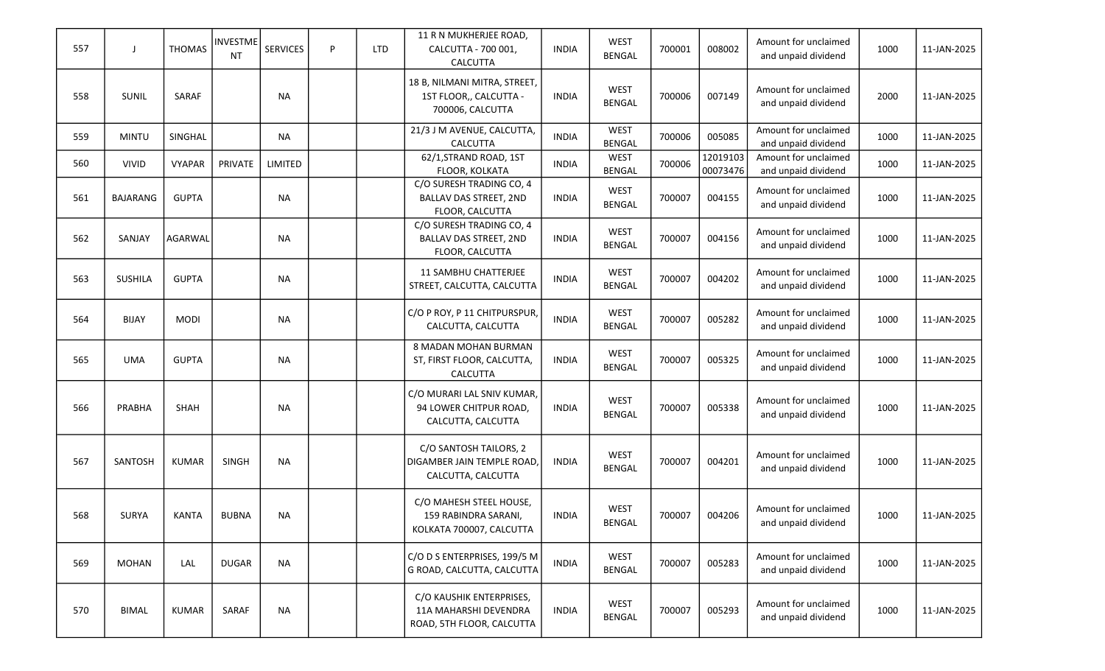| 557 | $\perp$         | <b>THOMAS</b> | <b>INVESTME</b><br>NT | <b>SERVICES</b> | P | <b>LTD</b> | 11 R N MUKHERJEE ROAD,<br>CALCUTTA - 700 001,<br><b>CALCUTTA</b>               | <b>INDIA</b> | <b>WEST</b><br><b>BENGAL</b> | 700001 | 008002               | Amount for unclaimed<br>and unpaid dividend | 1000 | 11-JAN-2025 |
|-----|-----------------|---------------|-----------------------|-----------------|---|------------|--------------------------------------------------------------------------------|--------------|------------------------------|--------|----------------------|---------------------------------------------|------|-------------|
| 558 | SUNIL           | SARAF         |                       | <b>NA</b>       |   |            | 18 B, NILMANI MITRA, STREET,<br>1ST FLOOR,, CALCUTTA -<br>700006, CALCUTTA     | <b>INDIA</b> | <b>WEST</b><br><b>BENGAL</b> | 700006 | 007149               | Amount for unclaimed<br>and unpaid dividend | 2000 | 11-JAN-2025 |
| 559 | <b>MINTU</b>    | SINGHAL       |                       | <b>NA</b>       |   |            | 21/3 J M AVENUE, CALCUTTA,<br>CALCUTTA                                         | <b>INDIA</b> | <b>WEST</b><br><b>BENGAL</b> | 700006 | 005085               | Amount for unclaimed<br>and unpaid dividend | 1000 | 11-JAN-2025 |
| 560 | <b>VIVID</b>    | <b>VYAPAR</b> | PRIVATE               | LIMITED         |   |            | 62/1, STRAND ROAD, 1ST<br>FLOOR, KOLKATA                                       | <b>INDIA</b> | WEST<br><b>BENGAL</b>        | 700006 | 12019103<br>00073476 | Amount for unclaimed<br>and unpaid dividend | 1000 | 11-JAN-2025 |
| 561 | <b>BAJARANG</b> | <b>GUPTA</b>  |                       | <b>NA</b>       |   |            | C/O SURESH TRADING CO, 4<br>BALLAV DAS STREET, 2ND<br>FLOOR, CALCUTTA          | <b>INDIA</b> | <b>WEST</b><br><b>BENGAL</b> | 700007 | 004155               | Amount for unclaimed<br>and unpaid dividend | 1000 | 11-JAN-2025 |
| 562 | SANJAY          | AGARWAL       |                       | <b>NA</b>       |   |            | C/O SURESH TRADING CO, 4<br>BALLAV DAS STREET, 2ND<br>FLOOR, CALCUTTA          | <b>INDIA</b> | <b>WEST</b><br><b>BENGAL</b> | 700007 | 004156               | Amount for unclaimed<br>and unpaid dividend | 1000 | 11-JAN-2025 |
| 563 | <b>SUSHILA</b>  | <b>GUPTA</b>  |                       | <b>NA</b>       |   |            | <b>11 SAMBHU CHATTERJEE</b><br>STREET, CALCUTTA, CALCUTTA                      | <b>INDIA</b> | <b>WEST</b><br><b>BENGAL</b> | 700007 | 004202               | Amount for unclaimed<br>and unpaid dividend | 1000 | 11-JAN-2025 |
| 564 | <b>BIJAY</b>    | <b>MODI</b>   |                       | <b>NA</b>       |   |            | C/O P ROY, P 11 CHITPURSPUR,<br>CALCUTTA, CALCUTTA                             | <b>INDIA</b> | <b>WEST</b><br><b>BENGAL</b> | 700007 | 005282               | Amount for unclaimed<br>and unpaid dividend | 1000 | 11-JAN-2025 |
| 565 | <b>UMA</b>      | <b>GUPTA</b>  |                       | <b>NA</b>       |   |            | 8 MADAN MOHAN BURMAN<br>ST, FIRST FLOOR, CALCUTTA,<br>CALCUTTA                 | <b>INDIA</b> | <b>WEST</b><br><b>BENGAL</b> | 700007 | 005325               | Amount for unclaimed<br>and unpaid dividend | 1000 | 11-JAN-2025 |
| 566 | PRABHA          | <b>SHAH</b>   |                       | <b>NA</b>       |   |            | C/O MURARI LAL SNIV KUMAR,<br>94 LOWER CHITPUR ROAD,<br>CALCUTTA, CALCUTTA     | <b>INDIA</b> | <b>WEST</b><br><b>BENGAL</b> | 700007 | 005338               | Amount for unclaimed<br>and unpaid dividend | 1000 | 11-JAN-2025 |
| 567 | <b>SANTOSH</b>  | <b>KUMAR</b>  | <b>SINGH</b>          | <b>NA</b>       |   |            | C/O SANTOSH TAILORS, 2<br>DIGAMBER JAIN TEMPLE ROAD,<br>CALCUTTA, CALCUTTA     | <b>INDIA</b> | <b>WEST</b><br><b>BENGAL</b> | 700007 | 004201               | Amount for unclaimed<br>and unpaid dividend | 1000 | 11-JAN-2025 |
| 568 | <b>SURYA</b>    | KANTA         | <b>BUBNA</b>          | <b>NA</b>       |   |            | C/O MAHESH STEEL HOUSE,<br>159 RABINDRA SARANI,<br>KOLKATA 700007, CALCUTTA    | <b>INDIA</b> | <b>WEST</b><br><b>BENGAL</b> | 700007 | 004206               | Amount for unclaimed<br>and unpaid dividend | 1000 | 11-JAN-2025 |
| 569 | MOHAN           | LAL           | <b>DUGAR</b>          | <b>NA</b>       |   |            | C/O D S ENTERPRISES, 199/5 M<br>G ROAD, CALCUTTA, CALCUTTA                     | <b>INDIA</b> | <b>WEST</b><br><b>BENGAL</b> | 700007 | 005283               | Amount for unclaimed<br>and unpaid dividend | 1000 | 11-JAN-2025 |
| 570 | <b>BIMAL</b>    | <b>KUMAR</b>  | SARAF                 | <b>NA</b>       |   |            | C/O KAUSHIK ENTERPRISES,<br>11A MAHARSHI DEVENDRA<br>ROAD, 5TH FLOOR, CALCUTTA | <b>INDIA</b> | <b>WEST</b><br>BENGAL        | 700007 | 005293               | Amount for unclaimed<br>and unpaid dividend | 1000 | 11-JAN-2025 |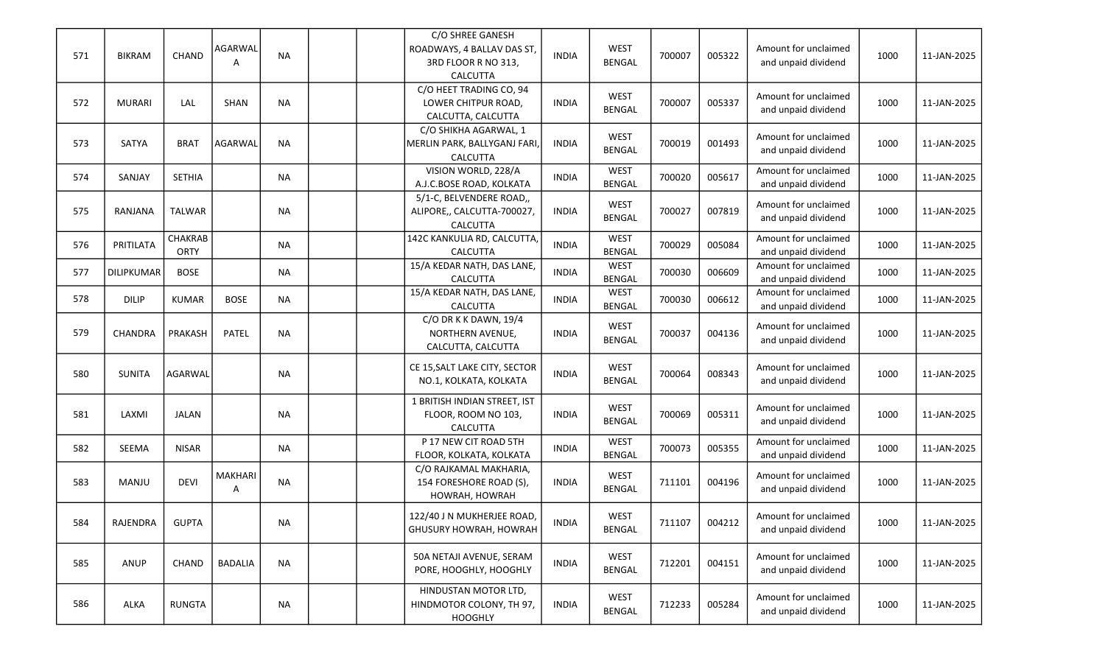| 571 | <b>BIKRAM</b> | CHAND           | AGARWAL<br>A        | <b>NA</b> | C/O SHREE GANESH<br>ROADWAYS, 4 BALLAV DAS ST,<br>3RD FLOOR R NO 313,<br>CALCUTTA | <b>INDIA</b> | <b>WEST</b><br><b>BENGAL</b> | 700007 | 005322 | Amount for unclaimed<br>and unpaid dividend | 1000 | 11-JAN-2025 |
|-----|---------------|-----------------|---------------------|-----------|-----------------------------------------------------------------------------------|--------------|------------------------------|--------|--------|---------------------------------------------|------|-------------|
| 572 | <b>MURARI</b> | LAL             | SHAN                | <b>NA</b> | C/O HEET TRADING CO, 94<br>LOWER CHITPUR ROAD,<br>CALCUTTA, CALCUTTA              | <b>INDIA</b> | <b>WEST</b><br><b>BENGAL</b> | 700007 | 005337 | Amount for unclaimed<br>and unpaid dividend | 1000 | 11-JAN-2025 |
| 573 | SATYA         | <b>BRAT</b>     | <b>AGARWAL</b>      | <b>NA</b> | C/O SHIKHA AGARWAL, 1<br>MERLIN PARK, BALLYGANJ FARI,<br>CALCUTTA                 | <b>INDIA</b> | <b>WEST</b><br><b>BENGAL</b> | 700019 | 001493 | Amount for unclaimed<br>and unpaid dividend | 1000 | 11-JAN-2025 |
| 574 | SANJAY        | <b>SETHIA</b>   |                     | <b>NA</b> | VISION WORLD, 228/A<br>A.J.C.BOSE ROAD, KOLKATA                                   | <b>INDIA</b> | <b>WEST</b><br><b>BENGAL</b> | 700020 | 005617 | Amount for unclaimed<br>and unpaid dividend | 1000 | 11-JAN-2025 |
| 575 | RANJANA       | <b>TALWAR</b>   |                     | <b>NA</b> | 5/1-C, BELVENDERE ROAD,,<br>ALIPORE,, CALCUTTA-700027,<br>CALCUTTA                | <b>INDIA</b> | <b>WEST</b><br><b>BENGAL</b> | 700027 | 007819 | Amount for unclaimed<br>and unpaid dividend | 1000 | 11-JAN-2025 |
| 576 | PRITILATA     | CHAKRAB<br>ORTY |                     | <b>NA</b> | 142C KANKULIA RD, CALCUTTA,<br>CALCUTTA                                           | <b>INDIA</b> | <b>WEST</b><br><b>BENGAL</b> | 700029 | 005084 | Amount for unclaimed<br>and unpaid dividend | 1000 | 11-JAN-2025 |
| 577 | DILIPKUMAR    | <b>BOSE</b>     |                     | <b>NA</b> | 15/A KEDAR NATH, DAS LANE,<br>CALCUTTA                                            | <b>INDIA</b> | <b>WEST</b><br><b>BENGAL</b> | 700030 | 006609 | Amount for unclaimed<br>and unpaid dividend | 1000 | 11-JAN-2025 |
| 578 | <b>DILIP</b>  | <b>KUMAR</b>    | <b>BOSE</b>         | <b>NA</b> | 15/A KEDAR NATH, DAS LANE,<br>CALCUTTA                                            | <b>INDIA</b> | <b>WEST</b><br><b>BENGAL</b> | 700030 | 006612 | Amount for unclaimed<br>and unpaid dividend | 1000 | 11-JAN-2025 |
| 579 | CHANDRA       | PRAKASH         | PATEL               | <b>NA</b> | C/O DR K K DAWN, 19/4<br>NORTHERN AVENUE,<br>CALCUTTA, CALCUTTA                   | <b>INDIA</b> | <b>WEST</b><br><b>BENGAL</b> | 700037 | 004136 | Amount for unclaimed<br>and unpaid dividend | 1000 | 11-JAN-2025 |
| 580 | <b>SUNITA</b> | AGARWAL         |                     | <b>NA</b> | CE 15, SALT LAKE CITY, SECTOR<br>NO.1, KOLKATA, KOLKATA                           | <b>INDIA</b> | <b>WEST</b><br><b>BENGAL</b> | 700064 | 008343 | Amount for unclaimed<br>and unpaid dividend | 1000 | 11-JAN-2025 |
| 581 | LAXMI         | <b>JALAN</b>    |                     | <b>NA</b> | 1 BRITISH INDIAN STREET, IST<br>FLOOR, ROOM NO 103,<br><b>CALCUTTA</b>            | <b>INDIA</b> | <b>WEST</b><br><b>BENGAL</b> | 700069 | 005311 | Amount for unclaimed<br>and unpaid dividend | 1000 | 11-JAN-2025 |
| 582 | SEEMA         | <b>NISAR</b>    |                     | <b>NA</b> | P 17 NEW CIT ROAD 5TH<br>FLOOR, KOLKATA, KOLKATA                                  | <b>INDIA</b> | <b>WEST</b><br><b>BENGAL</b> | 700073 | 005355 | Amount for unclaimed<br>and unpaid dividend | 1000 | 11-JAN-2025 |
| 583 | MANJU         | <b>DEVI</b>     | <b>MAKHARI</b><br>A | <b>NA</b> | C/O RAJKAMAL MAKHARIA,<br>154 FORESHORE ROAD (S),<br>HOWRAH, HOWRAH               | <b>INDIA</b> | <b>WEST</b><br><b>BENGAL</b> | 711101 | 004196 | Amount for unclaimed<br>and unpaid dividend | 1000 | 11-JAN-2025 |
| 584 | RAJENDRA      | GUPTA           |                     | NА        | 122/40 J N MUKHERJEE ROAD,<br>GHUSURY HOWRAH, HOWRAH                              | INDIA        | <b>WEST</b><br><b>BENGAL</b> | 711107 | 004212 | Amount for unclaimed<br>and unpaid dividend | 1000 | 11-JAN-2025 |
| 585 | ANUP          | <b>CHAND</b>    | <b>BADALIA</b>      | <b>NA</b> | 50A NETAJI AVENUE, SERAM<br>PORE, HOOGHLY, HOOGHLY                                | <b>INDIA</b> | <b>WEST</b><br><b>BENGAL</b> | 712201 | 004151 | Amount for unclaimed<br>and unpaid dividend | 1000 | 11-JAN-2025 |
| 586 | ALKA          | <b>RUNGTA</b>   |                     | NA        | HINDUSTAN MOTOR LTD,<br>HINDMOTOR COLONY, TH 97,<br><b>HOOGHLY</b>                | <b>INDIA</b> | <b>WEST</b><br><b>BENGAL</b> | 712233 | 005284 | Amount for unclaimed<br>and unpaid dividend | 1000 | 11-JAN-2025 |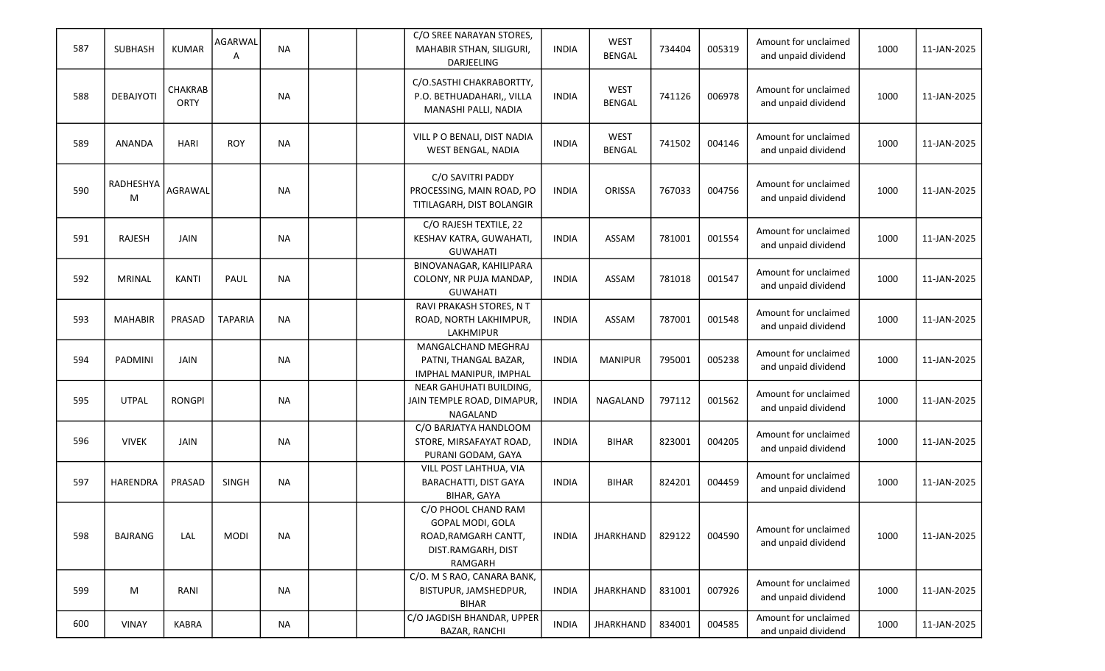| 587 | <b>SUBHASH</b> | <b>KUMAR</b>           | AGARWAL<br>Α   | <b>NA</b> | C/O SREE NARAYAN STORES,<br>MAHABIR STHAN, SILIGURI,<br>DARJEELING                               | <b>INDIA</b> | <b>WEST</b><br><b>BENGAL</b> | 734404 | 005319 | Amount for unclaimed<br>and unpaid dividend | 1000 | 11-JAN-2025 |
|-----|----------------|------------------------|----------------|-----------|--------------------------------------------------------------------------------------------------|--------------|------------------------------|--------|--------|---------------------------------------------|------|-------------|
| 588 | DEBAJYOTI      | CHAKRAB<br><b>ORTY</b> |                | <b>NA</b> | C/O.SASTHI CHAKRABORTTY,<br>P.O. BETHUADAHARI,, VILLA<br>MANASHI PALLI, NADIA                    | <b>INDIA</b> | <b>WEST</b><br><b>BENGAL</b> | 741126 | 006978 | Amount for unclaimed<br>and unpaid dividend | 1000 | 11-JAN-2025 |
| 589 | <b>ANANDA</b>  | HARI                   | <b>ROY</b>     | <b>NA</b> | VILL P O BENALI, DIST NADIA<br>WEST BENGAL, NADIA                                                | <b>INDIA</b> | <b>WEST</b><br><b>BENGAL</b> | 741502 | 004146 | Amount for unclaimed<br>and unpaid dividend | 1000 | 11-JAN-2025 |
| 590 | RADHESHYA<br>M | AGRAWAL                |                | <b>NA</b> | C/O SAVITRI PADDY<br>PROCESSING, MAIN ROAD, PO<br>TITILAGARH, DIST BOLANGIR                      | <b>INDIA</b> | ORISSA                       | 767033 | 004756 | Amount for unclaimed<br>and unpaid dividend | 1000 | 11-JAN-2025 |
| 591 | <b>RAJESH</b>  | <b>JAIN</b>            |                | <b>NA</b> | C/O RAJESH TEXTILE, 22<br>KESHAV KATRA, GUWAHATI,<br><b>GUWAHATI</b>                             | <b>INDIA</b> | ASSAM                        | 781001 | 001554 | Amount for unclaimed<br>and unpaid dividend | 1000 | 11-JAN-2025 |
| 592 | <b>MRINAL</b>  | <b>KANTI</b>           | PAUL           | <b>NA</b> | BINOVANAGAR, KAHILIPARA<br>COLONY, NR PUJA MANDAP,<br><b>GUWAHATI</b>                            | <b>INDIA</b> | ASSAM                        | 781018 | 001547 | Amount for unclaimed<br>and unpaid dividend | 1000 | 11-JAN-2025 |
| 593 | <b>MAHABIR</b> | PRASAD                 | <b>TAPARIA</b> | <b>NA</b> | RAVI PRAKASH STORES, N T<br>ROAD, NORTH LAKHIMPUR,<br><b>LAKHMIPUR</b>                           | <b>INDIA</b> | ASSAM                        | 787001 | 001548 | Amount for unclaimed<br>and unpaid dividend | 1000 | 11-JAN-2025 |
| 594 | PADMINI        | <b>JAIN</b>            |                | <b>NA</b> | MANGALCHAND MEGHRAJ<br>PATNI, THANGAL BAZAR,<br>IMPHAL MANIPUR, IMPHAL                           | <b>INDIA</b> | <b>MANIPUR</b>               | 795001 | 005238 | Amount for unclaimed<br>and unpaid dividend | 1000 | 11-JAN-2025 |
| 595 | <b>UTPAL</b>   | <b>RONGPI</b>          |                | <b>NA</b> | NEAR GAHUHATI BUILDING,<br>JAIN TEMPLE ROAD, DIMAPUR,<br>NAGALAND                                | <b>INDIA</b> | NAGALAND                     | 797112 | 001562 | Amount for unclaimed<br>and unpaid dividend | 1000 | 11-JAN-2025 |
| 596 | <b>VIVEK</b>   | <b>JAIN</b>            |                | <b>NA</b> | C/O BARJATYA HANDLOOM<br>STORE, MIRSAFAYAT ROAD,<br>PURANI GODAM, GAYA                           | <b>INDIA</b> | <b>BIHAR</b>                 | 823001 | 004205 | Amount for unclaimed<br>and unpaid dividend | 1000 | 11-JAN-2025 |
| 597 | HARENDRA       | PRASAD                 | <b>SINGH</b>   | <b>NA</b> | VILL POST LAHTHUA, VIA<br>BARACHATTI, DIST GAYA<br>BIHAR, GAYA                                   | <b>INDIA</b> | <b>BIHAR</b>                 | 824201 | 004459 | Amount for unclaimed<br>and unpaid dividend | 1000 | 11-JAN-2025 |
| 598 | <b>BAJRANG</b> | LAL                    | <b>MODI</b>    | <b>NA</b> | C/O PHOOL CHAND RAM<br>GOPAL MODI, GOLA<br>ROAD, RAMGARH CANTT,<br>DIST.RAMGARH, DIST<br>RAMGARH | <b>INDIA</b> | <b>JHARKHAND</b>             | 829122 | 004590 | Amount for unclaimed<br>and unpaid dividend | 1000 | 11-JAN-2025 |
| 599 | M              | RANI                   |                | <b>NA</b> | C/O. M S RAO, CANARA BANK,<br>BISTUPUR, JAMSHEDPUR,<br><b>BIHAR</b>                              | <b>INDIA</b> | <b>JHARKHAND</b>             | 831001 | 007926 | Amount for unclaimed<br>and unpaid dividend | 1000 | 11-JAN-2025 |
| 600 | <b>VINAY</b>   | <b>KABRA</b>           |                | <b>NA</b> | C/O JAGDISH BHANDAR, UPPER<br>BAZAR, RANCHI                                                      | <b>INDIA</b> | JHARKHAND                    | 834001 | 004585 | Amount for unclaimed<br>and unpaid dividend | 1000 | 11-JAN-2025 |